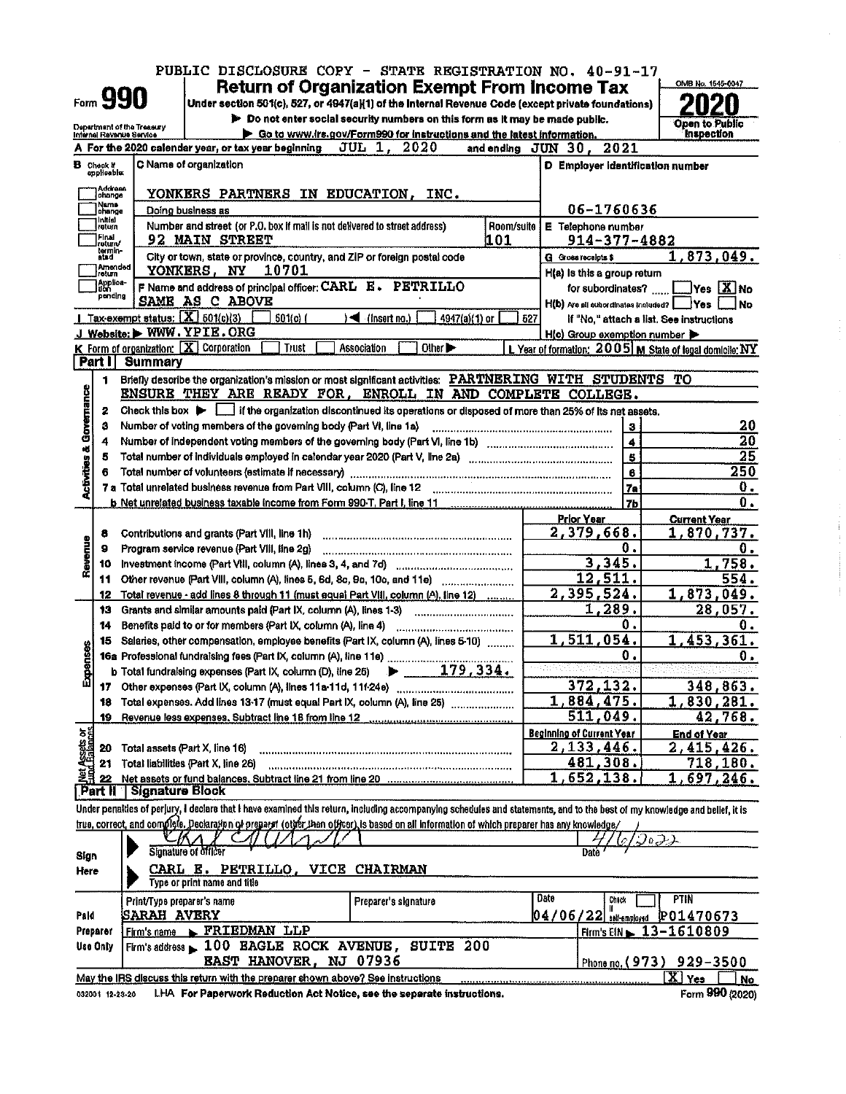|                                 |                                                        |                    | PUBLIC DISCLOSURE COPY - STATE REGISTRATION NO. 40-91-17                                                                                                                   |                                             |                      |                                                           |  |
|---------------------------------|--------------------------------------------------------|--------------------|----------------------------------------------------------------------------------------------------------------------------------------------------------------------------|---------------------------------------------|----------------------|-----------------------------------------------------------|--|
|                                 |                                                        |                    | <b>Return of Organization Exempt From Income Tax</b>                                                                                                                       |                                             |                      | OMB No. 1545-0047                                         |  |
|                                 | Form <b>990</b>                                        |                    | Under section 501(c), 527, or 4947(a)(1) of the Internal Revenue Code (except private foundations)                                                                         |                                             |                      |                                                           |  |
|                                 |                                                        |                    | > Do not enter social security numbers on this form as it may be made public.                                                                                              |                                             |                      | Open to Public                                            |  |
|                                 | Department of the Treasury<br>Internal Revenue Service |                    | Go to www.irs.gov/Form990 for instructions and the latest information.                                                                                                     |                                             |                      | <b>Inspection</b>                                         |  |
|                                 |                                                        |                    | A For the 2020 calendar year, or tax year beginning<br>JUL 1, 2020<br>and ending JUN 30, 2021                                                                              |                                             |                      |                                                           |  |
|                                 | <b>B</b> Check If                                      |                    | C Name of organization                                                                                                                                                     | D Employer identification number            |                      |                                                           |  |
|                                 | opplicable:                                            |                    |                                                                                                                                                                            |                                             |                      |                                                           |  |
|                                 | Address<br>change                                      |                    | YONKERS PARTNERS IN EDUCATION.<br>INC.                                                                                                                                     |                                             |                      |                                                           |  |
|                                 | Name<br>lohange                                        |                    | Doing business as                                                                                                                                                          | 06-1760636                                  |                      |                                                           |  |
|                                 | Initial<br>return                                      |                    | Number and street (or P.O. box if mail is not delivered to street address)<br>Room/suite                                                                                   | E Telephone number                          |                      |                                                           |  |
|                                 | Final<br>return⁄                                       |                    | 92 MAIN STREET<br>101                                                                                                                                                      | 914-377-4882                                |                      |                                                           |  |
|                                 | termin-<br>atad                                        |                    | City or town, state or province, country, and ZIP or foreign postal code                                                                                                   | G Gross receipts \$                         |                      | <u>1,873,049.</u>                                         |  |
|                                 | }Amended<br> return                                    |                    | YONKERS, NY<br>10701                                                                                                                                                       | H(a) is this a group return                 |                      |                                                           |  |
|                                 | Applice-<br>  Lion                                     |                    | F Name and address of principal officer: CARL E. PETRILLO                                                                                                                  | for subordinates?                           |                      | $\Box$ Yes $[X]$ No                                       |  |
|                                 | pending                                                |                    | SAME AS C ABOVE                                                                                                                                                            | H(b) Are all subordinates included?   Yes [ |                      | <b>No</b>                                                 |  |
|                                 |                                                        |                    | Tax-exempt status: $\boxed{\mathbf{X}}$ 501(c)(3)<br>$\setminus \blacktriangleleft$ (insert no.)<br>4947(a)(1) or<br>50 I(c) (<br>627                                      |                                             |                      | If "No," attach a list. See instructions                  |  |
|                                 |                                                        |                    | J Website: WWW.YPIE.ORG                                                                                                                                                    | H(c) Group exemption number                 |                      |                                                           |  |
|                                 |                                                        |                    | <b>K</b> Form of organization: $\boxed{\mathbf{X}}$ Corporation<br>Other ><br>Trust<br>Association                                                                         |                                             |                      | L Year of formation: 2005   M State of legal domicile: NY |  |
|                                 | Part I                                                 | Summary            |                                                                                                                                                                            |                                             |                      |                                                           |  |
|                                 | 1                                                      |                    | Briefly describe the organization's mission or most significant activities: PARTNERING WITH STUDENTS TO                                                                    |                                             |                      |                                                           |  |
|                                 |                                                        |                    | ENSURE THEY ARE READY FOR, ENROLL IN AND COMPLETE COLLEGE.                                                                                                                 |                                             |                      |                                                           |  |
|                                 | 2                                                      |                    | Check this box ▶ if the organization discontinued its operations or disposed of more than 25% of its net assets.                                                           |                                             |                      |                                                           |  |
| Activities & Governance         | 3                                                      |                    | Number of voting members of the governing body (Part VI, line 1a)                                                                                                          |                                             |                      | 20                                                        |  |
|                                 | 4                                                      |                    |                                                                                                                                                                            |                                             | $\blacktriangleleft$ | 20                                                        |  |
|                                 | 5                                                      |                    |                                                                                                                                                                            |                                             | 6                    | $\overline{25}$                                           |  |
|                                 | 6                                                      |                    | Total number of volunteers (estimate if necessary) manufacture continuous continuous continuous continuous                                                                 |                                             | $\mathbf{e}$         | 250                                                       |  |
|                                 |                                                        |                    |                                                                                                                                                                            |                                             | <b>7a</b>            | 0.                                                        |  |
|                                 |                                                        |                    |                                                                                                                                                                            |                                             | 7 <sub>b</sub>       | 0.                                                        |  |
|                                 |                                                        |                    |                                                                                                                                                                            | <b>Prior Year</b>                           |                      | <b>Current Year</b>                                       |  |
|                                 | 8                                                      |                    | Contributions and grants (Part VIII, line 1h)                                                                                                                              | 2,379,668.                                  |                      | 1,870,737.                                                |  |
| Revenue                         | 9                                                      |                    | Program service revenue (Part VIII, line 2g)                                                                                                                               |                                             | 0.                   | 0.                                                        |  |
|                                 | 10                                                     |                    |                                                                                                                                                                            | 3,345.                                      |                      | 1,758.                                                    |  |
|                                 | 11                                                     |                    | Other revenue (Part VIII, column (A), lines 5, 6d, 8c, 9c, 10c, and 11e)                                                                                                   | 12,511.                                     |                      | 554.                                                      |  |
|                                 | 12                                                     |                    | Total revenue - add lines 8 through 11 (must equal Part VIII, column (A), line 12)                                                                                         | 2,395,524.                                  |                      | 1,873,049.                                                |  |
|                                 | 13                                                     |                    | Grants and similar amounts paid (Part IX, column (A), lines 1-3)                                                                                                           | 1,289.                                      |                      | 28,057.                                                   |  |
|                                 | 14                                                     |                    |                                                                                                                                                                            |                                             | 0.                   | 0.                                                        |  |
|                                 | 15                                                     |                    | Salaries, other compensation, employee benefits (Part IX, column (A), lines 5-10)                                                                                          | <u>1,511,054.</u>                           |                      | 1,453,361.                                                |  |
| Expenses                        |                                                        |                    |                                                                                                                                                                            |                                             | 0.                   | 0.                                                        |  |
|                                 |                                                        |                    | b Total fundraising expenses (Part IX, column (D), line 25) $\rightarrow$ 179, 334.                                                                                        |                                             |                      |                                                           |  |
|                                 |                                                        |                    |                                                                                                                                                                            | 372,132.                                    |                      | 348,863.                                                  |  |
|                                 | 18                                                     |                    | Total expenses. Add lines 13-17 (must equal Part IX, column (A), line 25) [[[[[[[[[[[[[[[[[[[[[[[[[[]]]]]]]]]                                                              | 1,884,475.                                  |                      | 1,830,281.                                                |  |
|                                 | 19                                                     |                    |                                                                                                                                                                            | <u>511,049.</u>                             |                      | 42,768.                                                   |  |
|                                 |                                                        |                    |                                                                                                                                                                            | <b>Beginning of Current Year</b>            |                      | <b>End of Year</b>                                        |  |
| Net Assets or<br>Eurot Balances | 20                                                     |                    | Total assets (Part X, line 16)                                                                                                                                             | 2, 133, 446.                                |                      | 2,415,426.                                                |  |
|                                 | 21                                                     |                    | Total liabilities (Part X, line 26)                                                                                                                                        | <u>481,308.</u>                             |                      | <u>718,180.</u>                                           |  |
|                                 | 22                                                     |                    |                                                                                                                                                                            | 1,652,138.                                  |                      | 1.<br>697,246.                                            |  |
|                                 | Part II                                                |                    | Signature Block                                                                                                                                                            |                                             |                      |                                                           |  |
|                                 |                                                        |                    | Under penalties of perjury, I declare that I have examined this return, including accompanying schedules and statements, and to the best of my knowledge and bellef, it is |                                             |                      |                                                           |  |
|                                 |                                                        |                    | true, correct, and complete. Declaration of preparet (other then officer) is based on all information of which preparer has any knowledge/                                 |                                             |                      |                                                           |  |
|                                 |                                                        |                    |                                                                                                                                                                            |                                             | つっつよ<br>10           |                                                           |  |
| Sign                            |                                                        |                    | <b>Signature of officer</b>                                                                                                                                                | Date                                        |                      |                                                           |  |
| Here                            |                                                        |                    | CARL E. PETRILLO, VICE CHAIRMAN                                                                                                                                            |                                             |                      |                                                           |  |
|                                 |                                                        |                    | Type or print name and title                                                                                                                                               |                                             |                      |                                                           |  |
|                                 |                                                        |                    | Print/Type preparer's name<br>Preparer's signature                                                                                                                         | Date                                        | Chick                | <b>PTIN</b>                                               |  |
| Pald                            |                                                        | <b>SARAH AVERY</b> |                                                                                                                                                                            | $04/06/22$ self-employed                    |                      | P01470673                                                 |  |
|                                 | Preparer                                               | Firm's name        | FRIEDMAN LLP                                                                                                                                                               |                                             |                      | Firm's EIN $\sub{13-1610809}$                             |  |
|                                 | Use Only                                               |                    | Firm's address $\blacktriangleright$ 100 BAGLE ROCK AVENUE,<br>SUITE 200                                                                                                   |                                             |                      |                                                           |  |
|                                 |                                                        |                    | <b>EAST HANOVER, NJ 07936</b>                                                                                                                                              |                                             |                      | Phone no. (973) 929-3500                                  |  |
|                                 |                                                        |                    | May the IRS discuss this return with the preparer shown above? See instructions                                                                                            |                                             |                      | $\overline{\mathbf{X}}$ Yes<br>No                         |  |
|                                 | 032001 12-23-20                                        |                    | LHA For Paperwork Reduction Act Notice, see the separate instructions.                                                                                                     |                                             |                      | Form 990 (2020)                                           |  |
|                                 |                                                        |                    |                                                                                                                                                                            |                                             |                      |                                                           |  |

 $\mathcal{L}_{\mathcal{A}}$ 

i<br>P  $\frac{1}{2}$ 

 $\frac{1}{2}$ 

 $\label{eq:1} \begin{split} \mathcal{L}_{\text{max}}(\mathcal{L}_{\text{max}},\mathcal{L}_{\text{max}},\mathcal{L}_{\text{max}},\mathcal{L}_{\text{max}}), \end{split}$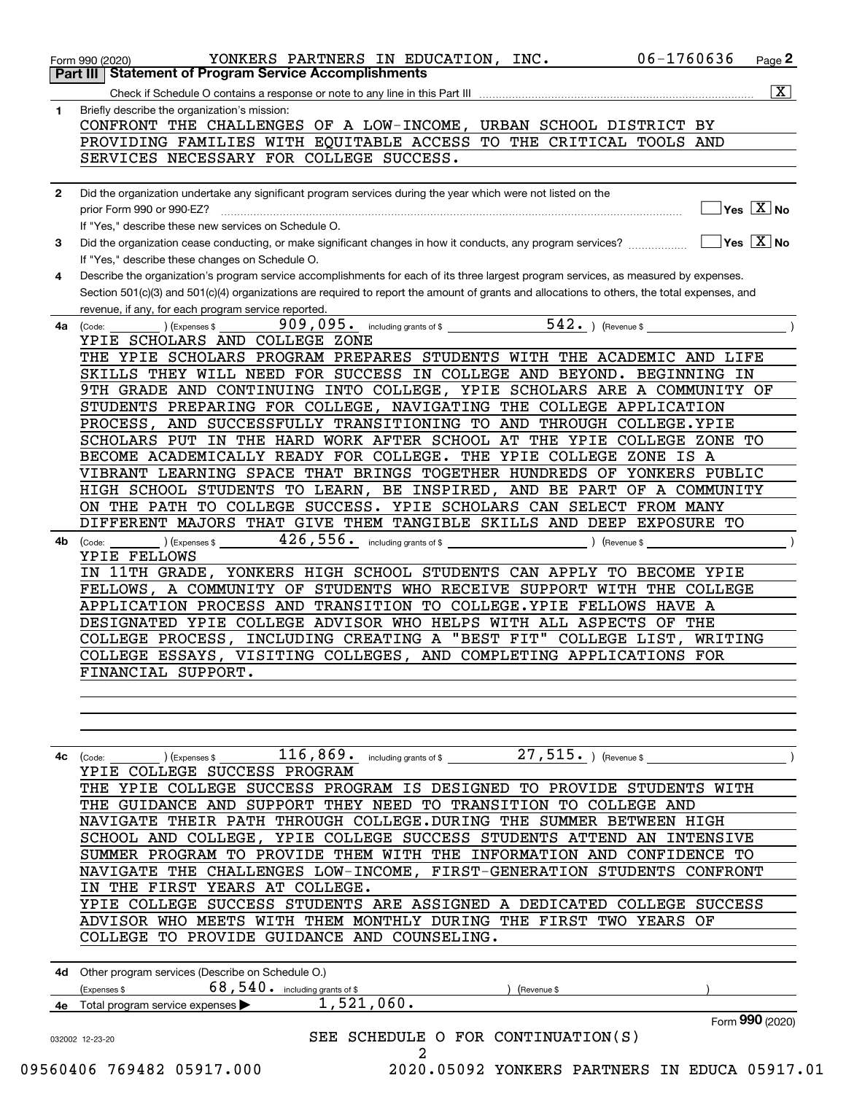| 1.           | Briefly describe the organization's mission:                                                                                                                                                        |
|--------------|-----------------------------------------------------------------------------------------------------------------------------------------------------------------------------------------------------|
|              | CONFRONT THE CHALLENGES OF A LOW-INCOME, URBAN SCHOOL DISTRICT BY                                                                                                                                   |
|              | PROVIDING FAMILIES WITH EQUITABLE ACCESS TO THE CRITICAL TOOLS AND                                                                                                                                  |
|              | SERVICES NECESSARY FOR COLLEGE SUCCESS.                                                                                                                                                             |
| $\mathbf{2}$ | Did the organization undertake any significant program services during the year which were not listed on the                                                                                        |
|              | $\Box$ Yes $\boxed{\text{X}}$ No<br>prior Form 990 or 990-EZ?<br>If "Yes." describe these new services on Schedule O.                                                                               |
| 3            | If "Yes," describe these changes on Schedule O.                                                                                                                                                     |
| 4            | Describe the organization's program service accomplishments for each of its three largest program services, as measured by expenses.                                                                |
|              | Section 501(c)(3) and 501(c)(4) organizations are required to report the amount of grants and allocations to others, the total expenses, and<br>revenue, if any, for each program service reported. |
| 4a           | $\left($ ) (Expenses \$<br>(Code:                                                                                                                                                                   |
|              | YPIE SCHOLARS AND COLLEGE ZONE                                                                                                                                                                      |
|              | THE YPIE SCHOLARS PROGRAM PREPARES STUDENTS WITH THE ACADEMIC AND LIFE                                                                                                                              |
|              | SKILLS THEY WILL NEED FOR SUCCESS IN COLLEGE AND BEYOND. BEGINNING IN                                                                                                                               |
|              | 9TH GRADE AND CONTINUING INTO COLLEGE, YPIE SCHOLARS ARE A COMMUNITY OF                                                                                                                             |
|              | STUDENTS PREPARING FOR COLLEGE, NAVIGATING THE COLLEGE APPLICATION<br>PROCESS, AND SUCCESSFULLY TRANSITIONING TO AND THROUGH COLLEGE. YPIE                                                          |
|              | SCHOLARS PUT IN THE HARD WORK AFTER SCHOOL AT THE YPIE COLLEGE ZONE TO                                                                                                                              |
|              | BECOME ACADEMICALLY READY FOR COLLEGE. THE YPIE COLLEGE ZONE IS A                                                                                                                                   |
|              | VIBRANT LEARNING SPACE THAT BRINGS TOGETHER HUNDREDS OF YONKERS PUBLIC                                                                                                                              |
|              | HIGH SCHOOL STUDENTS TO LEARN, BE INSPIRED, AND BE PART OF A COMMUNITY                                                                                                                              |
|              | ON THE PATH TO COLLEGE SUCCESS. YPIE SCHOLARS CAN SELECT FROM MANY                                                                                                                                  |
|              | DIFFERENT MAJORS THAT GIVE THEM TANGIBLE SKILLS AND DEEP EXPOSURE TO                                                                                                                                |
| 4b.          | (Code:                                                                                                                                                                                              |
|              | YPIE FELLOWS                                                                                                                                                                                        |
|              | IN 11TH GRADE, YONKERS HIGH SCHOOL STUDENTS CAN APPLY TO BECOME YPIE                                                                                                                                |
|              | FELLOWS, A COMMUNITY OF STUDENTS WHO RECEIVE SUPPORT WITH THE COLLEGE                                                                                                                               |
|              | APPLICATION PROCESS AND TRANSITION TO COLLEGE.YPIE FELLOWS HAVE A<br>DESIGNATED YPIE COLLEGE ADVISOR WHO HELPS WITH ALL ASPECTS OF THE                                                              |
|              | COLLEGE PROCESS, INCLUDING CREATING A "BEST FIT" COLLEGE LIST, WRITING                                                                                                                              |
|              | COLLEGE ESSAYS, VISITING COLLEGES, AND COMPLETING APPLICATIONS FOR                                                                                                                                  |
|              | FINANCIAL SUPPORT.                                                                                                                                                                                  |
|              |                                                                                                                                                                                                     |
|              |                                                                                                                                                                                                     |
|              |                                                                                                                                                                                                     |
| 4c           | $27,515.$ ) (Revenue \$<br>$116$ , $869$ or including grants of \$<br>(Expenses \$<br>(Code:<br>YPIE COLLEGE SUCCESS PROGRAM                                                                        |
|              | THE YPIE COLLEGE SUCCESS PROGRAM IS DESIGNED TO PROVIDE STUDENTS WITH                                                                                                                               |
|              | THE GUIDANCE AND SUPPORT THEY NEED TO TRANSITION TO COLLEGE AND                                                                                                                                     |
|              | NAVIGATE THEIR PATH THROUGH COLLEGE. DURING THE SUMMER BETWEEN HIGH                                                                                                                                 |
|              | SCHOOL AND COLLEGE, YPIE COLLEGE SUCCESS STUDENTS ATTEND AN INTENSIVE                                                                                                                               |
|              | SUMMER PROGRAM TO PROVIDE THEM WITH THE INFORMATION AND CONFIDENCE TO                                                                                                                               |
|              | NAVIGATE THE CHALLENGES LOW-INCOME, FIRST-GENERATION STUDENTS CONFRONT                                                                                                                              |
|              | IN THE FIRST YEARS AT COLLEGE.                                                                                                                                                                      |
|              | YPIE COLLEGE SUCCESS STUDENTS ARE ASSIGNED A DEDICATED COLLEGE SUCCESS                                                                                                                              |
|              | ADVISOR WHO MEETS WITH THEM MONTHLY DURING THE FIRST TWO YEARS OF                                                                                                                                   |
|              | COLLEGE TO PROVIDE GUIDANCE AND COUNSELING.                                                                                                                                                         |
|              | 4d Other program services (Describe on Schedule O.)                                                                                                                                                 |
|              | $68,540$ $\cdot$ including grants of \$<br>(Expenses \$<br>(Revenue \$                                                                                                                              |
|              | 1,521,060.<br>4e Total program service expenses<br>Form 990 (2020)                                                                                                                                  |
|              |                                                                                                                                                                                                     |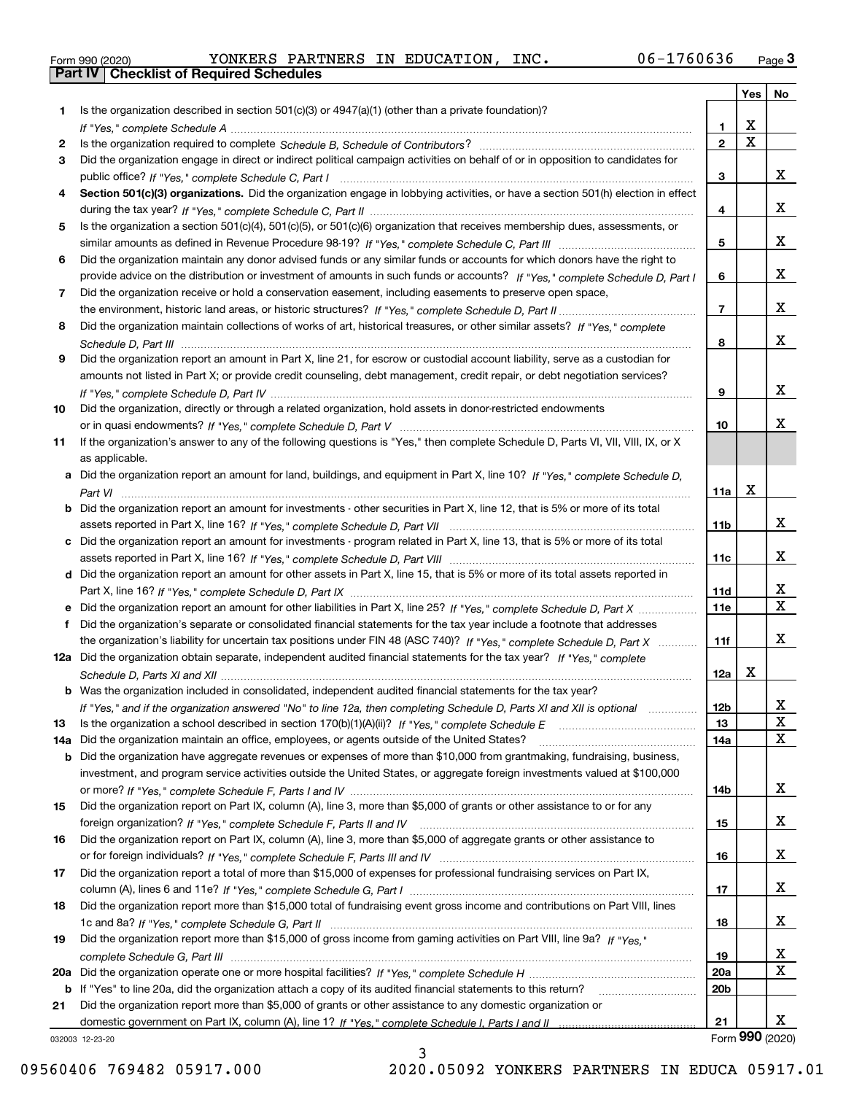|  | Form 990 (2020) |  |
|--|-----------------|--|

Form 990 (2020) YONKERS PARTNERS IN EDUCATION, INC. 06-1760636 <sub>Page</sub> 3<br>**Part IV | Checklist of Required Schedules** 

|     |                                                                                                                                                                                                                                           |                   | Yes                   | No                           |
|-----|-------------------------------------------------------------------------------------------------------------------------------------------------------------------------------------------------------------------------------------------|-------------------|-----------------------|------------------------------|
| 1.  | Is the organization described in section $501(c)(3)$ or $4947(a)(1)$ (other than a private foundation)?                                                                                                                                   |                   |                       |                              |
|     |                                                                                                                                                                                                                                           | 1.                | х                     |                              |
| 2   |                                                                                                                                                                                                                                           | $\mathbf 2$       | $\overline{\text{x}}$ |                              |
| 3   | Did the organization engage in direct or indirect political campaign activities on behalf of or in opposition to candidates for                                                                                                           |                   |                       |                              |
|     |                                                                                                                                                                                                                                           | 3                 |                       | x                            |
| 4   | Section 501(c)(3) organizations. Did the organization engage in lobbying activities, or have a section 501(h) election in effect                                                                                                          |                   |                       |                              |
|     |                                                                                                                                                                                                                                           | 4                 |                       | x                            |
| 5   | Is the organization a section 501(c)(4), 501(c)(5), or 501(c)(6) organization that receives membership dues, assessments, or                                                                                                              |                   |                       |                              |
|     |                                                                                                                                                                                                                                           | 5                 |                       | x                            |
| 6   | Did the organization maintain any donor advised funds or any similar funds or accounts for which donors have the right to                                                                                                                 |                   |                       | x                            |
| 7   | provide advice on the distribution or investment of amounts in such funds or accounts? If "Yes," complete Schedule D, Part I<br>Did the organization receive or hold a conservation easement, including easements to preserve open space, | 6                 |                       |                              |
|     |                                                                                                                                                                                                                                           | $\overline{7}$    |                       | x                            |
| 8   | Did the organization maintain collections of works of art, historical treasures, or other similar assets? If "Yes," complete                                                                                                              |                   |                       |                              |
|     |                                                                                                                                                                                                                                           | 8                 |                       | x                            |
| 9   | Did the organization report an amount in Part X, line 21, for escrow or custodial account liability, serve as a custodian for                                                                                                             |                   |                       |                              |
|     | amounts not listed in Part X; or provide credit counseling, debt management, credit repair, or debt negotiation services?                                                                                                                 |                   |                       |                              |
|     |                                                                                                                                                                                                                                           | 9                 |                       | x                            |
| 10  | Did the organization, directly or through a related organization, hold assets in donor-restricted endowments                                                                                                                              |                   |                       |                              |
|     |                                                                                                                                                                                                                                           | 10                |                       | х                            |
| 11  | If the organization's answer to any of the following questions is "Yes," then complete Schedule D, Parts VI, VII, VIII, IX, or X                                                                                                          |                   |                       |                              |
|     | as applicable.                                                                                                                                                                                                                            |                   |                       |                              |
|     | a Did the organization report an amount for land, buildings, and equipment in Part X, line 10? If "Yes," complete Schedule D,                                                                                                             |                   |                       |                              |
|     |                                                                                                                                                                                                                                           | 11a               | X                     |                              |
|     | <b>b</b> Did the organization report an amount for investments - other securities in Part X, line 12, that is 5% or more of its total                                                                                                     |                   |                       |                              |
|     |                                                                                                                                                                                                                                           | 11b               |                       | x                            |
|     | c Did the organization report an amount for investments - program related in Part X, line 13, that is 5% or more of its total                                                                                                             |                   |                       |                              |
|     |                                                                                                                                                                                                                                           | 11c               |                       | x                            |
|     | d Did the organization report an amount for other assets in Part X, line 15, that is 5% or more of its total assets reported in                                                                                                           |                   |                       |                              |
|     |                                                                                                                                                                                                                                           | 11d<br><b>11e</b> |                       | X<br>$\overline{\mathtt{x}}$ |
| f   | Did the organization's separate or consolidated financial statements for the tax year include a footnote that addresses                                                                                                                   |                   |                       |                              |
|     | the organization's liability for uncertain tax positions under FIN 48 (ASC 740)? If "Yes," complete Schedule D, Part X                                                                                                                    | 11f               |                       | x                            |
|     | 12a Did the organization obtain separate, independent audited financial statements for the tax year? If "Yes," complete                                                                                                                   |                   |                       |                              |
|     |                                                                                                                                                                                                                                           | 12a               | Х                     |                              |
|     | <b>b</b> Was the organization included in consolidated, independent audited financial statements for the tax year?                                                                                                                        |                   |                       |                              |
|     | If "Yes," and if the organization answered "No" to line 12a, then completing Schedule D, Parts XI and XII is optional                                                                                                                     | 12b               |                       | X,                           |
| 13  |                                                                                                                                                                                                                                           | 13                |                       | $\mathbf X$                  |
| 14a | Did the organization maintain an office, employees, or agents outside of the United States?                                                                                                                                               | 14a               |                       | $\overline{\mathbf{x}}$      |
|     | b Did the organization have aggregate revenues or expenses of more than \$10,000 from grantmaking, fundraising, business,                                                                                                                 |                   |                       |                              |
|     | investment, and program service activities outside the United States, or aggregate foreign investments valued at \$100,000                                                                                                                |                   |                       |                              |
|     |                                                                                                                                                                                                                                           | 14b               |                       | x                            |
| 15  | Did the organization report on Part IX, column (A), line 3, more than \$5,000 of grants or other assistance to or for any                                                                                                                 |                   |                       |                              |
|     |                                                                                                                                                                                                                                           | 15                |                       | X                            |
| 16  | Did the organization report on Part IX, column (A), line 3, more than \$5,000 of aggregate grants or other assistance to                                                                                                                  |                   |                       |                              |
|     |                                                                                                                                                                                                                                           | 16                |                       | X                            |
| 17  | Did the organization report a total of more than \$15,000 of expenses for professional fundraising services on Part IX,                                                                                                                   |                   |                       |                              |
|     | Did the organization report more than \$15,000 total of fundraising event gross income and contributions on Part VIII, lines                                                                                                              | 17                |                       | X                            |
| 18  |                                                                                                                                                                                                                                           | 18                |                       | x                            |
| 19  | Did the organization report more than \$15,000 of gross income from gaming activities on Part VIII, line 9a? If "Yes."                                                                                                                    |                   |                       |                              |
|     |                                                                                                                                                                                                                                           | 19                |                       | x                            |
|     |                                                                                                                                                                                                                                           | 20a               |                       | $\mathbf X$                  |
|     | b If "Yes" to line 20a, did the organization attach a copy of its audited financial statements to this return?                                                                                                                            | 20 <sub>b</sub>   |                       |                              |
| 21  | Did the organization report more than \$5,000 of grants or other assistance to any domestic organization or                                                                                                                               |                   |                       |                              |
|     |                                                                                                                                                                                                                                           | 21                |                       | x                            |
|     | 032003 12-23-20                                                                                                                                                                                                                           |                   | Form 990 (2020)       |                              |

3

032003 12-23-20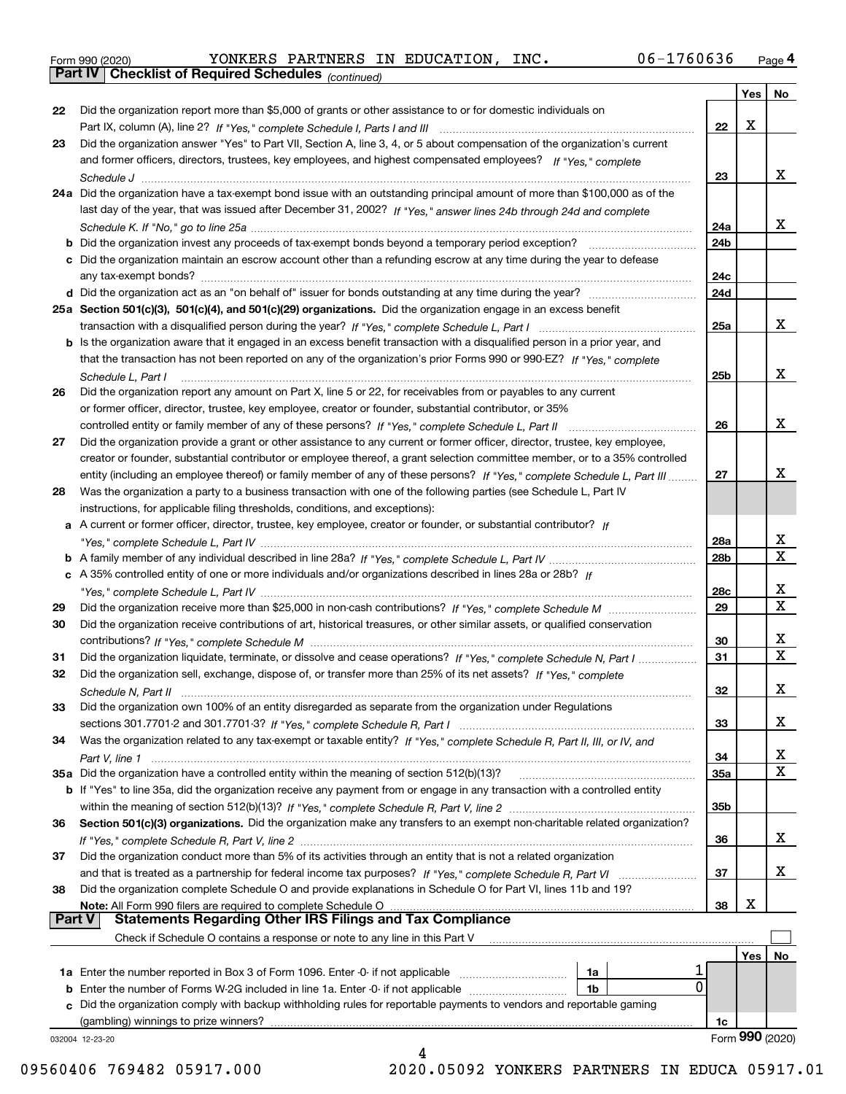|  | Form 990 (2020) |
|--|-----------------|
|  |                 |

*(continued)*

|               |                                                                                                                                    |                        | Yes | No               |
|---------------|------------------------------------------------------------------------------------------------------------------------------------|------------------------|-----|------------------|
| 22            | Did the organization report more than \$5,000 of grants or other assistance to or for domestic individuals on                      |                        |     |                  |
|               |                                                                                                                                    | 22                     | х   |                  |
| 23            | Did the organization answer "Yes" to Part VII, Section A, line 3, 4, or 5 about compensation of the organization's current         |                        |     |                  |
|               | and former officers, directors, trustees, key employees, and highest compensated employees? If "Yes," complete                     |                        |     |                  |
|               |                                                                                                                                    | 23                     |     | x                |
|               | 24a Did the organization have a tax-exempt bond issue with an outstanding principal amount of more than \$100,000 as of the        |                        |     |                  |
|               | last day of the year, that was issued after December 31, 2002? If "Yes," answer lines 24b through 24d and complete                 |                        |     |                  |
|               |                                                                                                                                    | 24a                    |     | x                |
|               | <b>b</b> Did the organization invest any proceeds of tax-exempt bonds beyond a temporary period exception?                         | 24 <sub>b</sub>        |     |                  |
|               | c Did the organization maintain an escrow account other than a refunding escrow at any time during the year to defease             |                        |     |                  |
|               | any tax-exempt bonds?                                                                                                              | 24c                    |     |                  |
|               |                                                                                                                                    | 24d                    |     |                  |
|               | 25a Section 501(c)(3), 501(c)(4), and 501(c)(29) organizations. Did the organization engage in an excess benefit                   |                        |     |                  |
|               |                                                                                                                                    | 25a                    |     | x                |
|               | b Is the organization aware that it engaged in an excess benefit transaction with a disqualified person in a prior year, and       |                        |     |                  |
|               | that the transaction has not been reported on any of the organization's prior Forms 990 or 990-EZ? If "Yes." complete              |                        |     |                  |
|               | Schedule L, Part I                                                                                                                 | 25b                    |     | x                |
| 26            | Did the organization report any amount on Part X, line 5 or 22, for receivables from or payables to any current                    |                        |     |                  |
|               | or former officer, director, trustee, key employee, creator or founder, substantial contributor, or 35%                            |                        |     |                  |
|               |                                                                                                                                    | 26                     |     | x                |
| 27            | Did the organization provide a grant or other assistance to any current or former officer, director, trustee, key employee,        |                        |     |                  |
|               |                                                                                                                                    |                        |     |                  |
|               | creator or founder, substantial contributor or employee thereof, a grant selection committee member, or to a 35% controlled        |                        |     | х                |
|               | entity (including an employee thereof) or family member of any of these persons? If "Yes," complete Schedule L, Part III           | 27                     |     |                  |
| 28            | Was the organization a party to a business transaction with one of the following parties (see Schedule L, Part IV                  |                        |     |                  |
|               | instructions, for applicable filing thresholds, conditions, and exceptions):                                                       |                        |     |                  |
|               | a A current or former officer, director, trustee, key employee, creator or founder, or substantial contributor? If                 |                        |     | x                |
|               |                                                                                                                                    | 28a<br>28 <sub>b</sub> |     | X                |
|               |                                                                                                                                    |                        |     |                  |
|               | c A 35% controlled entity of one or more individuals and/or organizations described in lines 28a or 28b? If                        |                        |     | x                |
|               |                                                                                                                                    | 28c<br>29              |     | $\mathbf X$      |
| 29            |                                                                                                                                    |                        |     |                  |
| 30            | Did the organization receive contributions of art, historical treasures, or other similar assets, or qualified conservation        |                        |     |                  |
|               |                                                                                                                                    | 30                     |     | x<br>$\mathbf X$ |
| 31            | Did the organization liquidate, terminate, or dissolve and cease operations? If "Yes," complete Schedule N, Part I                 | 31                     |     |                  |
| 32            | Did the organization sell, exchange, dispose of, or transfer more than 25% of its net assets? If "Yes," complete                   |                        |     |                  |
|               |                                                                                                                                    | 32                     |     | х                |
| 33            | Did the organization own 100% of an entity disregarded as separate from the organization under Regulations                         |                        |     |                  |
|               |                                                                                                                                    | 33                     |     | х                |
| 34            | Was the organization related to any tax-exempt or taxable entity? If "Yes," complete Schedule R, Part II, III, or IV, and          |                        |     |                  |
|               |                                                                                                                                    | 34                     |     | x                |
|               | 35a Did the organization have a controlled entity within the meaning of section 512(b)(13)?                                        | 35a                    |     | X                |
|               | <b>b</b> If "Yes" to line 35a, did the organization receive any payment from or engage in any transaction with a controlled entity |                        |     |                  |
|               |                                                                                                                                    | 35b                    |     |                  |
| 36            | Section 501(c)(3) organizations. Did the organization make any transfers to an exempt non-charitable related organization?         |                        |     |                  |
|               |                                                                                                                                    | 36                     |     | x                |
| 37            | Did the organization conduct more than 5% of its activities through an entity that is not a related organization                   |                        |     |                  |
|               |                                                                                                                                    | 37                     |     | x                |
| 38            | Did the organization complete Schedule O and provide explanations in Schedule O for Part VI, lines 11b and 19?                     |                        |     |                  |
| <b>Part V</b> | Note: All Form 990 filers are required to complete Schedule O<br><b>Statements Regarding Other IRS Filings and Tax Compliance</b>  | 38                     | х   |                  |
|               | Check if Schedule O contains a response or note to any line in this Part V                                                         |                        |     |                  |
|               |                                                                                                                                    |                        |     |                  |
|               | <b>1a</b> Enter the number reported in Box 3 of Form 1096. Enter -0- if not applicable <i>mummumumum</i><br>1a                     |                        | Yes | No.              |
|               | $\Omega$<br><b>b</b> Enter the number of Forms W-2G included in line 1a. Enter -0- if not applicable<br>1b                         |                        |     |                  |
|               | c Did the organization comply with backup withholding rules for reportable payments to vendors and reportable gaming               |                        |     |                  |
|               | (gambling) winnings to prize winners?                                                                                              | 1c                     |     |                  |
|               | 032004 12-23-20                                                                                                                    |                        |     | Form 990 (2020)  |
|               | 4                                                                                                                                  |                        |     |                  |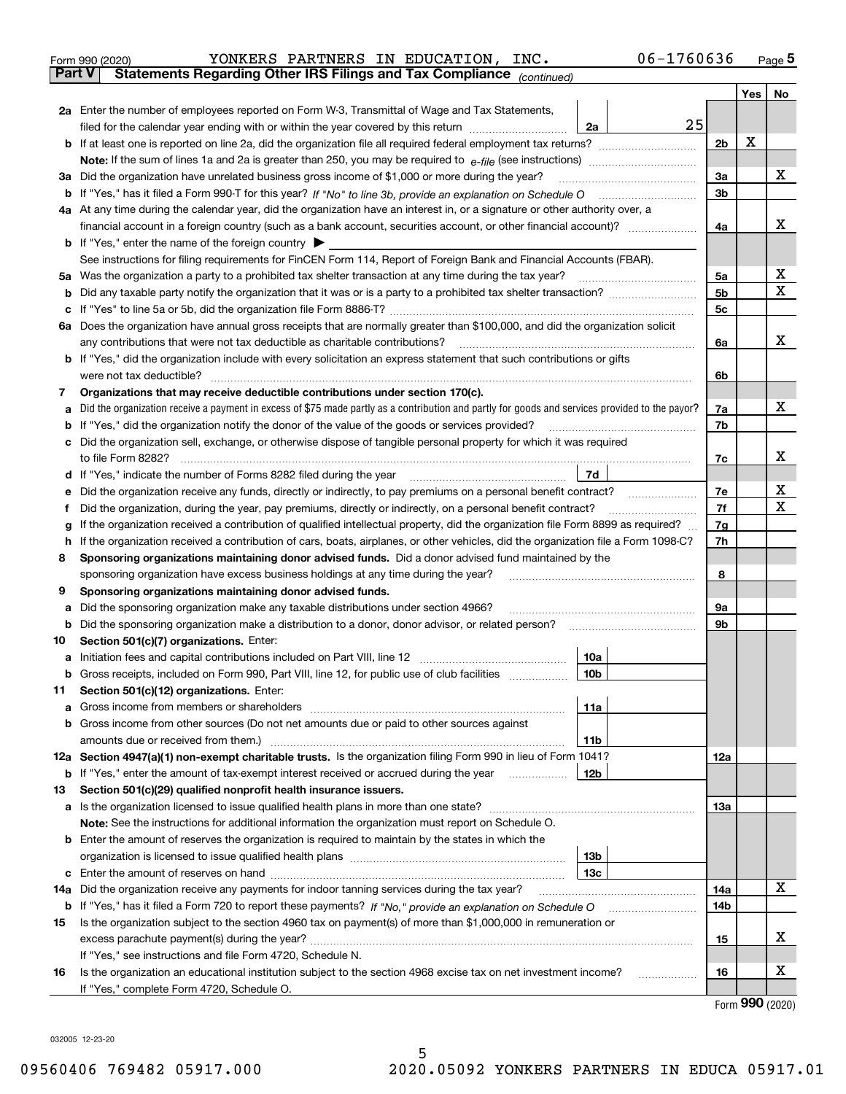|               | 06-1760636<br>YONKERS PARTNERS IN EDUCATION,<br>INC.<br>Form 990 (2020)                                                                         |                |     | Page 5 |
|---------------|-------------------------------------------------------------------------------------------------------------------------------------------------|----------------|-----|--------|
| <b>Part V</b> | Statements Regarding Other IRS Filings and Tax Compliance (continued)                                                                           |                |     |        |
|               |                                                                                                                                                 |                | Yes | No     |
|               | 2a Enter the number of employees reported on Form W-3, Transmittal of Wage and Tax Statements,                                                  |                |     |        |
|               | 25<br>filed for the calendar year ending with or within the year covered by this return <i>manumumumum</i><br>2a                                |                |     |        |
|               |                                                                                                                                                 | 2 <sub>b</sub> | х   |        |
|               |                                                                                                                                                 |                |     |        |
|               | 3a Did the organization have unrelated business gross income of \$1,000 or more during the year?                                                | За             |     | х      |
|               |                                                                                                                                                 | 3 <sub>b</sub> |     |        |
|               | 4a At any time during the calendar year, did the organization have an interest in, or a signature or other authority over, a                    |                |     |        |
|               |                                                                                                                                                 | 4a             |     | x      |
|               | <b>b</b> If "Yes," enter the name of the foreign country                                                                                        |                |     |        |
|               | See instructions for filing requirements for FinCEN Form 114, Report of Foreign Bank and Financial Accounts (FBAR).                             |                |     |        |
|               |                                                                                                                                                 | 5a             |     | х      |
| b             |                                                                                                                                                 | 5 <sub>b</sub> |     | X      |
| c             |                                                                                                                                                 | 5c             |     |        |
|               | 6a Does the organization have annual gross receipts that are normally greater than \$100,000, and did the organization solicit                  |                |     |        |
|               | any contributions that were not tax deductible as charitable contributions?                                                                     | 6a             |     | х      |
|               | <b>b</b> If "Yes," did the organization include with every solicitation an express statement that such contributions or gifts                   |                |     |        |
|               | were not tax deductible?                                                                                                                        | 6b             |     |        |
| 7             | Organizations that may receive deductible contributions under section 170(c).                                                                   |                |     |        |
| а             | Did the organization receive a payment in excess of \$75 made partly as a contribution and partly for goods and services provided to the payor? | 7a             |     | х      |
| b             | If "Yes," did the organization notify the donor of the value of the goods or services provided?                                                 | 7b             |     |        |
|               | c Did the organization sell, exchange, or otherwise dispose of tangible personal property for which it was required                             |                |     |        |
|               | to file Form 8282?                                                                                                                              | 7с             |     | х      |
|               | d If "Yes," indicate the number of Forms 8282 filed during the year<br>7d                                                                       |                |     |        |
| е             | Did the organization receive any funds, directly or indirectly, to pay premiums on a personal benefit contract?                                 | 7e             |     | х      |
| f             | Did the organization, during the year, pay premiums, directly or indirectly, on a personal benefit contract?                                    | 7f             |     | X      |
| g             | If the organization received a contribution of qualified intellectual property, did the organization file Form 8899 as required?                | 7g             |     |        |
| h.            | If the organization received a contribution of cars, boats, airplanes, or other vehicles, did the organization file a Form 1098-C?              | 7h             |     |        |
| 8             | Sponsoring organizations maintaining donor advised funds. Did a donor advised fund maintained by the                                            |                |     |        |
|               | sponsoring organization have excess business holdings at any time during the year?                                                              | 8              |     |        |
| 9             | Sponsoring organizations maintaining donor advised funds.                                                                                       |                |     |        |
| а             | Did the sponsoring organization make any taxable distributions under section 4966?                                                              | 9а             |     |        |
| b             | Did the sponsoring organization make a distribution to a donor, donor advisor, or related person?                                               | 9b             |     |        |
| 10            | Section 501(c)(7) organizations. Enter:                                                                                                         |                |     |        |
| а             | 10a<br>Initiation fees and capital contributions included on Part VIII, line 12                                                                 |                |     |        |
|               | b Gross receipts, included on Form 990, Part VIII, line 12, for public use of club facilities<br>10 <sub>b</sub>                                |                |     |        |
| 11            | Section 501(c)(12) organizations. Enter:                                                                                                        |                |     |        |
| а             | 11a                                                                                                                                             |                |     |        |
| b             | Gross income from other sources (Do not net amounts due or paid to other sources against                                                        |                |     |        |
|               | 11b                                                                                                                                             |                |     |        |
|               | 12a Section 4947(a)(1) non-exempt charitable trusts. Is the organization filing Form 990 in lieu of Form 1041?                                  | 12a            |     |        |
|               | 12b<br><b>b</b> If "Yes," enter the amount of tax-exempt interest received or accrued during the year <i>manument</i> of                        |                |     |        |
| 13            | Section 501(c)(29) qualified nonprofit health insurance issuers.                                                                                |                |     |        |
|               | a Is the organization licensed to issue qualified health plans in more than one state?                                                          | 13a            |     |        |
|               | Note: See the instructions for additional information the organization must report on Schedule O.                                               |                |     |        |
|               | <b>b</b> Enter the amount of reserves the organization is required to maintain by the states in which the                                       |                |     |        |
|               | 13 <sub>b</sub>                                                                                                                                 |                |     |        |
| с             | 13с                                                                                                                                             |                |     |        |
| 14a           | Did the organization receive any payments for indoor tanning services during the tax year?                                                      | 14a            |     | x      |
|               | <b>b</b> If "Yes," has it filed a Form 720 to report these payments? If "No," provide an explanation on Schedule O                              | 14b            |     |        |
| 15            | Is the organization subject to the section 4960 tax on payment(s) of more than \$1,000,000 in remuneration or                                   |                |     |        |
|               |                                                                                                                                                 | 15             |     | x      |

Form (2020) **990**

X

**16**

032005 12-23-20

**16**

If "Yes," see instructions and file Form 4720, Schedule N.

If "Yes," complete Form 4720, Schedule O.

Is the organization an educational institution subject to the section 4968 excise tax on net investment income?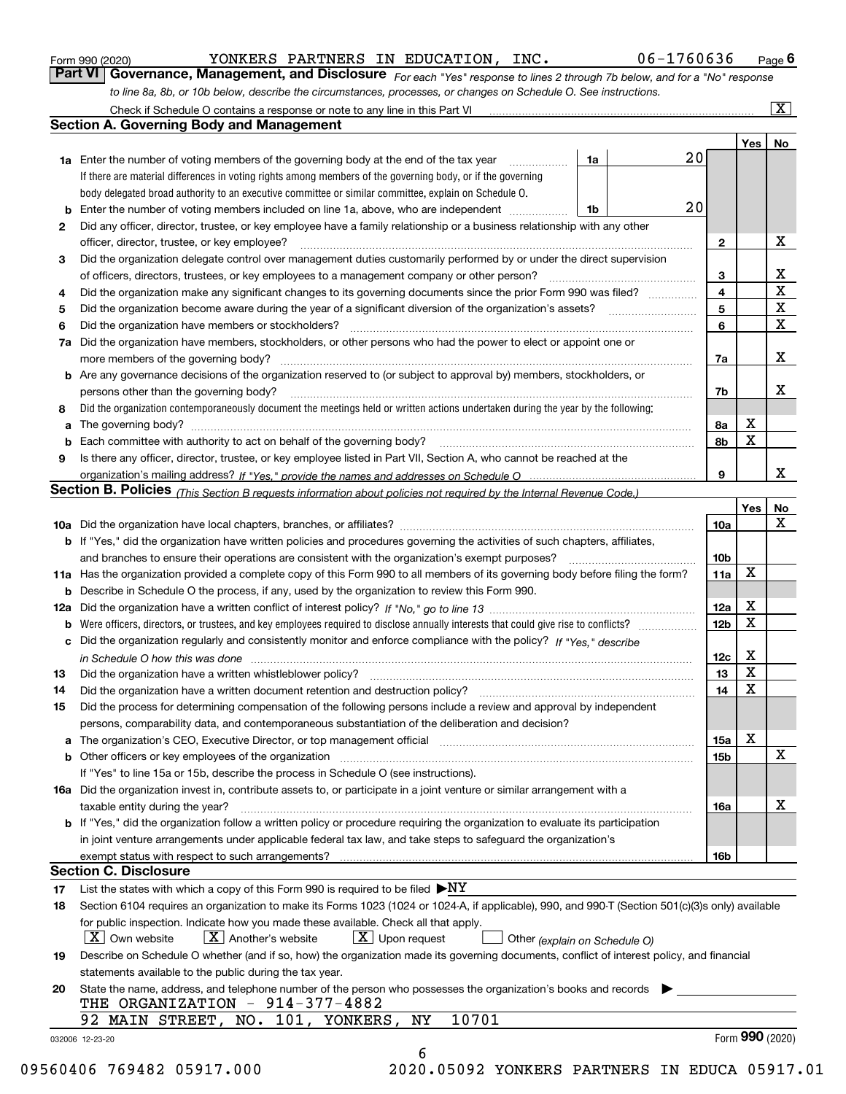|  | Form 990 (2020) |
|--|-----------------|
|  |                 |

YONKERS PARTNERS IN EDUCATION, INC. 06-1760636

*For each "Yes" response to lines 2 through 7b below, and for a "No" response to line 8a, 8b, or 10b below, describe the circumstances, processes, or changes on Schedule O. See instructions.* Form 990 (2020) **Conney Conney Benedict Street Engine Page 6**<br>**Part VI Governance, Management, and Disclosure** For each "Yes" response to lines 2 through 7b below, and for a "No" response

|    |                                                                                                                                                                            |    |  |    |                 | Yes <sub>1</sub> | No                      |  |  |  |
|----|----------------------------------------------------------------------------------------------------------------------------------------------------------------------------|----|--|----|-----------------|------------------|-------------------------|--|--|--|
|    | <b>1a</b> Enter the number of voting members of the governing body at the end of the tax year <i>manumum</i>                                                               | 1a |  | 20 |                 |                  |                         |  |  |  |
|    | If there are material differences in voting rights among members of the governing body, or if the governing                                                                |    |  |    |                 |                  |                         |  |  |  |
|    | body delegated broad authority to an executive committee or similar committee, explain on Schedule O.                                                                      |    |  |    |                 |                  |                         |  |  |  |
|    |                                                                                                                                                                            | 1b |  | 20 |                 |                  |                         |  |  |  |
| 2  | Did any officer, director, trustee, or key employee have a family relationship or a business relationship with any other                                                   |    |  |    |                 |                  |                         |  |  |  |
|    | officer, director, trustee, or key employee?                                                                                                                               |    |  |    |                 |                  |                         |  |  |  |
| 3  | Did the organization delegate control over management duties customarily performed by or under the direct supervision                                                      |    |  |    |                 |                  |                         |  |  |  |
|    |                                                                                                                                                                            |    |  |    | 3               |                  | X                       |  |  |  |
| 4  | Did the organization make any significant changes to its governing documents since the prior Form 990 was filed?                                                           |    |  |    | 4               |                  | $\overline{\mathbf{x}}$ |  |  |  |
| 5  |                                                                                                                                                                            |    |  |    | 5               |                  | $\mathbf X$             |  |  |  |
| 6  | Did the organization have members or stockholders?                                                                                                                         |    |  |    | 6               |                  | $\mathbf X$             |  |  |  |
|    | 7a Did the organization have members, stockholders, or other persons who had the power to elect or appoint one or                                                          |    |  |    |                 |                  |                         |  |  |  |
|    |                                                                                                                                                                            |    |  |    | 7a              |                  | X                       |  |  |  |
|    | <b>b</b> Are any governance decisions of the organization reserved to (or subject to approval by) members, stockholders, or                                                |    |  |    |                 |                  |                         |  |  |  |
|    | persons other than the governing body?                                                                                                                                     |    |  |    | 7b              |                  | X                       |  |  |  |
| 8  | Did the organization contemporaneously document the meetings held or written actions undertaken during the year by the following:                                          |    |  |    |                 |                  |                         |  |  |  |
| a  |                                                                                                                                                                            |    |  |    | 8a              | X                |                         |  |  |  |
|    |                                                                                                                                                                            |    |  |    | 8b              | X                |                         |  |  |  |
| 9  | Is there any officer, director, trustee, or key employee listed in Part VII, Section A, who cannot be reached at the                                                       |    |  |    |                 |                  |                         |  |  |  |
|    |                                                                                                                                                                            |    |  |    | 9               |                  | x                       |  |  |  |
|    | Section B. Policies (This Section B requests information about policies not required by the Internal Revenue Code.)                                                        |    |  |    |                 |                  |                         |  |  |  |
|    |                                                                                                                                                                            |    |  |    |                 | Yes∣             | No                      |  |  |  |
|    |                                                                                                                                                                            |    |  |    | 10a             |                  | X                       |  |  |  |
|    | <b>b</b> If "Yes," did the organization have written policies and procedures governing the activities of such chapters, affiliates,                                        |    |  |    |                 |                  |                         |  |  |  |
|    |                                                                                                                                                                            |    |  |    | 10 <sub>b</sub> |                  |                         |  |  |  |
|    | 11a Has the organization provided a complete copy of this Form 990 to all members of its governing body before filing the form?                                            |    |  |    | 11a             | $\mathbf X$      |                         |  |  |  |
|    | <b>b</b> Describe in Schedule O the process, if any, used by the organization to review this Form 990.                                                                     |    |  |    |                 |                  |                         |  |  |  |
|    |                                                                                                                                                                            |    |  |    | 12a             | X                |                         |  |  |  |
| b  |                                                                                                                                                                            |    |  |    | 12b             | X                |                         |  |  |  |
|    | c Did the organization regularly and consistently monitor and enforce compliance with the policy? If "Yes," describe                                                       |    |  |    |                 |                  |                         |  |  |  |
|    |                                                                                                                                                                            |    |  |    | 12c             | X                |                         |  |  |  |
| 13 | in Schedule O how this was done www.communication.com/www.communications.com/www.communications.com/                                                                       |    |  |    | 13              | X                |                         |  |  |  |
|    |                                                                                                                                                                            |    |  |    | 14              | $\mathbf X$      |                         |  |  |  |
| 14 | Did the organization have a written document retention and destruction policy? manufactured and the organization have a written document retention and destruction policy? |    |  |    |                 |                  |                         |  |  |  |
| 15 | Did the process for determining compensation of the following persons include a review and approval by independent                                                         |    |  |    |                 |                  |                         |  |  |  |
|    | persons, comparability data, and contemporaneous substantiation of the deliberation and decision?                                                                          |    |  |    |                 | X                |                         |  |  |  |
|    |                                                                                                                                                                            |    |  |    | 15a             |                  | X                       |  |  |  |
|    |                                                                                                                                                                            |    |  |    | 15 <sub>b</sub> |                  |                         |  |  |  |
|    | If "Yes" to line 15a or 15b, describe the process in Schedule O (see instructions).                                                                                        |    |  |    |                 |                  |                         |  |  |  |
|    | 16a Did the organization invest in, contribute assets to, or participate in a joint venture or similar arrangement with a                                                  |    |  |    |                 |                  |                         |  |  |  |
|    | taxable entity during the year?                                                                                                                                            |    |  |    | 16a             |                  | X                       |  |  |  |
|    | <b>b</b> If "Yes," did the organization follow a written policy or procedure requiring the organization to evaluate its participation                                      |    |  |    |                 |                  |                         |  |  |  |
|    | in joint venture arrangements under applicable federal tax law, and take steps to safeguard the organization's                                                             |    |  |    |                 |                  |                         |  |  |  |
|    |                                                                                                                                                                            |    |  |    | 16b             |                  |                         |  |  |  |
|    | <b>Section C. Disclosure</b>                                                                                                                                               |    |  |    |                 |                  |                         |  |  |  |
| 17 | List the states with which a copy of this Form 990 is required to be filed $\blacktriangleright$ NY                                                                        |    |  |    |                 |                  |                         |  |  |  |
| 18 | Section 6104 requires an organization to make its Forms 1023 (1024 or 1024-A, if applicable), 990, and 990-T (Section 501(c)(3)s only) available                           |    |  |    |                 |                  |                         |  |  |  |
|    | for public inspection. Indicate how you made these available. Check all that apply.                                                                                        |    |  |    |                 |                  |                         |  |  |  |
|    | $X$ Upon request<br>$ X $ Own website<br>$X$ Another's website<br>Other (explain on Schedule O)                                                                            |    |  |    |                 |                  |                         |  |  |  |
| 19 | Describe on Schedule O whether (and if so, how) the organization made its governing documents, conflict of interest policy, and financial                                  |    |  |    |                 |                  |                         |  |  |  |
|    | statements available to the public during the tax year.                                                                                                                    |    |  |    |                 |                  |                         |  |  |  |
| 20 | State the name, address, and telephone number of the person who possesses the organization's books and records                                                             |    |  |    |                 |                  |                         |  |  |  |
|    | THE ORGANIZATION - 914-377-4882                                                                                                                                            |    |  |    |                 |                  |                         |  |  |  |
|    | 92 MAIN STREET, NO. 101, YONKERS, NY<br>10701                                                                                                                              |    |  |    |                 |                  |                         |  |  |  |
|    |                                                                                                                                                                            |    |  |    |                 | Form 990 (2020)  |                         |  |  |  |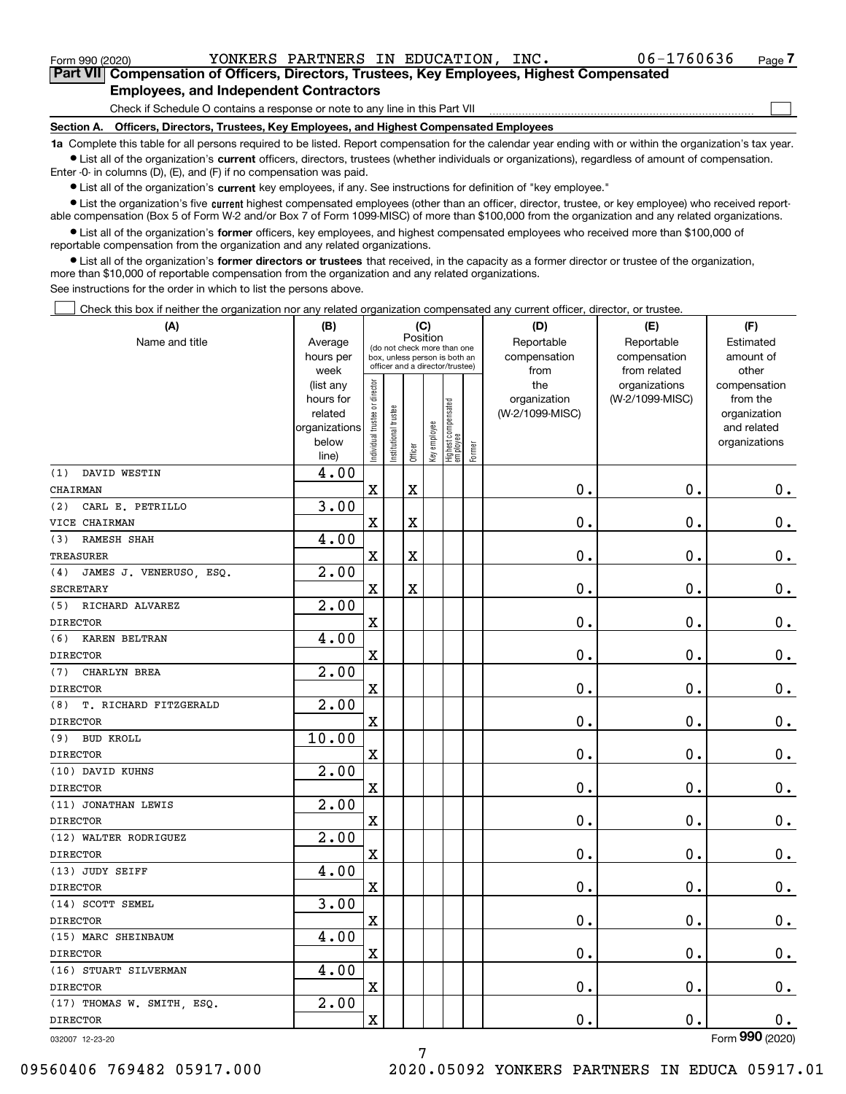<code>Form</code> 990 (2020) <code>YONKERS PARTNERS IN EDUCATION, INC.  $0$  06-1760636  $\,$  Page</code>

 $\mathcal{L}^{\text{max}}$ 

**7Part VII Compensation of Officers, Directors, Trustees, Key Employees, Highest Compensated Employees, and Independent Contractors**

Check if Schedule O contains a response or note to any line in this Part VII

**Section A. Officers, Directors, Trustees, Key Employees, and Highest Compensated Employees**

**1a**  Complete this table for all persons required to be listed. Report compensation for the calendar year ending with or within the organization's tax year. **•** List all of the organization's current officers, directors, trustees (whether individuals or organizations), regardless of amount of compensation.

Enter -0- in columns (D), (E), and (F) if no compensation was paid.

 $\bullet$  List all of the organization's  $\,$ current key employees, if any. See instructions for definition of "key employee."

**•** List the organization's five current highest compensated employees (other than an officer, director, trustee, or key employee) who received reportable compensation (Box 5 of Form W-2 and/or Box 7 of Form 1099-MISC) of more than \$100,000 from the organization and any related organizations.

**•** List all of the organization's former officers, key employees, and highest compensated employees who received more than \$100,000 of reportable compensation from the organization and any related organizations.

**former directors or trustees**  ¥ List all of the organization's that received, in the capacity as a former director or trustee of the organization, more than \$10,000 of reportable compensation from the organization and any related organizations.

See instructions for the order in which to list the persons above.

Check this box if neither the organization nor any related organization compensated any current officer, director, or trustee.  $\mathcal{L}^{\text{max}}$ 

| (A)                            | (B)                    |                               |                                 |                         | (C)          |                                  |        | (D)             | (E)             | (F)                          |
|--------------------------------|------------------------|-------------------------------|---------------------------------|-------------------------|--------------|----------------------------------|--------|-----------------|-----------------|------------------------------|
| Name and title                 | Average                |                               | (do not check more than one     |                         | Position     |                                  |        | Reportable      | Reportable      | Estimated                    |
|                                | hours per              |                               | box, unless person is both an   |                         |              |                                  |        | compensation    | compensation    | amount of                    |
|                                | week                   |                               | officer and a director/trustee) |                         |              |                                  |        | from            | from related    | other                        |
|                                | (list any              |                               |                                 |                         |              |                                  |        | the             | organizations   | compensation                 |
|                                | hours for              |                               |                                 |                         |              |                                  |        | organization    | (W-2/1099-MISC) | from the                     |
|                                | related                |                               |                                 |                         |              |                                  |        | (W-2/1099-MISC) |                 | organization                 |
|                                | organizations<br>below |                               |                                 |                         |              |                                  |        |                 |                 | and related<br>organizations |
|                                | line)                  | ndividual trustee or director | nstitutional trustee            | Officer                 | Key employee | Highest compensated<br> employee | Former |                 |                 |                              |
| DAVID WESTIN<br>(1)            | 4.00                   |                               |                                 |                         |              |                                  |        |                 |                 |                              |
| CHAIRMAN                       |                        | $\mathbf X$                   |                                 | $\overline{\textbf{X}}$ |              |                                  |        | 0.              | 0.              | $0_{.}$                      |
| CARL E. PETRILLO<br>(2)        | 3.00                   |                               |                                 |                         |              |                                  |        |                 |                 |                              |
| VICE CHAIRMAN                  |                        | X                             |                                 | X                       |              |                                  |        | 0.              | 0.              | $\mathbf 0$ .                |
| RAMESH SHAH<br>(3)             | 4.00                   |                               |                                 |                         |              |                                  |        |                 |                 |                              |
| <b>TREASURER</b>               |                        | $\mathbf X$                   |                                 | X                       |              |                                  |        | 0.              | 0.              | $\mathbf 0$ .                |
| JAMES J. VENERUSO, ESQ.<br>(4) | 2.00                   |                               |                                 |                         |              |                                  |        |                 |                 |                              |
| <b>SECRETARY</b>               |                        | X                             |                                 | $\overline{\textbf{X}}$ |              |                                  |        | 0.              | 0.              | $\mathbf 0$ .                |
| RICHARD ALVAREZ<br>(5)         | 2.00                   |                               |                                 |                         |              |                                  |        |                 |                 |                              |
| <b>DIRECTOR</b>                |                        | X                             |                                 |                         |              |                                  |        | 0.              | 0.              | $0_{.}$                      |
| (6)<br>KAREN BELTRAN           | 4.00                   |                               |                                 |                         |              |                                  |        |                 |                 |                              |
| <b>DIRECTOR</b>                |                        | $\mathbf X$                   |                                 |                         |              |                                  |        | 0.              | 0.              | $\mathbf 0$ .                |
| CHARLYN BREA<br>(7)            | 2.00                   |                               |                                 |                         |              |                                  |        |                 |                 |                              |
| <b>DIRECTOR</b>                |                        | $\rm X$                       |                                 |                         |              |                                  |        | 0.              | 0.              | $\mathbf 0$ .                |
| T. RICHARD FITZGERALD<br>(8)   | 2.00                   |                               |                                 |                         |              |                                  |        |                 |                 |                              |
| <b>DIRECTOR</b>                |                        | $\overline{\textbf{X}}$       |                                 |                         |              |                                  |        | 0.              | 0.              | $\mathbf 0$ .                |
| (9) BUD KROLL                  | 10.00                  |                               |                                 |                         |              |                                  |        |                 |                 |                              |
| <b>DIRECTOR</b>                |                        | X                             |                                 |                         |              |                                  |        | 0.              | 0.              | $\mathbf 0$ .                |
| (10) DAVID KUHNS               | 2.00                   |                               |                                 |                         |              |                                  |        |                 |                 |                              |
| <b>DIRECTOR</b>                |                        | X                             |                                 |                         |              |                                  |        | 0.              | 0.              | $\mathbf 0$ .                |
| (11) JONATHAN LEWIS            | $\overline{2.00}$      |                               |                                 |                         |              |                                  |        |                 |                 |                              |
| <b>DIRECTOR</b>                |                        | X                             |                                 |                         |              |                                  |        | 0.              | 0.              | $\mathbf 0$ .                |
| (12) WALTER RODRIGUEZ          | 2.00                   |                               |                                 |                         |              |                                  |        |                 |                 |                              |
| <b>DIRECTOR</b>                |                        | $\rm X$                       |                                 |                         |              |                                  |        | 0.              | 0.              | $\mathbf 0$ .                |
| (13) JUDY SEIFF                | 4.00                   |                               |                                 |                         |              |                                  |        |                 |                 |                              |
| <b>DIRECTOR</b>                |                        | $\overline{\mathbf{X}}$       |                                 |                         |              |                                  |        | 0.              | 0.              | $\mathbf 0$ .                |
| (14) SCOTT SEMEL               | 3.00                   |                               |                                 |                         |              |                                  |        |                 |                 |                              |
| <b>DIRECTOR</b>                |                        | $\rm X$                       |                                 |                         |              |                                  |        | 0.              | 0.              | $\mathbf 0$ .                |
| (15) MARC SHEINBAUM            | 4.00                   |                               |                                 |                         |              |                                  |        |                 |                 |                              |
| <b>DIRECTOR</b>                |                        | X                             |                                 |                         |              |                                  |        | 0.              | 0.              | $0_{.}$                      |
| (16) STUART SILVERMAN          | 4.00                   |                               |                                 |                         |              |                                  |        |                 |                 |                              |
| <b>DIRECTOR</b>                |                        | X                             |                                 |                         |              |                                  |        | 0.              | 0.              | $0_{.}$                      |
| (17) THOMAS W. SMITH, ESQ.     | 2.00                   |                               |                                 |                         |              |                                  |        |                 |                 |                              |
| <b>DIRECTOR</b>                |                        | $\overline{\mathbf{X}}$       |                                 |                         |              |                                  |        | 0.              | $0$ .           | 0.                           |
|                                |                        |                               |                                 |                         |              |                                  |        |                 |                 | $000$ (2222)                 |

032007 12-23-20

Form (2020) **990**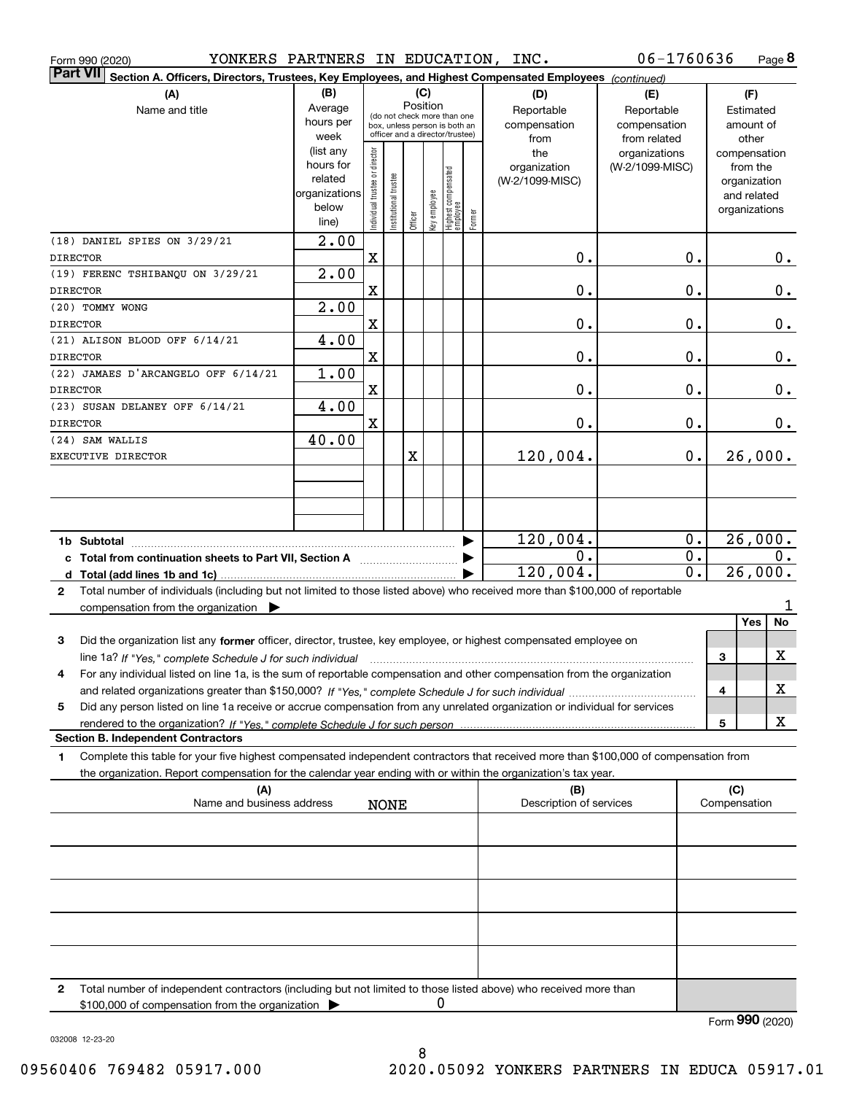|                 | Form 990 (2020) | YONKERS PARTNERS IN EDUCATION, INC.                                                                                                             |                          |                                |                       |         |              |                                  |        |                                | 06-1760636       |    |     |               | Page 8 |
|-----------------|-----------------|-------------------------------------------------------------------------------------------------------------------------------------------------|--------------------------|--------------------------------|-----------------------|---------|--------------|----------------------------------|--------|--------------------------------|------------------|----|-----|---------------|--------|
| Part VII        |                 | Section A. Officers, Directors, Trustees, Key Employees, and Highest Compensated Employees (continued)                                          |                          |                                |                       |         |              |                                  |        |                                |                  |    |     |               |        |
|                 |                 | (A)                                                                                                                                             | (B)                      |                                |                       |         | (C)          |                                  |        | (D)                            | (E)              |    |     | (F)           |        |
|                 |                 | Name and title                                                                                                                                  | Average                  |                                |                       |         | Position     | (do not check more than one      |        | Reportable                     | Reportable       |    |     | Estimated     |        |
|                 |                 |                                                                                                                                                 | hours per                |                                |                       |         |              | box, unless person is both an    |        | compensation                   | compensation     |    |     | amount of     |        |
|                 |                 |                                                                                                                                                 | week                     |                                |                       |         |              | officer and a director/trustee)  |        | from                           | from related     |    |     | other         |        |
|                 |                 |                                                                                                                                                 | (list any                |                                |                       |         |              |                                  |        | the                            | organizations    |    |     | compensation  |        |
|                 |                 |                                                                                                                                                 | hours for                |                                |                       |         |              |                                  |        | organization                   | (W-2/1099-MISC)  |    |     | from the      |        |
|                 |                 |                                                                                                                                                 | related<br>organizations |                                |                       |         |              |                                  |        | (W-2/1099-MISC)                |                  |    |     | organization  |        |
|                 |                 |                                                                                                                                                 | below                    |                                |                       |         |              |                                  |        |                                |                  |    |     | and related   |        |
|                 |                 |                                                                                                                                                 | line)                    | Individual trustee or director | Institutional trustee | Officer | Key employee | Highest compensated<br> employee | Former |                                |                  |    |     | organizations |        |
|                 |                 | (18) DANIEL SPIES ON 3/29/21                                                                                                                    | $\overline{2.00}$        |                                |                       |         |              |                                  |        |                                |                  |    |     |               |        |
| <b>DIRECTOR</b> |                 |                                                                                                                                                 |                          | $\mathbf x$                    |                       |         |              |                                  |        | 0.                             | 0.               |    |     |               | 0.     |
|                 |                 | (19) FERENC TSHIBANQU ON 3/29/21                                                                                                                | $\overline{2.00}$        |                                |                       |         |              |                                  |        |                                |                  |    |     |               |        |
| <b>DIRECTOR</b> |                 |                                                                                                                                                 |                          | X                              |                       |         |              |                                  |        | 0.                             | 0.               |    |     |               | 0.     |
|                 | (20) TOMMY WONG |                                                                                                                                                 | $\overline{2.00}$        |                                |                       |         |              |                                  |        |                                |                  |    |     |               |        |
| <b>DIRECTOR</b> |                 |                                                                                                                                                 |                          | $\mathbf X$                    |                       |         |              |                                  |        | 0.                             | 0.               |    |     |               | $0$ .  |
|                 |                 | (21) ALISON BLOOD OFF 6/14/21                                                                                                                   | 4.00                     |                                |                       |         |              |                                  |        |                                |                  |    |     |               |        |
| <b>DIRECTOR</b> |                 |                                                                                                                                                 |                          | X                              |                       |         |              |                                  |        | 0.                             | 0.               |    |     |               | $0$ .  |
|                 |                 | (22) JAMAES D'ARCANGELO OFF 6/14/21                                                                                                             | 1.00                     |                                |                       |         |              |                                  |        |                                |                  |    |     |               |        |
| <b>DIRECTOR</b> |                 |                                                                                                                                                 |                          | X                              |                       |         |              |                                  |        | 0.                             | 0.               |    |     |               | $0$ .  |
|                 |                 | (23) SUSAN DELANEY OFF 6/14/21                                                                                                                  | 4.00                     |                                |                       |         |              |                                  |        |                                |                  |    |     |               |        |
| <b>DIRECTOR</b> |                 |                                                                                                                                                 |                          | X                              |                       |         |              |                                  |        | 0.                             | 0.               |    |     |               | 0.     |
|                 | (24) SAM WALLIS |                                                                                                                                                 | 40.00                    |                                |                       |         |              |                                  |        |                                |                  |    |     |               |        |
|                 |                 | EXECUTIVE DIRECTOR                                                                                                                              |                          |                                |                       | X       |              |                                  |        | 120,004.                       |                  | 0. |     | 26,000.       |        |
|                 |                 |                                                                                                                                                 |                          |                                |                       |         |              |                                  |        |                                |                  |    |     |               |        |
|                 |                 |                                                                                                                                                 |                          |                                |                       |         |              |                                  |        |                                |                  |    |     |               |        |
|                 |                 |                                                                                                                                                 |                          |                                |                       |         |              |                                  |        |                                |                  |    |     |               |        |
|                 |                 |                                                                                                                                                 |                          |                                |                       |         |              |                                  |        | 120,004.                       | $0$ .            |    |     | 26,000.       |        |
|                 |                 | c Total from continuation sheets to Part VII, Section A                                                                                         |                          |                                |                       |         |              |                                  |        | 0.                             | $\overline{0}$ . |    |     |               | $0$ .  |
|                 |                 |                                                                                                                                                 |                          |                                |                       |         |              |                                  |        | 120,004.                       | $\overline{0}$ . |    |     | 26,000.       |        |
| $\mathbf{2}$    |                 | Total number of individuals (including but not limited to those listed above) who received more than \$100,000 of reportable                    |                          |                                |                       |         |              |                                  |        |                                |                  |    |     |               |        |
|                 |                 | compensation from the organization $\blacktriangleright$                                                                                        |                          |                                |                       |         |              |                                  |        |                                |                  |    |     |               | 1      |
|                 |                 |                                                                                                                                                 |                          |                                |                       |         |              |                                  |        |                                |                  |    |     | Yes           | No     |
| 3               |                 | Did the organization list any former officer, director, trustee, key employee, or highest compensated employee on                               |                          |                                |                       |         |              |                                  |        |                                |                  |    |     |               |        |
|                 |                 | line 1a? If "Yes," complete Schedule J for such individual manufactured contained and the 1a? If "Yes," complete Schedule J for such individual |                          |                                |                       |         |              |                                  |        |                                |                  |    | З   |               | X      |
|                 |                 | For any individual listed on line 1a, is the sum of reportable compensation and other compensation from the organization                        |                          |                                |                       |         |              |                                  |        |                                |                  |    |     |               |        |
|                 |                 |                                                                                                                                                 |                          |                                |                       |         |              |                                  |        |                                |                  |    | 4   |               | х      |
| 5               |                 | Did any person listed on line 1a receive or accrue compensation from any unrelated organization or individual for services                      |                          |                                |                       |         |              |                                  |        |                                |                  |    |     |               |        |
|                 |                 | rendered to the organization? If "Yes." complete Schedule J for such person.                                                                    |                          |                                |                       |         |              |                                  |        |                                |                  |    | 5   |               | х      |
|                 |                 | <b>Section B. Independent Contractors</b>                                                                                                       |                          |                                |                       |         |              |                                  |        |                                |                  |    |     |               |        |
| 1.              |                 | Complete this table for your five highest compensated independent contractors that received more than \$100,000 of compensation from            |                          |                                |                       |         |              |                                  |        |                                |                  |    |     |               |        |
|                 |                 | the organization. Report compensation for the calendar year ending with or within the organization's tax year.                                  |                          |                                |                       |         |              |                                  |        |                                |                  |    |     |               |        |
|                 |                 | (A)<br>Name and business address                                                                                                                |                          |                                | <b>NONE</b>           |         |              |                                  |        | (B)<br>Description of services |                  |    | (C) | Compensation  |        |
|                 |                 |                                                                                                                                                 |                          |                                |                       |         |              |                                  |        |                                |                  |    |     |               |        |
|                 |                 |                                                                                                                                                 |                          |                                |                       |         |              |                                  |        |                                |                  |    |     |               |        |
|                 |                 |                                                                                                                                                 |                          |                                |                       |         |              |                                  |        |                                |                  |    |     |               |        |
|                 |                 |                                                                                                                                                 |                          |                                |                       |         |              |                                  |        |                                |                  |    |     |               |        |
|                 |                 |                                                                                                                                                 |                          |                                |                       |         |              |                                  |        |                                |                  |    |     |               |        |
|                 |                 |                                                                                                                                                 |                          |                                |                       |         |              |                                  |        |                                |                  |    |     |               |        |
|                 |                 |                                                                                                                                                 |                          |                                |                       |         |              |                                  |        |                                |                  |    |     |               |        |
| 2               |                 | Total number of independent contractors (including but not limited to those listed above) who received more than                                |                          |                                |                       |         |              |                                  |        |                                |                  |    |     |               |        |

\$100,000 of compensation from the organization 0

Form (2020) **990**

032008 12-23-20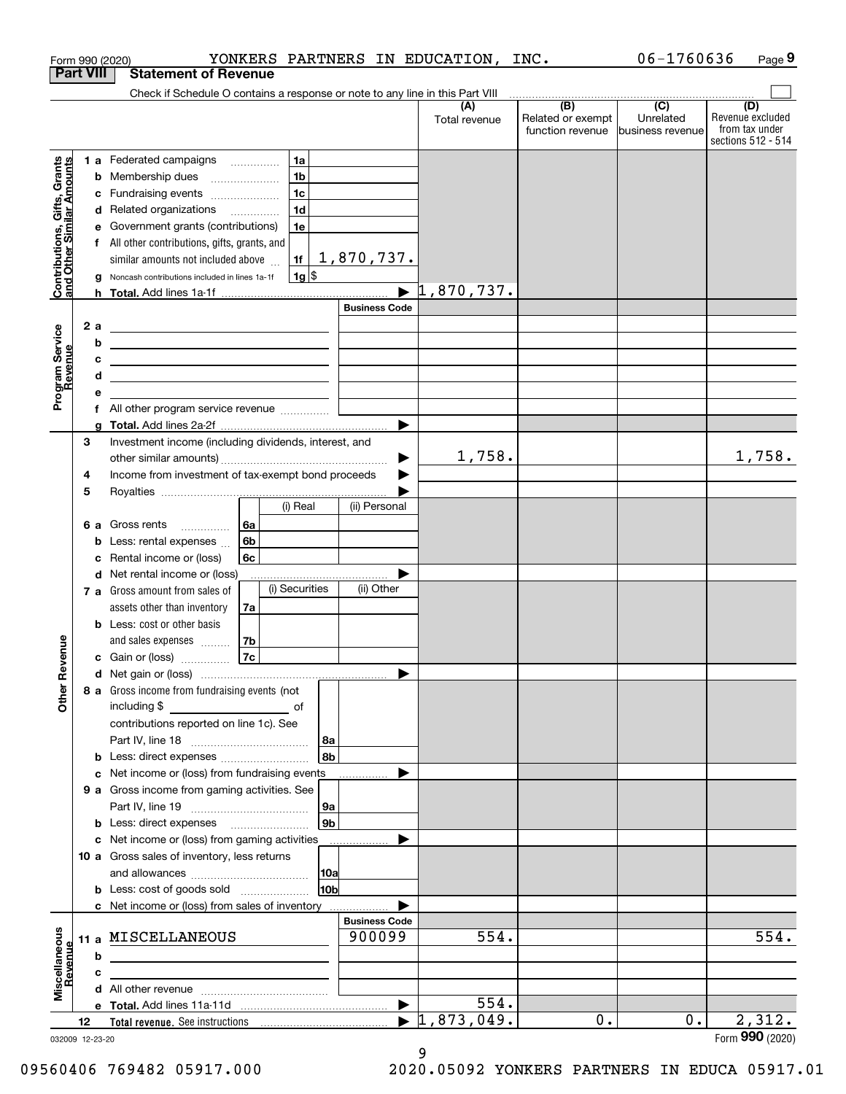|                                                           |                  |   | YONKERS PARTNERS IN EDUCATION,<br>Form 990 (2020)                                                                     |                        |                      | INC.                                         | 06-1760636                                        | Page 9                                                          |
|-----------------------------------------------------------|------------------|---|-----------------------------------------------------------------------------------------------------------------------|------------------------|----------------------|----------------------------------------------|---------------------------------------------------|-----------------------------------------------------------------|
|                                                           | <b>Part VIII</b> |   | <b>Statement of Revenue</b>                                                                                           |                        |                      |                                              |                                                   |                                                                 |
|                                                           |                  |   | Check if Schedule O contains a response or note to any line in this Part VIII                                         |                        |                      |                                              |                                                   |                                                                 |
|                                                           |                  |   |                                                                                                                       |                        | (A)<br>Total revenue | (B)<br>Related or exempt<br>function revenue | $\overline{(C)}$<br>Unrelated<br>business revenue | (D)<br>Revenue excluded<br>from tax under<br>sections 512 - 514 |
|                                                           |                  |   | 1 a Federated campaigns<br>1a                                                                                         |                        |                      |                                              |                                                   |                                                                 |
|                                                           |                  | b | 1 <sub>b</sub><br>Membership dues<br>$\overline{\phantom{a}}$                                                         |                        |                      |                                              |                                                   |                                                                 |
| Contributions, Gifts, Grants<br>and Other Similar Amounts |                  | с | 1 <sub>c</sub><br>Fundraising events                                                                                  |                        |                      |                                              |                                                   |                                                                 |
|                                                           |                  |   | 1 <sub>d</sub><br>d Related organizations                                                                             |                        |                      |                                              |                                                   |                                                                 |
|                                                           |                  | е | Government grants (contributions)<br>1e                                                                               |                        |                      |                                              |                                                   |                                                                 |
|                                                           |                  |   | f All other contributions, gifts, grants, and                                                                         |                        |                      |                                              |                                                   |                                                                 |
|                                                           |                  |   | similar amounts not included above<br>1f                                                                              | <u>1,870,737.</u>      |                      |                                              |                                                   |                                                                 |
|                                                           |                  | a | $1g$ \$<br>Noncash contributions included in lines 1a-1f                                                              | $\blacktriangleright$  | 1,870,737.           |                                              |                                                   |                                                                 |
|                                                           |                  | h |                                                                                                                       | <b>Business Code</b>   |                      |                                              |                                                   |                                                                 |
|                                                           | 2a               |   |                                                                                                                       |                        |                      |                                              |                                                   |                                                                 |
| Program Service<br>Revenue                                |                  | b | <u> 1989 - Andrea Stadt Britain, amerikansk politik (</u><br><u> 1989 - Johann Stoff, fransk politik (d. 1989)</u>    |                        |                      |                                              |                                                   |                                                                 |
|                                                           |                  | с | <u> 1989 - Johann Harry Harry Harry Harry Harry Harry Harry Harry Harry Harry Harry Harry Harry Harry Harry Harry</u> |                        |                      |                                              |                                                   |                                                                 |
|                                                           |                  | d | <u> 1989 - Johann Barbara, martxa alemaniar arg</u>                                                                   |                        |                      |                                              |                                                   |                                                                 |
|                                                           |                  | е |                                                                                                                       |                        |                      |                                              |                                                   |                                                                 |
|                                                           |                  |   | f All other program service revenue                                                                                   |                        |                      |                                              |                                                   |                                                                 |
|                                                           |                  | g |                                                                                                                       |                        |                      |                                              |                                                   |                                                                 |
|                                                           | 3                |   | Investment income (including dividends, interest, and                                                                 |                        |                      |                                              |                                                   |                                                                 |
|                                                           |                  |   | Income from investment of tax-exempt bond proceeds                                                                    | ▶                      | 1,758.               |                                              |                                                   | 1,758.                                                          |
|                                                           | 4<br>5           |   |                                                                                                                       | ▶                      |                      |                                              |                                                   |                                                                 |
|                                                           |                  |   | (i) Real                                                                                                              | (ii) Personal          |                      |                                              |                                                   |                                                                 |
|                                                           | 6а               |   | 6а<br>Gross rents                                                                                                     |                        |                      |                                              |                                                   |                                                                 |
|                                                           |                  | b | 6b<br>Less: rental expenses                                                                                           |                        |                      |                                              |                                                   |                                                                 |
|                                                           |                  | с | Rental income or (loss)<br>6с                                                                                         |                        |                      |                                              |                                                   |                                                                 |
|                                                           |                  |   | d Net rental income or (loss)                                                                                         |                        |                      |                                              |                                                   |                                                                 |
|                                                           |                  |   | (i) Securities<br>7 a Gross amount from sales of                                                                      | (ii) Other             |                      |                                              |                                                   |                                                                 |
|                                                           |                  |   | assets other than inventory<br>7a                                                                                     |                        |                      |                                              |                                                   |                                                                 |
|                                                           |                  |   | <b>b</b> Less: cost or other basis                                                                                    |                        |                      |                                              |                                                   |                                                                 |
| evenue                                                    |                  |   | 7b<br>and sales expenses                                                                                              |                        |                      |                                              |                                                   |                                                                 |
|                                                           |                  |   | 7c<br>c Gain or (loss)                                                                                                |                        |                      |                                              |                                                   |                                                                 |
| Œ                                                         |                  |   | 8 a Gross income from fundraising events (not                                                                         |                        |                      |                                              |                                                   |                                                                 |
| Other                                                     |                  |   | including \$<br>$\overline{\phantom{a}}$ of                                                                           |                        |                      |                                              |                                                   |                                                                 |
|                                                           |                  |   | contributions reported on line 1c). See                                                                               |                        |                      |                                              |                                                   |                                                                 |
|                                                           |                  |   |                                                                                                                       | 8a                     |                      |                                              |                                                   |                                                                 |
|                                                           |                  |   | <b>b</b> Less: direct expenses <b>constants b</b>                                                                     | 8b                     |                      |                                              |                                                   |                                                                 |
|                                                           |                  |   | c Net income or (loss) from fundraising events                                                                        |                        |                      |                                              |                                                   |                                                                 |
|                                                           |                  |   | 9 a Gross income from gaming activities. See                                                                          |                        |                      |                                              |                                                   |                                                                 |
|                                                           |                  |   |                                                                                                                       | 9a                     |                      |                                              |                                                   |                                                                 |
|                                                           |                  |   |                                                                                                                       | 9b                     |                      |                                              |                                                   |                                                                 |
|                                                           |                  |   | c Net income or (loss) from gaming activities                                                                         |                        |                      |                                              |                                                   |                                                                 |
|                                                           |                  |   | 10 a Gross sales of inventory, less returns                                                                           |                        |                      |                                              |                                                   |                                                                 |
|                                                           |                  |   |                                                                                                                       | 10a<br>10 <sub>b</sub> |                      |                                              |                                                   |                                                                 |
|                                                           |                  |   | <b>b</b> Less: cost of goods sold                                                                                     |                        |                      |                                              |                                                   |                                                                 |
|                                                           |                  |   | <b>c</b> Net income or (loss) from sales of inventory                                                                 | <b>Business Code</b>   |                      |                                              |                                                   |                                                                 |
|                                                           |                  |   | 11 a MISCELLANEOUS                                                                                                    | 900099                 | 554.                 |                                              |                                                   | 554.                                                            |
| Miscellaneous<br>Revenue                                  |                  | b |                                                                                                                       |                        |                      |                                              |                                                   |                                                                 |
|                                                           |                  | с | the control of the control of the control of the control of the control of the control of                             |                        |                      |                                              |                                                   |                                                                 |
|                                                           |                  |   |                                                                                                                       |                        |                      |                                              |                                                   |                                                                 |
|                                                           |                  |   |                                                                                                                       | $\blacktriangleright$  | 554.                 |                                              |                                                   |                                                                 |
|                                                           | 12               |   |                                                                                                                       | $\blacktriangleright$  | 1,873,049.           | 0.                                           | 0.                                                | 2,312.                                                          |
| 032009 12-23-20                                           |                  |   |                                                                                                                       |                        |                      |                                              |                                                   | Form 990 (2020)                                                 |

032009 12-23-20

9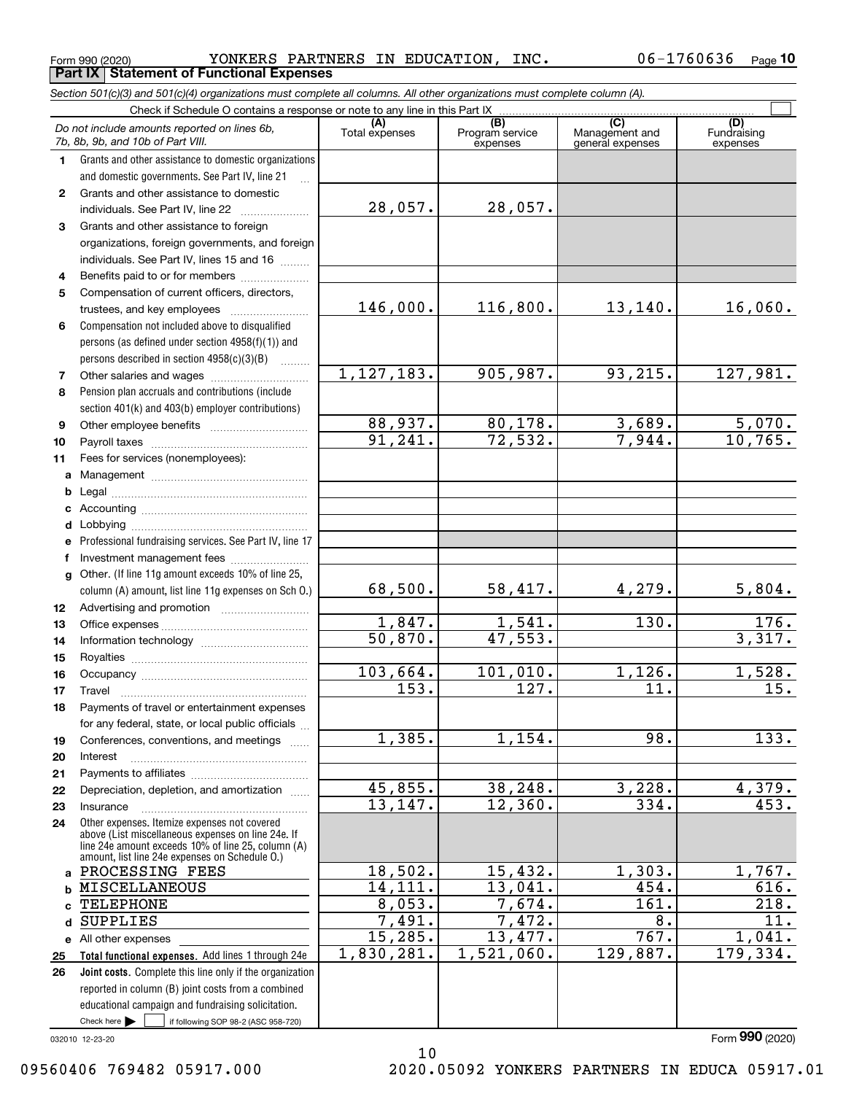<code>Form</code> 990 (2020) <code>YONKERS PARTNERS IN EDUCATION, INC.  $06-1760636$  <code>Page</code></code> **Part IX Statement of Functional Expenses**

|              | Section 501(c)(3) and 501(c)(4) organizations must complete all columns. All other organizations must complete column (A).                                 |                |                                    |                                           |                                |
|--------------|------------------------------------------------------------------------------------------------------------------------------------------------------------|----------------|------------------------------------|-------------------------------------------|--------------------------------|
|              |                                                                                                                                                            |                |                                    |                                           |                                |
|              | Do not include amounts reported on lines 6b,<br>7b, 8b, 9b, and 10b of Part VIII.                                                                          | Total expenses | (B)<br>Program service<br>expenses | (C)<br>Management and<br>general expenses | (D)<br>Fundraising<br>expenses |
| 1.           | Grants and other assistance to domestic organizations                                                                                                      |                |                                    |                                           |                                |
|              | and domestic governments. See Part IV, line 21                                                                                                             |                |                                    |                                           |                                |
| $\mathbf{2}$ | Grants and other assistance to domestic                                                                                                                    |                |                                    |                                           |                                |
|              | individuals. See Part IV, line 22                                                                                                                          | 28,057.        | 28,057.                            |                                           |                                |
| 3            | Grants and other assistance to foreign                                                                                                                     |                |                                    |                                           |                                |
|              | organizations, foreign governments, and foreign                                                                                                            |                |                                    |                                           |                                |
|              | individuals. See Part IV, lines 15 and 16                                                                                                                  |                |                                    |                                           |                                |
| 4            | Benefits paid to or for members                                                                                                                            |                |                                    |                                           |                                |
| 5            | Compensation of current officers, directors,                                                                                                               |                |                                    |                                           |                                |
|              | trustees, and key employees                                                                                                                                | 146,000.       | 116,800.                           | 13,140.                                   | 16,060.                        |
| 6            | Compensation not included above to disqualified                                                                                                            |                |                                    |                                           |                                |
|              | persons (as defined under section 4958(f)(1)) and                                                                                                          |                |                                    |                                           |                                |
|              | persons described in section 4958(c)(3)(B)<br>$\sim$                                                                                                       |                |                                    |                                           |                                |
| 7            |                                                                                                                                                            | 1, 127, 183.   | 905,987.                           | 93, 215.                                  | 127,981.                       |
| 8            | Pension plan accruals and contributions (include                                                                                                           |                |                                    |                                           |                                |
|              | section 401(k) and 403(b) employer contributions)                                                                                                          |                |                                    |                                           |                                |
| 9            |                                                                                                                                                            | 88,937.        | 80,178.                            | 3,689.                                    | 5,070.                         |
| 10           |                                                                                                                                                            | 91, 241.       | 72,532.                            | 7,944.                                    | 10,765.                        |
| 11           | Fees for services (nonemployees):                                                                                                                          |                |                                    |                                           |                                |
| a            |                                                                                                                                                            |                |                                    |                                           |                                |
| b            |                                                                                                                                                            |                |                                    |                                           |                                |
| c            |                                                                                                                                                            |                |                                    |                                           |                                |
| d            |                                                                                                                                                            |                |                                    |                                           |                                |
| е            | Professional fundraising services. See Part IV, line 17                                                                                                    |                |                                    |                                           |                                |
| f            | Investment management fees                                                                                                                                 |                |                                    |                                           |                                |
| $\mathbf{q}$ | Other. (If line 11g amount exceeds 10% of line 25,                                                                                                         |                |                                    |                                           |                                |
|              | column (A) amount, list line 11g expenses on Sch O.)                                                                                                       | 68,500.        | 58,417.                            | 4,279.                                    | 5,804.                         |
| 12           |                                                                                                                                                            |                |                                    |                                           |                                |
| 13           |                                                                                                                                                            | 1,847.         | 1,541.                             | 130.                                      | $\overline{176}$ .             |
| 14           |                                                                                                                                                            | 50,870.        | 47,553.                            |                                           | 3,317.                         |
| 15           |                                                                                                                                                            |                |                                    |                                           |                                |
| 16           |                                                                                                                                                            | 103,664.       | 101,010.                           | 1,126.<br>11.                             | 1,528.<br>$\overline{15}$ .    |
| 17           |                                                                                                                                                            | 153.           | 127.                               |                                           |                                |
| 18           | Payments of travel or entertainment expenses                                                                                                               |                |                                    |                                           |                                |
|              | for any federal, state, or local public officials                                                                                                          |                |                                    | 98.                                       |                                |
| 19           | Conferences, conventions, and meetings                                                                                                                     | 1,385.         | 1,154.                             |                                           | 133.                           |
| 20           | Interest                                                                                                                                                   |                |                                    |                                           |                                |
| 21           |                                                                                                                                                            | 45,855.        | 38,248.                            | 3,228.                                    |                                |
| 22           | Depreciation, depletion, and amortization                                                                                                                  | 13, 147.       | 12,360.                            | 334.                                      | 4,379.<br>453.                 |
| 23           | Insurance<br>Other expenses. Itemize expenses not covered                                                                                                  |                |                                    |                                           |                                |
| 24           | above (List miscellaneous expenses on line 24e. If<br>line 24e amount exceeds 10% of line 25, column (A)<br>amount, list line 24e expenses on Schedule O.) |                |                                    |                                           |                                |
| a            | PROCESSING FEES                                                                                                                                            | 18,502.        | 15,432.                            | 1,303.                                    | 1,767.                         |
| b            | MISCELLANEOUS                                                                                                                                              | 14,111.        | 13,041.                            | 454.                                      | 616.                           |
| c            | TELEPHONE                                                                                                                                                  | 8,053.         | 7,674.                             | $\overline{161}$ .                        | 218.                           |
| d            | SUPPLIES                                                                                                                                                   | 7,491.         | 7,472.                             | 8.                                        | 11.                            |
|              | e All other expenses                                                                                                                                       | 15,285.        | 13,477.                            | 767.                                      | 1,041.                         |
| 25           | Total functional expenses. Add lines 1 through 24e                                                                                                         | 1,830,281.     | 1,521,060.                         | 129,887.                                  | 179,334.                       |
| 26           | Joint costs. Complete this line only if the organization                                                                                                   |                |                                    |                                           |                                |
|              | reported in column (B) joint costs from a combined                                                                                                         |                |                                    |                                           |                                |
|              | educational campaign and fundraising solicitation.                                                                                                         |                |                                    |                                           |                                |

032010 12-23-20

Check here

 $\mathcal{L}^{\text{max}}$ 

if following SOP 98-2 (ASC 958-720)

Form (2020) **990**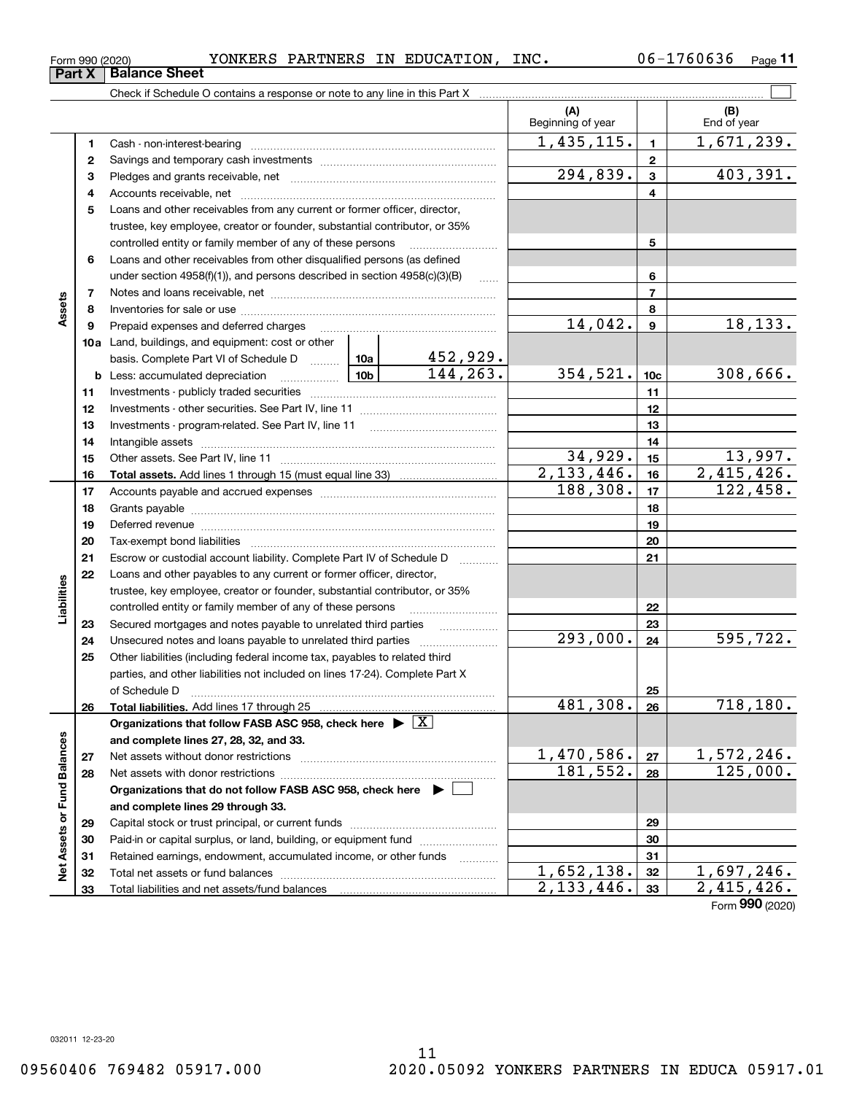Form (2020) **990**

**(A) (B) 1**Cash - non-interest-bearing **1**Beginning of year | | End of year 1,435,115. 1,671,239.

<code>Form</code> 990 (2020) <code>YONKERS PARTNERS IN EDUCATION, INC.  $06-1760636$  <code>Page</code></code> Check if Schedule O contains a response or note to any line in this Part X **Part X Balance Sheet**

| L, |                                                                                                                | T' # 2 3 ' T T 3 ' |                          | 1,0 <i>1</i> 1,439. |                   |
|----|----------------------------------------------------------------------------------------------------------------|--------------------|--------------------------|---------------------|-------------------|
| 2  |                                                                                                                |                    | 2                        |                     |                   |
| 3  |                                                                                                                | 294,839.           | 3                        | 403,391.            |                   |
| 4  |                                                                                                                |                    | 4                        |                     |                   |
| 5  | Loans and other receivables from any current or former officer, director,                                      |                    |                          |                     |                   |
|    | trustee, key employee, creator or founder, substantial contributor, or 35%                                     |                    |                          |                     |                   |
|    | controlled entity or family member of any of these persons                                                     |                    |                          | 5                   |                   |
| 6  | Loans and other receivables from other disqualified persons (as defined                                        |                    |                          |                     |                   |
|    | under section 4958(f)(1)), and persons described in section 4958(c)(3)(B)                                      | $\ldots$           |                          | 6                   |                   |
| 7  |                                                                                                                |                    |                          | 7                   |                   |
| 8  |                                                                                                                |                    |                          | 8                   |                   |
| 9  | Prepaid expenses and deferred charges                                                                          |                    | 14,042.                  | 9                   | 18, 133.          |
|    | 10a Land, buildings, and equipment: cost or other                                                              |                    |                          |                     |                   |
|    | basis. Complete Part VI of Schedule D  10a                                                                     | <u>452,929.</u>    |                          |                     |                   |
|    | <u>  10b</u>  <br><b>b</b> Less: accumulated depreciation                                                      | 144, 263.          | 354, 521.                | 10 <sub>c</sub>     | 308,666.          |
| 11 |                                                                                                                |                    |                          | 11                  |                   |
| 12 |                                                                                                                |                    |                          | 12                  |                   |
| 13 |                                                                                                                |                    |                          | 13                  |                   |
| 14 |                                                                                                                |                    |                          | 14                  |                   |
| 15 |                                                                                                                |                    | 34,929.                  | 15                  | 13,997.           |
| 16 |                                                                                                                |                    | 2,133,446.               | 16                  | 2,415,426.        |
| 17 |                                                                                                                |                    | 188,308.                 | 17                  | 122,458.          |
| 18 |                                                                                                                |                    |                          | 18                  |                   |
| 19 | Deferred revenue manufacture contracts and contracts are contracted revenue of the contract of the contract of |                    |                          | 19                  |                   |
| 20 |                                                                                                                |                    |                          | 20                  |                   |
| 21 | Escrow or custodial account liability. Complete Part IV of Schedule D                                          |                    |                          | 21                  |                   |
| 22 | Loans and other payables to any current or former officer, director,                                           |                    |                          |                     |                   |
|    | trustee, key employee, creator or founder, substantial contributor, or 35%                                     |                    |                          |                     |                   |
|    | controlled entity or family member of any of these persons                                                     |                    |                          | 22                  |                   |
| 23 | Secured mortgages and notes payable to unrelated third parties                                                 |                    |                          | 23                  |                   |
| 24 |                                                                                                                |                    | 293,000.                 | 24                  | 595,722.          |
| 25 | Other liabilities (including federal income tax, payables to related third                                     |                    |                          |                     |                   |
|    | parties, and other liabilities not included on lines 17-24). Complete Part X                                   |                    |                          |                     |                   |
|    | of Schedule D                                                                                                  |                    |                          | 25                  |                   |
| 26 | Total liabilities. Add lines 17 through 25                                                                     |                    | 481,308.                 | 26                  | 718, 180.         |
|    | Organizations that follow FASB ASC 958, check here $\blacktriangleright \boxed{X}$                             |                    |                          |                     |                   |
|    | and complete lines 27, 28, 32, and 33.                                                                         |                    |                          |                     |                   |
| 27 | Net assets without donor restrictions                                                                          |                    | 1,470,586.               | 27                  | 1,572,246.        |
| 28 |                                                                                                                |                    | 181,552.                 | 28                  | 125,000.          |
|    | Organizations that do not follow FASB ASC 958, check here $\blacktriangleright$                                |                    |                          |                     |                   |
|    | and complete lines 29 through 33.                                                                              |                    |                          |                     |                   |
| 29 |                                                                                                                |                    |                          | 29                  |                   |
| 30 | Paid-in or capital surplus, or land, building, or equipment fund                                               |                    |                          | 30                  |                   |
| 31 | Retained earnings, endowment, accumulated income, or other funds                                               |                    |                          | 31                  |                   |
| 32 |                                                                                                                |                    | $\overline{1,652,138}$ . | 32                  | <u>1,697,246.</u> |
| 33 |                                                                                                                |                    | 2, 133, 446.             | 33                  | 2,415,426.        |

**11**

 $\mathcal{L}^{\text{max}}$ 

**Assets**

**Liabilities**

Liabilities

**Net Assets or Fund Balances**

Net Assets or Fund Balances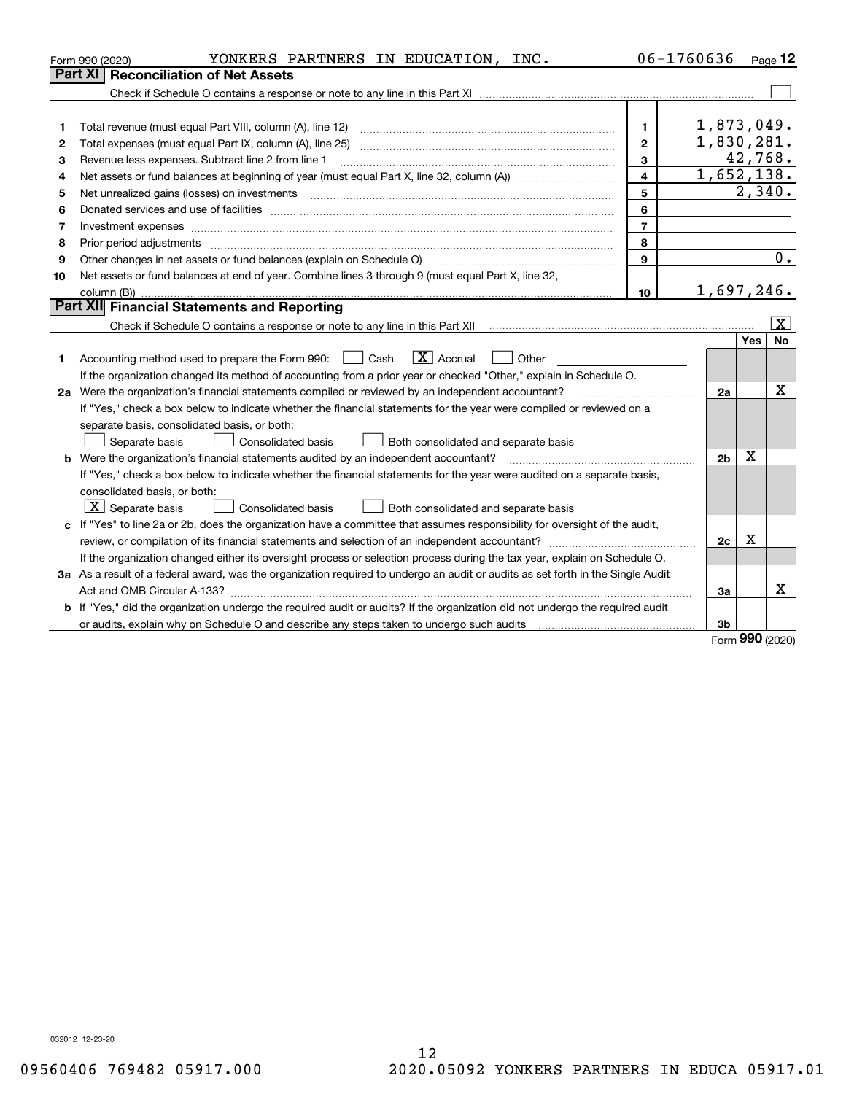| <b>Part XI Reconciliation of Net Assets</b><br>1,873,049.<br>$\mathbf 1$<br>1<br>1,830,281.<br>$\overline{2}$<br>2<br>3<br>Revenue less expenses. Subtract line 2 from line 1<br>З |     | 42,768.<br>$\overline{1,652},138.$<br>2,340. |
|------------------------------------------------------------------------------------------------------------------------------------------------------------------------------------|-----|----------------------------------------------|
|                                                                                                                                                                                    |     |                                              |
|                                                                                                                                                                                    |     |                                              |
|                                                                                                                                                                                    |     |                                              |
|                                                                                                                                                                                    |     |                                              |
|                                                                                                                                                                                    |     |                                              |
|                                                                                                                                                                                    |     |                                              |
| $\overline{4}$<br>4                                                                                                                                                                |     |                                              |
| 5<br>5                                                                                                                                                                             |     |                                              |
| 6<br>6                                                                                                                                                                             |     |                                              |
| $\overline{7}$<br>7<br>Investment expenses                                                                                                                                         |     |                                              |
| 8<br>8                                                                                                                                                                             |     |                                              |
| 9<br>Other changes in net assets or fund balances (explain on Schedule O)<br>9                                                                                                     |     | 0.                                           |
| Net assets or fund balances at end of year. Combine lines 3 through 9 (must equal Part X, line 32,<br>10                                                                           |     |                                              |
| 1,697,246.<br>10                                                                                                                                                                   |     |                                              |
| Part XII Financial Statements and Reporting                                                                                                                                        |     |                                              |
|                                                                                                                                                                                    |     | $\vert$ X $\vert$                            |
|                                                                                                                                                                                    | Yes | <b>No</b>                                    |
| $\boxed{\text{X}}$ Accrual<br>Accounting method used to prepare the Form 990: <u>[</u> Cash<br>Other<br>$\mathbf{1}$<br>1                                                          |     |                                              |
| If the organization changed its method of accounting from a prior year or checked "Other," explain in Schedule O.                                                                  |     |                                              |
| 2a Were the organization's financial statements compiled or reviewed by an independent accountant?<br>2a                                                                           |     | X                                            |
| If "Yes," check a box below to indicate whether the financial statements for the year were compiled or reviewed on a                                                               |     |                                              |
| separate basis, consolidated basis, or both:                                                                                                                                       |     |                                              |
| Both consolidated and separate basis<br>Separate basis<br>Consolidated basis                                                                                                       |     |                                              |
| <b>b</b> Were the organization's financial statements audited by an independent accountant?<br>2 <sub>b</sub>                                                                      | X   |                                              |
| If "Yes," check a box below to indicate whether the financial statements for the year were audited on a separate basis,                                                            |     |                                              |
| consolidated basis, or both:                                                                                                                                                       |     |                                              |
| $X$ Separate basis<br>Both consolidated and separate basis<br><b>Consolidated basis</b>                                                                                            |     |                                              |
| c If "Yes" to line 2a or 2b, does the organization have a committee that assumes responsibility for oversight of the audit,                                                        |     |                                              |
| review, or compilation of its financial statements and selection of an independent accountant?<br>2c                                                                               | x   |                                              |
| If the organization changed either its oversight process or selection process during the tax year, explain on Schedule O.                                                          |     |                                              |
| 3a As a result of a federal award, was the organization required to undergo an audit or audits as set forth in the Single Audit                                                    |     |                                              |
| За                                                                                                                                                                                 |     | Χ                                            |
| <b>b</b> If "Yes," did the organization undergo the required audit or audits? If the organization did not undergo the required audit                                               |     |                                              |
| or audits, explain why on Schedule O and describe any steps taken to undergo such audits [11] content to under<br>3b                                                               |     |                                              |

Form (2020) **990**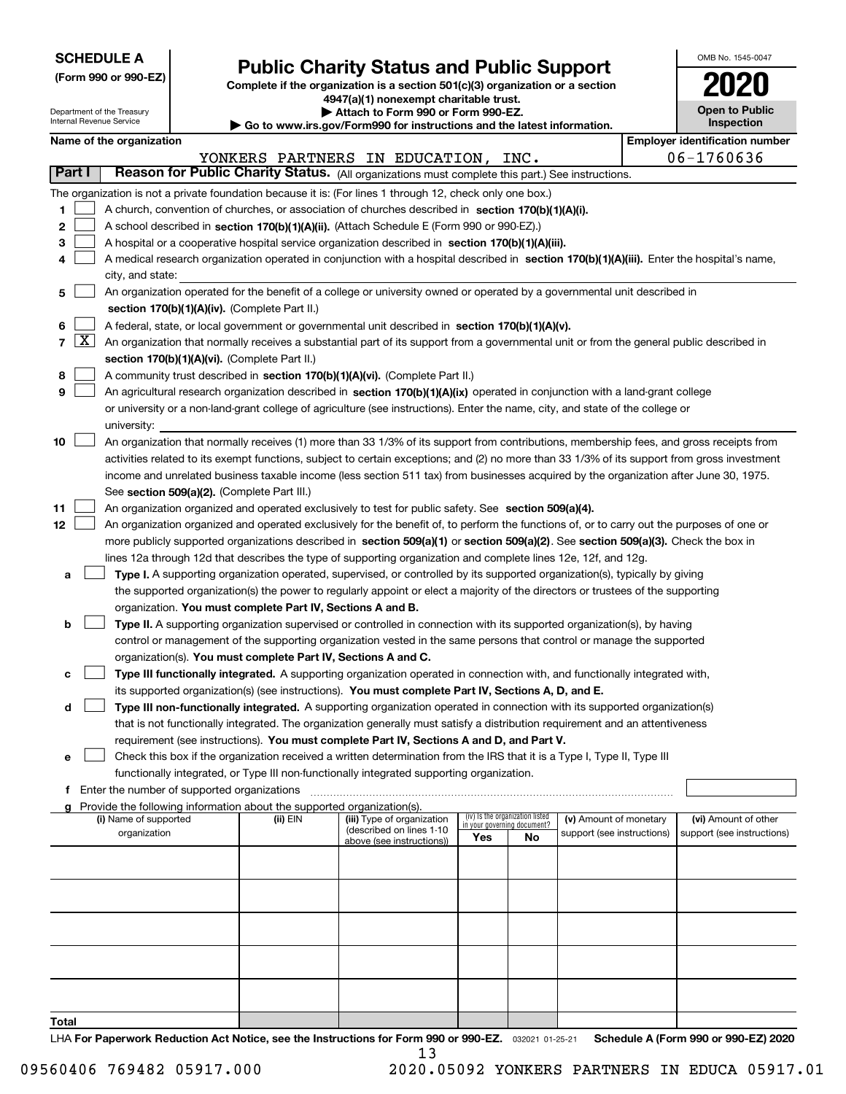| <b>SCHEDULE A</b> |
|-------------------|
|-------------------|

**(Form 990 or 990-EZ)**

## **Public Charity Status and Public Support**

**Complete if the organization is a section 501(c)(3) organization or a section 4947(a)(1) nonexempt charitable trust. | Attach to Form 990 or Form 990-EZ.** 

| OMB No. 1545-0047     |
|-----------------------|
| 2020                  |
| <b>Open to Public</b> |

|                |                     | Department of the Treasury<br>Internal Revenue Service |                                             |                                                                        | ▶ Attach to Form 990 or Form 990-EZ.                                                                                                         |     |                                 |                                                      |            | <b>Open to Public</b><br><b>Inspection</b>         |
|----------------|---------------------|--------------------------------------------------------|---------------------------------------------|------------------------------------------------------------------------|----------------------------------------------------------------------------------------------------------------------------------------------|-----|---------------------------------|------------------------------------------------------|------------|----------------------------------------------------|
|                |                     | Name of the organization                               |                                             |                                                                        | Go to www.irs.gov/Form990 for instructions and the latest information.                                                                       |     |                                 |                                                      |            | <b>Employer identification number</b>              |
|                |                     |                                                        |                                             |                                                                        |                                                                                                                                              |     |                                 |                                                      |            |                                                    |
| Part I         |                     |                                                        |                                             |                                                                        | YONKERS PARTNERS IN EDUCATION, INC.<br>Reason for Public Charity Status. (All organizations must complete this part.) See instructions.      |     |                                 |                                                      | 06-1760636 |                                                    |
|                |                     |                                                        |                                             |                                                                        |                                                                                                                                              |     |                                 |                                                      |            |                                                    |
|                |                     |                                                        |                                             |                                                                        | The organization is not a private foundation because it is: (For lines 1 through 12, check only one box.)                                    |     |                                 |                                                      |            |                                                    |
| 1              |                     |                                                        |                                             |                                                                        | A church, convention of churches, or association of churches described in section 170(b)(1)(A)(i).                                           |     |                                 |                                                      |            |                                                    |
| 2              |                     |                                                        |                                             |                                                                        | A school described in section 170(b)(1)(A)(ii). (Attach Schedule E (Form 990 or 990-EZ).)                                                    |     |                                 |                                                      |            |                                                    |
| з              |                     |                                                        |                                             |                                                                        | A hospital or a cooperative hospital service organization described in section 170(b)(1)(A)(iii).                                            |     |                                 |                                                      |            |                                                    |
| 4              |                     |                                                        |                                             |                                                                        | A medical research organization operated in conjunction with a hospital described in section 170(b)(1)(A)(iii). Enter the hospital's name,   |     |                                 |                                                      |            |                                                    |
|                |                     | city, and state:                                       |                                             |                                                                        |                                                                                                                                              |     |                                 |                                                      |            |                                                    |
| 5              |                     |                                                        |                                             |                                                                        | An organization operated for the benefit of a college or university owned or operated by a governmental unit described in                    |     |                                 |                                                      |            |                                                    |
|                |                     |                                                        |                                             | section 170(b)(1)(A)(iv). (Complete Part II.)                          |                                                                                                                                              |     |                                 |                                                      |            |                                                    |
| 6              |                     |                                                        |                                             |                                                                        | A federal, state, or local government or governmental unit described in section 170(b)(1)(A)(v).                                             |     |                                 |                                                      |            |                                                    |
| $\overline{7}$ | $\lfloor x \rfloor$ |                                                        |                                             |                                                                        | An organization that normally receives a substantial part of its support from a governmental unit or from the general public described in    |     |                                 |                                                      |            |                                                    |
|                |                     |                                                        |                                             | section 170(b)(1)(A)(vi). (Complete Part II.)                          |                                                                                                                                              |     |                                 |                                                      |            |                                                    |
| 8              |                     |                                                        |                                             |                                                                        | A community trust described in section 170(b)(1)(A)(vi). (Complete Part II.)                                                                 |     |                                 |                                                      |            |                                                    |
| 9              |                     |                                                        |                                             |                                                                        | An agricultural research organization described in section 170(b)(1)(A)(ix) operated in conjunction with a land-grant college                |     |                                 |                                                      |            |                                                    |
|                |                     |                                                        |                                             |                                                                        | or university or a non-land-grant college of agriculture (see instructions). Enter the name, city, and state of the college or               |     |                                 |                                                      |            |                                                    |
|                |                     | university:                                            |                                             |                                                                        |                                                                                                                                              |     |                                 |                                                      |            |                                                    |
| 10             |                     |                                                        |                                             |                                                                        | An organization that normally receives (1) more than 33 1/3% of its support from contributions, membership fees, and gross receipts from     |     |                                 |                                                      |            |                                                    |
|                |                     |                                                        |                                             |                                                                        | activities related to its exempt functions, subject to certain exceptions; and (2) no more than 33 1/3% of its support from gross investment |     |                                 |                                                      |            |                                                    |
|                |                     |                                                        |                                             |                                                                        | income and unrelated business taxable income (less section 511 tax) from businesses acquired by the organization after June 30, 1975.        |     |                                 |                                                      |            |                                                    |
|                |                     |                                                        |                                             | See section 509(a)(2). (Complete Part III.)                            |                                                                                                                                              |     |                                 |                                                      |            |                                                    |
| 11             |                     |                                                        |                                             |                                                                        | An organization organized and operated exclusively to test for public safety. See section 509(a)(4).                                         |     |                                 |                                                      |            |                                                    |
| 12             |                     |                                                        |                                             |                                                                        | An organization organized and operated exclusively for the benefit of, to perform the functions of, or to carry out the purposes of one or   |     |                                 |                                                      |            |                                                    |
|                |                     |                                                        |                                             |                                                                        | more publicly supported organizations described in section 509(a)(1) or section 509(a)(2). See section 509(a)(3). Check the box in           |     |                                 |                                                      |            |                                                    |
|                |                     |                                                        |                                             |                                                                        | lines 12a through 12d that describes the type of supporting organization and complete lines 12e, 12f, and 12g.                               |     |                                 |                                                      |            |                                                    |
| а              |                     |                                                        |                                             |                                                                        | Type I. A supporting organization operated, supervised, or controlled by its supported organization(s), typically by giving                  |     |                                 |                                                      |            |                                                    |
|                |                     |                                                        |                                             |                                                                        | the supported organization(s) the power to regularly appoint or elect a majority of the directors or trustees of the supporting              |     |                                 |                                                      |            |                                                    |
|                |                     |                                                        |                                             | organization. You must complete Part IV, Sections A and B.             |                                                                                                                                              |     |                                 |                                                      |            |                                                    |
| b              |                     |                                                        |                                             |                                                                        | Type II. A supporting organization supervised or controlled in connection with its supported organization(s), by having                      |     |                                 |                                                      |            |                                                    |
|                |                     |                                                        |                                             |                                                                        | control or management of the supporting organization vested in the same persons that control or manage the supported                         |     |                                 |                                                      |            |                                                    |
|                |                     |                                                        |                                             |                                                                        | organization(s). You must complete Part IV, Sections A and C.                                                                                |     |                                 |                                                      |            |                                                    |
| с              |                     |                                                        |                                             |                                                                        | Type III functionally integrated. A supporting organization operated in connection with, and functionally integrated with,                   |     |                                 |                                                      |            |                                                    |
|                |                     |                                                        |                                             |                                                                        | its supported organization(s) (see instructions). You must complete Part IV, Sections A, D, and E.                                           |     |                                 |                                                      |            |                                                    |
| d              |                     |                                                        |                                             |                                                                        | Type III non-functionally integrated. A supporting organization operated in connection with its supported organization(s)                    |     |                                 |                                                      |            |                                                    |
|                |                     |                                                        |                                             |                                                                        | that is not functionally integrated. The organization generally must satisfy a distribution requirement and an attentiveness                 |     |                                 |                                                      |            |                                                    |
|                |                     |                                                        |                                             |                                                                        | requirement (see instructions). You must complete Part IV, Sections A and D, and Part V.                                                     |     |                                 |                                                      |            |                                                    |
| е              |                     |                                                        |                                             |                                                                        | Check this box if the organization received a written determination from the IRS that it is a Type I, Type II, Type III                      |     |                                 |                                                      |            |                                                    |
|                |                     |                                                        |                                             |                                                                        | functionally integrated, or Type III non-functionally integrated supporting organization.                                                    |     |                                 |                                                      |            |                                                    |
|                |                     |                                                        | Enter the number of supported organizations |                                                                        |                                                                                                                                              |     |                                 |                                                      |            |                                                    |
|                |                     |                                                        |                                             | Provide the following information about the supported organization(s). |                                                                                                                                              |     | (iv) Is the organization listed |                                                      |            |                                                    |
|                |                     | (i) Name of supported<br>organization                  |                                             | (ii) EIN                                                               | (iii) Type of organization<br>(described on lines 1-10                                                                                       |     | in your governing document?     | (v) Amount of monetary<br>support (see instructions) |            | (vi) Amount of other<br>support (see instructions) |
|                |                     |                                                        |                                             |                                                                        | above (see instructions))                                                                                                                    | Yes | No                              |                                                      |            |                                                    |
|                |                     |                                                        |                                             |                                                                        |                                                                                                                                              |     |                                 |                                                      |            |                                                    |
|                |                     |                                                        |                                             |                                                                        |                                                                                                                                              |     |                                 |                                                      |            |                                                    |
|                |                     |                                                        |                                             |                                                                        |                                                                                                                                              |     |                                 |                                                      |            |                                                    |
|                |                     |                                                        |                                             |                                                                        |                                                                                                                                              |     |                                 |                                                      |            |                                                    |
|                |                     |                                                        |                                             |                                                                        |                                                                                                                                              |     |                                 |                                                      |            |                                                    |
|                |                     |                                                        |                                             |                                                                        |                                                                                                                                              |     |                                 |                                                      |            |                                                    |
|                |                     |                                                        |                                             |                                                                        |                                                                                                                                              |     |                                 |                                                      |            |                                                    |
|                |                     |                                                        |                                             |                                                                        |                                                                                                                                              |     |                                 |                                                      |            |                                                    |
|                |                     |                                                        |                                             |                                                                        |                                                                                                                                              |     |                                 |                                                      |            |                                                    |
|                |                     |                                                        |                                             |                                                                        |                                                                                                                                              |     |                                 |                                                      |            |                                                    |
| Total          |                     |                                                        |                                             |                                                                        |                                                                                                                                              |     |                                 |                                                      |            |                                                    |

LHA For Paperwork Reduction Act Notice, see the Instructions for Form 990 or 990-EZ. <sub>032021</sub> o1-25-21 Schedule A (Form 990 or 990-EZ) 2020 13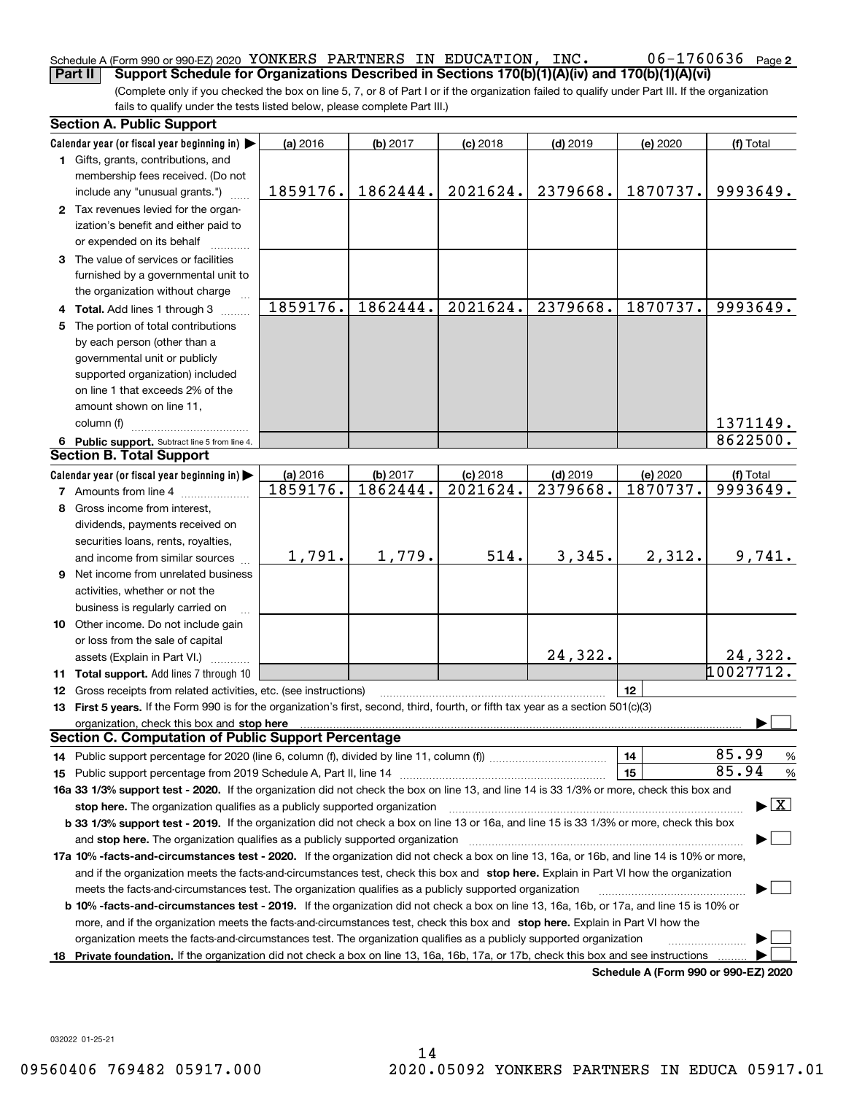#### 06-1760636 Page 2 Schedule A (Form 990 or 990-EZ) 2020 Page YONKERS PARTNERS IN EDUCATION, INC. 06-1760636 **Part II Support Schedule for Organizations Described in Sections 170(b)(1)(A)(iv) and 170(b)(1)(A)(vi)**

(Complete only if you checked the box on line 5, 7, or 8 of Part I or if the organization failed to qualify under Part III. If the organization fails to qualify under the tests listed below, please complete Part III.)

|    | <b>Section A. Public Support</b>                                                                                                                                                                                               |          |          |            |            |                                      |                                          |
|----|--------------------------------------------------------------------------------------------------------------------------------------------------------------------------------------------------------------------------------|----------|----------|------------|------------|--------------------------------------|------------------------------------------|
|    | Calendar year (or fiscal year beginning in) $\blacktriangleright$                                                                                                                                                              | (a) 2016 | (b) 2017 | $(c)$ 2018 | $(d)$ 2019 | (e) 2020                             | (f) Total                                |
|    | 1 Gifts, grants, contributions, and                                                                                                                                                                                            |          |          |            |            |                                      |                                          |
|    | membership fees received. (Do not                                                                                                                                                                                              |          |          |            |            |                                      |                                          |
|    | include any "unusual grants.")                                                                                                                                                                                                 | 1859176. | 1862444. | 2021624.   | 2379668.   | 1870737.                             | 9993649.                                 |
|    | 2 Tax revenues levied for the organ-                                                                                                                                                                                           |          |          |            |            |                                      |                                          |
|    | ization's benefit and either paid to                                                                                                                                                                                           |          |          |            |            |                                      |                                          |
|    | or expended on its behalf                                                                                                                                                                                                      |          |          |            |            |                                      |                                          |
|    | 3 The value of services or facilities                                                                                                                                                                                          |          |          |            |            |                                      |                                          |
|    | furnished by a governmental unit to                                                                                                                                                                                            |          |          |            |            |                                      |                                          |
|    | the organization without charge                                                                                                                                                                                                |          |          |            |            |                                      |                                          |
|    | 4 Total. Add lines 1 through 3                                                                                                                                                                                                 | 1859176. | 1862444. | 2021624.   | 2379668.   | 1870737.                             | 9993649.                                 |
|    | 5 The portion of total contributions                                                                                                                                                                                           |          |          |            |            |                                      |                                          |
|    | by each person (other than a                                                                                                                                                                                                   |          |          |            |            |                                      |                                          |
|    | governmental unit or publicly                                                                                                                                                                                                  |          |          |            |            |                                      |                                          |
|    | supported organization) included                                                                                                                                                                                               |          |          |            |            |                                      |                                          |
|    | on line 1 that exceeds 2% of the                                                                                                                                                                                               |          |          |            |            |                                      |                                          |
|    | amount shown on line 11,                                                                                                                                                                                                       |          |          |            |            |                                      |                                          |
|    | column (f)                                                                                                                                                                                                                     |          |          |            |            |                                      | 1371149.                                 |
|    | 6 Public support. Subtract line 5 from line 4.                                                                                                                                                                                 |          |          |            |            |                                      | 8622500.                                 |
|    | <b>Section B. Total Support</b>                                                                                                                                                                                                |          |          |            |            |                                      |                                          |
|    | Calendar year (or fiscal year beginning in)                                                                                                                                                                                    | (a) 2016 | (b) 2017 | $(c)$ 2018 | $(d)$ 2019 | (e) 2020                             | (f) Total                                |
|    | <b>7</b> Amounts from line 4                                                                                                                                                                                                   | 1859176. | 1862444. | 2021624.   | 2379668.   | 1870737.                             | 9993649.                                 |
| 8  | Gross income from interest,                                                                                                                                                                                                    |          |          |            |            |                                      |                                          |
|    | dividends, payments received on                                                                                                                                                                                                |          |          |            |            |                                      |                                          |
|    | securities loans, rents, royalties,                                                                                                                                                                                            |          |          |            |            |                                      |                                          |
|    | and income from similar sources                                                                                                                                                                                                | 1,791.   | 1,779.   | 514.       | 3,345.     | 2,312.                               | 9,741.                                   |
|    | <b>9</b> Net income from unrelated business                                                                                                                                                                                    |          |          |            |            |                                      |                                          |
|    | activities, whether or not the                                                                                                                                                                                                 |          |          |            |            |                                      |                                          |
|    | business is regularly carried on                                                                                                                                                                                               |          |          |            |            |                                      |                                          |
|    | 10 Other income. Do not include gain                                                                                                                                                                                           |          |          |            |            |                                      |                                          |
|    | or loss from the sale of capital                                                                                                                                                                                               |          |          |            |            |                                      |                                          |
|    | assets (Explain in Part VI.)                                                                                                                                                                                                   |          |          |            | 24,322.    |                                      | 24,322.                                  |
|    | 11 Total support. Add lines 7 through 10                                                                                                                                                                                       |          |          |            |            |                                      | 10027712.                                |
|    | <b>12</b> Gross receipts from related activities, etc. (see instructions)                                                                                                                                                      |          |          |            |            | 12                                   |                                          |
|    | 13 First 5 years. If the Form 990 is for the organization's first, second, third, fourth, or fifth tax year as a section 501(c)(3)                                                                                             |          |          |            |            |                                      |                                          |
|    | organization, check this box and stop here manufactured and according to the state of the state of the state of the state of the state of the state of the state of the state of the state of the state of the state of the st |          |          |            |            |                                      |                                          |
|    | <b>Section C. Computation of Public Support Percentage</b>                                                                                                                                                                     |          |          |            |            |                                      |                                          |
|    |                                                                                                                                                                                                                                |          |          |            |            | 14                                   | 85.99<br>%                               |
|    |                                                                                                                                                                                                                                |          |          |            |            | 15                                   | 85.94<br>$\%$                            |
|    | 16a 33 1/3% support test - 2020. If the organization did not check the box on line 13, and line 14 is 33 1/3% or more, check this box and                                                                                      |          |          |            |            |                                      |                                          |
|    | stop here. The organization qualifies as a publicly supported organization                                                                                                                                                     |          |          |            |            |                                      | $\blacktriangleright$ $\boxed{\text{X}}$ |
|    | b 33 1/3% support test - 2019. If the organization did not check a box on line 13 or 16a, and line 15 is 33 1/3% or more, check this box                                                                                       |          |          |            |            |                                      |                                          |
|    | and stop here. The organization qualifies as a publicly supported organization                                                                                                                                                 |          |          |            |            |                                      |                                          |
|    | 17a 10% -facts-and-circumstances test - 2020. If the organization did not check a box on line 13, 16a, or 16b, and line 14 is 10% or more,                                                                                     |          |          |            |            |                                      |                                          |
|    | and if the organization meets the facts-and-circumstances test, check this box and stop here. Explain in Part VI how the organization                                                                                          |          |          |            |            |                                      |                                          |
|    | meets the facts-and-circumstances test. The organization qualifies as a publicly supported organization                                                                                                                        |          |          |            |            |                                      |                                          |
|    | <b>b 10% -facts-and-circumstances test - 2019.</b> If the organization did not check a box on line 13, 16a, 16b, or 17a, and line 15 is 10% or                                                                                 |          |          |            |            |                                      |                                          |
|    | more, and if the organization meets the facts-and-circumstances test, check this box and stop here. Explain in Part VI how the                                                                                                 |          |          |            |            |                                      |                                          |
|    | organization meets the facts-and-circumstances test. The organization qualifies as a publicly supported organization                                                                                                           |          |          |            |            |                                      |                                          |
| 18 | Private foundation. If the organization did not check a box on line 13, 16a, 16b, 17a, or 17b, check this box and see instructions                                                                                             |          |          |            |            |                                      |                                          |
|    |                                                                                                                                                                                                                                |          |          |            |            | Schedule A (Form 990 or 990-F7) 2020 |                                          |

**Schedule A (Form 990 or 990-EZ) 2020**

032022 01-25-21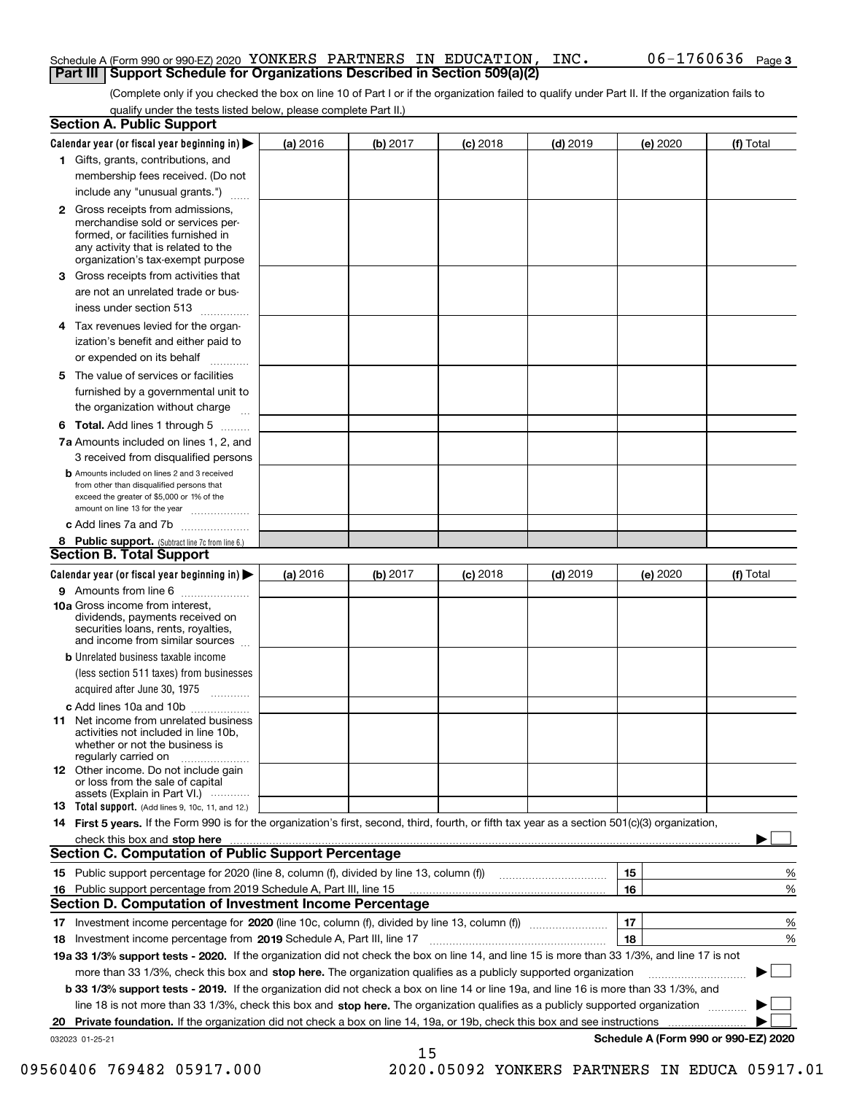#### Schedule A (Form 990 or 990-EZ) 2020 Page YONKERS PARTNERS IN EDUCATION, INC. 06-1760636 **Part III Support Schedule for Organizations Described in Section 509(a)(2)**

(Complete only if you checked the box on line 10 of Part I or if the organization failed to qualify under Part II. If the organization fails to qualify under the tests listed below, please complete Part II.)

|     | <b>Section A. Public Support</b>                                                                                                                                                                |          |          |            |            |          |                                      |
|-----|-------------------------------------------------------------------------------------------------------------------------------------------------------------------------------------------------|----------|----------|------------|------------|----------|--------------------------------------|
|     | Calendar year (or fiscal year beginning in) $\blacktriangleright$                                                                                                                               | (a) 2016 | (b) 2017 | $(c)$ 2018 | $(d)$ 2019 | (e) 2020 | (f) Total                            |
|     | 1 Gifts, grants, contributions, and                                                                                                                                                             |          |          |            |            |          |                                      |
|     | membership fees received. (Do not                                                                                                                                                               |          |          |            |            |          |                                      |
|     | include any "unusual grants.")                                                                                                                                                                  |          |          |            |            |          |                                      |
|     | <b>2</b> Gross receipts from admissions,<br>merchandise sold or services per-<br>formed, or facilities furnished in<br>any activity that is related to the<br>organization's tax-exempt purpose |          |          |            |            |          |                                      |
|     | 3 Gross receipts from activities that<br>are not an unrelated trade or bus-                                                                                                                     |          |          |            |            |          |                                      |
|     | iness under section 513                                                                                                                                                                         |          |          |            |            |          |                                      |
|     | 4 Tax revenues levied for the organ-<br>ization's benefit and either paid to                                                                                                                    |          |          |            |            |          |                                      |
|     | or expended on its behalf                                                                                                                                                                       |          |          |            |            |          |                                      |
|     | 5 The value of services or facilities<br>furnished by a governmental unit to                                                                                                                    |          |          |            |            |          |                                      |
|     | the organization without charge                                                                                                                                                                 |          |          |            |            |          |                                      |
|     | <b>6 Total.</b> Add lines 1 through 5                                                                                                                                                           |          |          |            |            |          |                                      |
|     | 7a Amounts included on lines 1, 2, and<br>3 received from disqualified persons                                                                                                                  |          |          |            |            |          |                                      |
|     | <b>b</b> Amounts included on lines 2 and 3 received<br>from other than disqualified persons that<br>exceed the greater of \$5,000 or 1% of the<br>amount on line 13 for the year                |          |          |            |            |          |                                      |
|     | c Add lines 7a and 7b                                                                                                                                                                           |          |          |            |            |          |                                      |
|     | 8 Public support. (Subtract line 7c from line 6.)<br><b>Section B. Total Support</b>                                                                                                            |          |          |            |            |          |                                      |
|     | Calendar year (or fiscal year beginning in)                                                                                                                                                     | (a) 2016 | (b) 2017 | $(c)$ 2018 | $(d)$ 2019 | (e) 2020 | (f) Total                            |
|     | 9 Amounts from line 6                                                                                                                                                                           |          |          |            |            |          |                                      |
|     | <b>10a</b> Gross income from interest,<br>dividends, payments received on<br>securities loans, rents, royalties,<br>and income from similar sources                                             |          |          |            |            |          |                                      |
|     | <b>b</b> Unrelated business taxable income<br>(less section 511 taxes) from businesses                                                                                                          |          |          |            |            |          |                                      |
|     | acquired after June 30, 1975                                                                                                                                                                    |          |          |            |            |          |                                      |
|     | c Add lines 10a and 10b                                                                                                                                                                         |          |          |            |            |          |                                      |
|     | 11 Net income from unrelated business<br>activities not included in line 10b,<br>whether or not the business is<br>regularly carried on                                                         |          |          |            |            |          |                                      |
|     | 12 Other income. Do not include gain<br>or loss from the sale of capital<br>assets (Explain in Part VI.)                                                                                        |          |          |            |            |          |                                      |
|     | 13 Total support. (Add lines 9, 10c, 11, and 12.)                                                                                                                                               |          |          |            |            |          |                                      |
|     | 14 First 5 years. If the Form 990 is for the organization's first, second, third, fourth, or fifth tax year as a section 501(c)(3) organization,                                                |          |          |            |            |          |                                      |
|     |                                                                                                                                                                                                 |          |          |            |            |          |                                      |
|     | <b>Section C. Computation of Public Support Percentage</b>                                                                                                                                      |          |          |            |            |          |                                      |
|     |                                                                                                                                                                                                 |          |          |            |            | 15       | %                                    |
| 16. | Public support percentage from 2019 Schedule A, Part III, line 15                                                                                                                               |          |          |            |            | 16       | %                                    |
|     | Section D. Computation of Investment Income Percentage                                                                                                                                          |          |          |            |            |          |                                      |
|     | 17 Investment income percentage for 2020 (line 10c, column (f), divided by line 13, column (f))<br>18 Investment income percentage from 2019 Schedule A, Part III, line 17                      |          |          |            |            | 17<br>18 | %<br>%                               |
|     | 19a 33 1/3% support tests - 2020. If the organization did not check the box on line 14, and line 15 is more than 33 1/3%, and line 17 is not                                                    |          |          |            |            |          |                                      |
|     | more than 33 1/3%, check this box and stop here. The organization qualifies as a publicly supported organization                                                                                |          |          |            |            |          |                                      |
|     | b 33 1/3% support tests - 2019. If the organization did not check a box on line 14 or line 19a, and line 16 is more than 33 1/3%, and                                                           |          |          |            |            |          |                                      |
|     | line 18 is not more than 33 1/3%, check this box and stop here. The organization qualifies as a publicly supported organization                                                                 |          |          |            |            |          |                                      |
| 20  | <b>Private foundation.</b> If the organization did not check a box on line 14, 19a, or 19b, check this box and see instructions                                                                 |          |          |            |            |          | .                                    |
|     | 032023 01-25-21                                                                                                                                                                                 |          |          |            |            |          | Schedule A (Form 990 or 990-EZ) 2020 |
|     |                                                                                                                                                                                                 |          | 15       |            |            |          |                                      |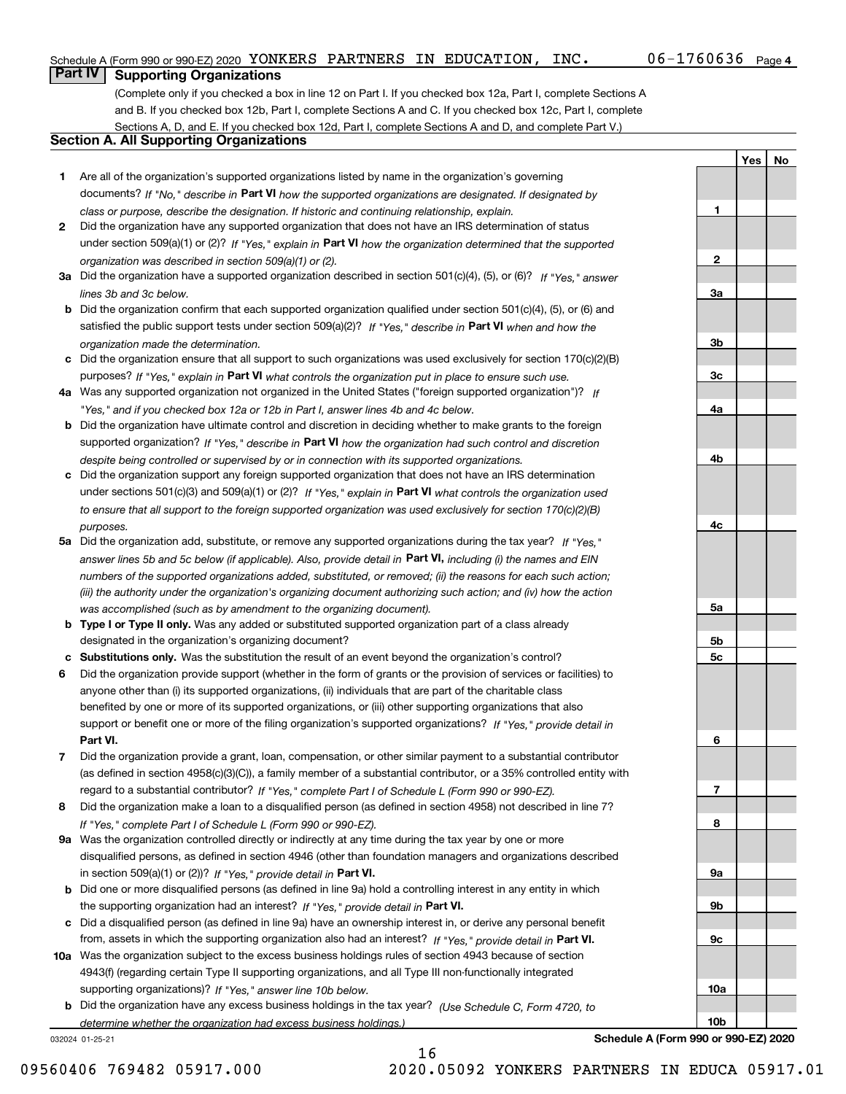**1**

**2**

**3a**

**3b**

**3c**

**4a**

**4b**

**4c**

**5a**

**5b5c**

**6**

**7**

**8**

**9a**

**9b**

**9c**

**10a**

**10b**

**YesNo**

## **Part IV Supporting Organizations**

(Complete only if you checked a box in line 12 on Part I. If you checked box 12a, Part I, complete Sections A and B. If you checked box 12b, Part I, complete Sections A and C. If you checked box 12c, Part I, complete Sections A, D, and E. If you checked box 12d, Part I, complete Sections A and D, and complete Part V.)

#### **Section A. All Supporting Organizations**

- **1** Are all of the organization's supported organizations listed by name in the organization's governing documents? If "No," describe in **Part VI** how the supported organizations are designated. If designated by *class or purpose, describe the designation. If historic and continuing relationship, explain.*
- **2** Did the organization have any supported organization that does not have an IRS determination of status under section 509(a)(1) or (2)? If "Yes," explain in Part VI how the organization determined that the supported *organization was described in section 509(a)(1) or (2).*
- **3a** Did the organization have a supported organization described in section 501(c)(4), (5), or (6)? If "Yes," answer *lines 3b and 3c below.*
- **b** Did the organization confirm that each supported organization qualified under section 501(c)(4), (5), or (6) and satisfied the public support tests under section 509(a)(2)? If "Yes," describe in **Part VI** when and how the *organization made the determination.*
- **c**Did the organization ensure that all support to such organizations was used exclusively for section 170(c)(2)(B) purposes? If "Yes," explain in **Part VI** what controls the organization put in place to ensure such use.
- **4a***If* Was any supported organization not organized in the United States ("foreign supported organization")? *"Yes," and if you checked box 12a or 12b in Part I, answer lines 4b and 4c below.*
- **b** Did the organization have ultimate control and discretion in deciding whether to make grants to the foreign supported organization? If "Yes," describe in **Part VI** how the organization had such control and discretion *despite being controlled or supervised by or in connection with its supported organizations.*
- **c** Did the organization support any foreign supported organization that does not have an IRS determination under sections 501(c)(3) and 509(a)(1) or (2)? If "Yes," explain in **Part VI** what controls the organization used *to ensure that all support to the foreign supported organization was used exclusively for section 170(c)(2)(B) purposes.*
- **5a** Did the organization add, substitute, or remove any supported organizations during the tax year? If "Yes," answer lines 5b and 5c below (if applicable). Also, provide detail in **Part VI,** including (i) the names and EIN *numbers of the supported organizations added, substituted, or removed; (ii) the reasons for each such action; (iii) the authority under the organization's organizing document authorizing such action; and (iv) how the action was accomplished (such as by amendment to the organizing document).*
- **b** Type I or Type II only. Was any added or substituted supported organization part of a class already designated in the organization's organizing document?
- **cSubstitutions only.**  Was the substitution the result of an event beyond the organization's control?
- **6** Did the organization provide support (whether in the form of grants or the provision of services or facilities) to **Part VI.** *If "Yes," provide detail in* support or benefit one or more of the filing organization's supported organizations? anyone other than (i) its supported organizations, (ii) individuals that are part of the charitable class benefited by one or more of its supported organizations, or (iii) other supporting organizations that also
- **7**Did the organization provide a grant, loan, compensation, or other similar payment to a substantial contributor *If "Yes," complete Part I of Schedule L (Form 990 or 990-EZ).* regard to a substantial contributor? (as defined in section 4958(c)(3)(C)), a family member of a substantial contributor, or a 35% controlled entity with
- **8** Did the organization make a loan to a disqualified person (as defined in section 4958) not described in line 7? *If "Yes," complete Part I of Schedule L (Form 990 or 990-EZ).*
- **9a** Was the organization controlled directly or indirectly at any time during the tax year by one or more in section 509(a)(1) or (2))? If "Yes," *provide detail in* <code>Part VI.</code> disqualified persons, as defined in section 4946 (other than foundation managers and organizations described
- **b** Did one or more disqualified persons (as defined in line 9a) hold a controlling interest in any entity in which the supporting organization had an interest? If "Yes," provide detail in P**art VI**.
- **c**Did a disqualified person (as defined in line 9a) have an ownership interest in, or derive any personal benefit from, assets in which the supporting organization also had an interest? If "Yes," provide detail in P**art VI.**
- **10a** Was the organization subject to the excess business holdings rules of section 4943 because of section supporting organizations)? If "Yes," answer line 10b below. 4943(f) (regarding certain Type II supporting organizations, and all Type III non-functionally integrated
- **b** Did the organization have any excess business holdings in the tax year? (Use Schedule C, Form 4720, to *determine whether the organization had excess business holdings.)*

16

032024 01-25-21

**Schedule A (Form 990 or 990-EZ) 2020**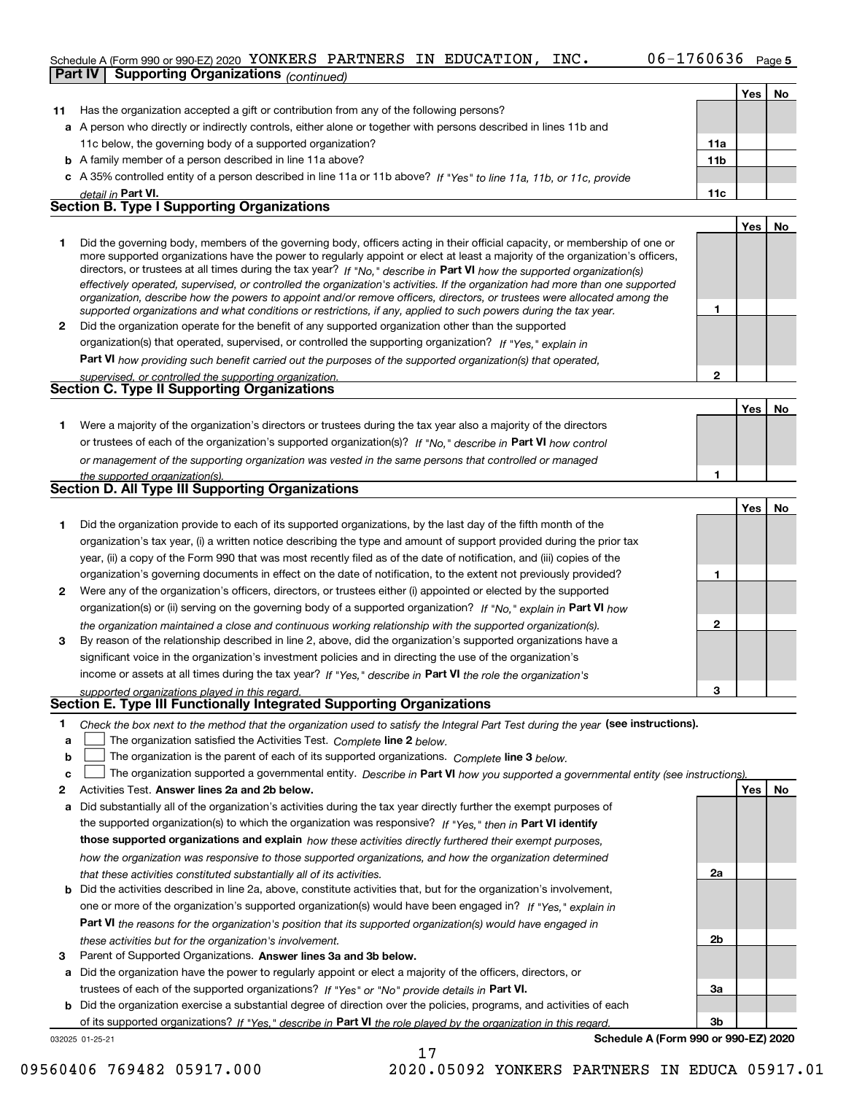#### Schedule A (Form 990 or 990-EZ) 2020 Page YONKERS PARTNERS IN EDUCATION, INC. 06-1760636 **Part IV Supporting Organizations** *(continued)*

|    |                                                                                                                                                                                                                                                           |                 | Yes   No |    |
|----|-----------------------------------------------------------------------------------------------------------------------------------------------------------------------------------------------------------------------------------------------------------|-----------------|----------|----|
| 11 | Has the organization accepted a gift or contribution from any of the following persons?                                                                                                                                                                   |                 |          |    |
|    | a A person who directly or indirectly controls, either alone or together with persons described in lines 11b and                                                                                                                                          |                 |          |    |
|    | 11c below, the governing body of a supported organization?                                                                                                                                                                                                | 11a             |          |    |
|    | <b>b</b> A family member of a person described in line 11a above?                                                                                                                                                                                         | 11 <sub>b</sub> |          |    |
|    | c A 35% controlled entity of a person described in line 11a or 11b above? If "Yes" to line 11a, 11b, or 11c, provide                                                                                                                                      |                 |          |    |
|    | detail in Part VI.                                                                                                                                                                                                                                        | 11c             |          |    |
|    | <b>Section B. Type I Supporting Organizations</b>                                                                                                                                                                                                         |                 |          |    |
|    |                                                                                                                                                                                                                                                           |                 | Yes      | No |
| 1  | Did the governing body, members of the governing body, officers acting in their official capacity, or membership of one or                                                                                                                                |                 |          |    |
|    | more supported organizations have the power to regularly appoint or elect at least a majority of the organization's officers,                                                                                                                             |                 |          |    |
|    | directors, or trustees at all times during the tax year? If "No," describe in Part VI how the supported organization(s)<br>effectively operated, supervised, or controlled the organization's activities. If the organization had more than one supported |                 |          |    |
|    | organization, describe how the powers to appoint and/or remove officers, directors, or trustees were allocated among the                                                                                                                                  |                 |          |    |
|    | supported organizations and what conditions or restrictions, if any, applied to such powers during the tax year.                                                                                                                                          | 1               |          |    |
| 2  | Did the organization operate for the benefit of any supported organization other than the supported                                                                                                                                                       |                 |          |    |
|    | organization(s) that operated, supervised, or controlled the supporting organization? If "Yes," explain in                                                                                                                                                |                 |          |    |
|    | Part VI how providing such benefit carried out the purposes of the supported organization(s) that operated,                                                                                                                                               |                 |          |    |
|    | supervised, or controlled the supporting organization.                                                                                                                                                                                                    | 2               |          |    |
|    | <b>Section C. Type II Supporting Organizations</b>                                                                                                                                                                                                        |                 |          |    |
|    |                                                                                                                                                                                                                                                           |                 | Yes      | No |
| 1. | Were a majority of the organization's directors or trustees during the tax year also a majority of the directors                                                                                                                                          |                 |          |    |
|    | or trustees of each of the organization's supported organization(s)? If "No," describe in Part VI how control                                                                                                                                             |                 |          |    |
|    | or management of the supporting organization was vested in the same persons that controlled or managed                                                                                                                                                    |                 |          |    |
|    | the supported organization(s).<br><b>Section D. All Type III Supporting Organizations</b>                                                                                                                                                                 | 1               |          |    |
|    |                                                                                                                                                                                                                                                           |                 |          |    |
|    |                                                                                                                                                                                                                                                           |                 | Yes      | No |
| 1  | Did the organization provide to each of its supported organizations, by the last day of the fifth month of the                                                                                                                                            |                 |          |    |
|    | organization's tax year, (i) a written notice describing the type and amount of support provided during the prior tax                                                                                                                                     |                 |          |    |
|    | year, (ii) a copy of the Form 990 that was most recently filed as of the date of notification, and (iii) copies of the                                                                                                                                    |                 |          |    |
|    | organization's governing documents in effect on the date of notification, to the extent not previously provided?                                                                                                                                          | 1               |          |    |
| 2  | Were any of the organization's officers, directors, or trustees either (i) appointed or elected by the supported                                                                                                                                          |                 |          |    |
|    | organization(s) or (ii) serving on the governing body of a supported organization? If "No," explain in Part VI how                                                                                                                                        |                 |          |    |
|    | the organization maintained a close and continuous working relationship with the supported organization(s).                                                                                                                                               | 2               |          |    |
| 3  | By reason of the relationship described in line 2, above, did the organization's supported organizations have a                                                                                                                                           |                 |          |    |
|    | significant voice in the organization's investment policies and in directing the use of the organization's                                                                                                                                                |                 |          |    |
|    | income or assets at all times during the tax year? If "Yes," describe in Part VI the role the organization's                                                                                                                                              | 3               |          |    |
|    | supported organizations played in this regard.<br><b>Section E. Type III Functionally Integrated Supporting Organizations</b>                                                                                                                             |                 |          |    |
| 1  |                                                                                                                                                                                                                                                           |                 |          |    |
| a  | Check the box next to the method that the organization used to satisfy the Integral Part Test during the year (see instructions).<br>The organization satisfied the Activities Test. Complete line 2 below.                                               |                 |          |    |
| b  | The organization is the parent of each of its supported organizations. Complete line 3 below.                                                                                                                                                             |                 |          |    |
| C  | The organization supported a governmental entity. Describe in Part VI how you supported a governmental entity (see instructions).                                                                                                                         |                 |          |    |
| 2  | Activities Test. Answer lines 2a and 2b below.                                                                                                                                                                                                            |                 | Yes      | No |
| a  | Did substantially all of the organization's activities during the tax year directly further the exempt purposes of                                                                                                                                        |                 |          |    |
|    | the supported organization(s) to which the organization was responsive? If "Yes," then in Part VI identify                                                                                                                                                |                 |          |    |
|    | those supported organizations and explain how these activities directly furthered their exempt purposes,                                                                                                                                                  |                 |          |    |
|    | how the organization was responsive to those supported organizations, and how the organization determined                                                                                                                                                 |                 |          |    |
|    | that these activities constituted substantially all of its activities.                                                                                                                                                                                    | 2a              |          |    |
| b  | Did the activities described in line 2a, above, constitute activities that, but for the organization's involvement,                                                                                                                                       |                 |          |    |
|    | one or more of the organization's supported organization(s) would have been engaged in? If "Yes," explain in                                                                                                                                              |                 |          |    |
|    | <b>Part VI</b> the reasons for the organization's position that its supported organization(s) would have engaged in                                                                                                                                       |                 |          |    |
|    | these activities but for the organization's involvement.                                                                                                                                                                                                  | 2b              |          |    |
| з  | Parent of Supported Organizations. Answer lines 3a and 3b below.                                                                                                                                                                                          |                 |          |    |
|    | a Did the organization have the power to regularly appoint or elect a majority of the officers, directors, or                                                                                                                                             |                 |          |    |
|    | trustees of each of the supported organizations? If "Yes" or "No" provide details in Part VI.                                                                                                                                                             | За              |          |    |
|    | the examination exercise a substantial degree of direction ever the policies<br>and activities of a                                                                                                                                                       |                 |          |    |

032025 01-25-21 **b** Did the organization exercise a substantial degree of direction over the policies, programs, and activities of each of its supported organizations? If "Yes," describe in Part VI the role played by the organization in this regard.

17

**Schedule A (Form 990 or 990-EZ) 2020**

**3b**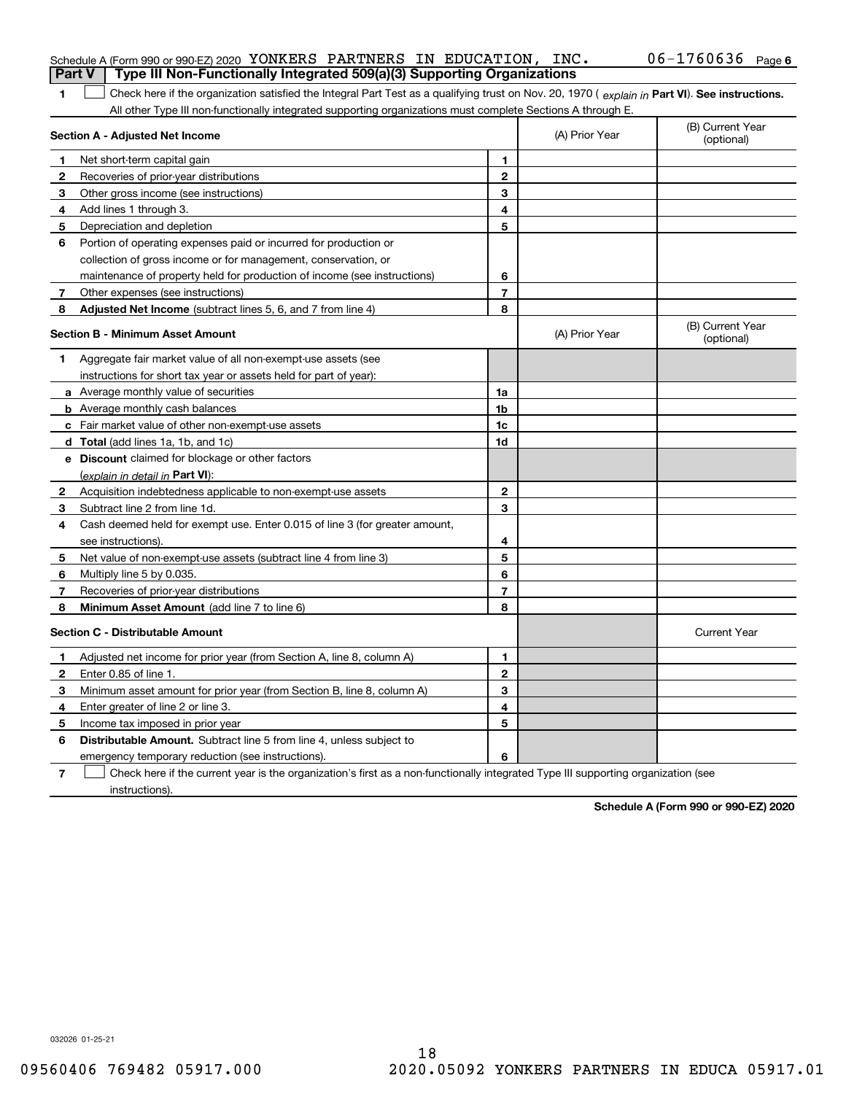| <b>Part V</b> | Schedule A (Form 990 or 990-EZ) 2020 YONKERS PARTNERS IN EDUCATION, INC.<br>Type III Non-Functionally Integrated 509(a)(3) Supporting Organizations |                |                | $06 - 1760636$ Page 6          |
|---------------|-----------------------------------------------------------------------------------------------------------------------------------------------------|----------------|----------------|--------------------------------|
| 1             | Check here if the organization satisfied the Integral Part Test as a qualifying trust on Nov. 20, 1970 (explain in Part VI). See instructions.      |                |                |                                |
|               | All other Type III non-functionally integrated supporting organizations must complete Sections A through E.                                         |                |                |                                |
|               | Section A - Adjusted Net Income                                                                                                                     |                | (A) Prior Year | (B) Current Year<br>(optional) |
| 1             | Net short-term capital gain                                                                                                                         | 1              |                |                                |
| 2             | Recoveries of prior-year distributions                                                                                                              | $\mathbf{2}$   |                |                                |
| з             | Other gross income (see instructions)                                                                                                               | 3              |                |                                |
| 4             | Add lines 1 through 3.                                                                                                                              | 4              |                |                                |
| 5             | Depreciation and depletion                                                                                                                          | 5              |                |                                |
| 6             | Portion of operating expenses paid or incurred for production or                                                                                    |                |                |                                |
|               | collection of gross income or for management, conservation, or                                                                                      |                |                |                                |
|               | maintenance of property held for production of income (see instructions)                                                                            | 6              |                |                                |
| 7             | Other expenses (see instructions)                                                                                                                   | $\overline{7}$ |                |                                |
| 8             | Adjusted Net Income (subtract lines 5, 6, and 7 from line 4)                                                                                        | 8              |                |                                |
|               | <b>Section B - Minimum Asset Amount</b>                                                                                                             |                | (A) Prior Year | (B) Current Year<br>(optional) |
| 1.            | Aggregate fair market value of all non-exempt-use assets (see                                                                                       |                |                |                                |
|               | instructions for short tax year or assets held for part of year):                                                                                   |                |                |                                |
|               | <b>a</b> Average monthly value of securities                                                                                                        | 1a             |                |                                |
|               | <b>b</b> Average monthly cash balances                                                                                                              | 1b             |                |                                |
|               | c Fair market value of other non-exempt-use assets                                                                                                  | 1c             |                |                                |
|               | d Total (add lines 1a, 1b, and 1c)                                                                                                                  | 1d             |                |                                |
|               | e Discount claimed for blockage or other factors                                                                                                    |                |                |                                |
|               | (explain in detail in Part VI):                                                                                                                     |                |                |                                |
| 2             | Acquisition indebtedness applicable to non-exempt-use assets                                                                                        | $\mathbf{2}$   |                |                                |
| 3             | Subtract line 2 from line 1d.                                                                                                                       | 3              |                |                                |
| 4             | Cash deemed held for exempt use. Enter 0.015 of line 3 (for greater amount,                                                                         |                |                |                                |
|               | see instructions).                                                                                                                                  | 4              |                |                                |
| 5             | Net value of non-exempt-use assets (subtract line 4 from line 3)                                                                                    | 5              |                |                                |
| 6             | Multiply line 5 by 0.035.                                                                                                                           | 6              |                |                                |
| 7             | Recoveries of prior-year distributions                                                                                                              | $\overline{7}$ |                |                                |
| 8             | Minimum Asset Amount (add line 7 to line 6)                                                                                                         | 8              |                |                                |
|               | <b>Section C - Distributable Amount</b>                                                                                                             |                |                | <b>Current Year</b>            |
|               | Adjusted net income for prior year (from Section A, line 8, column A)                                                                               | 1              |                |                                |
| 2             | Enter 0.85 of line 1.                                                                                                                               | 2              |                |                                |
| 3             | Minimum asset amount for prior year (from Section B, line 8, column A)                                                                              | 3              |                |                                |
| 4             | Enter greater of line 2 or line 3.                                                                                                                  | 4              |                |                                |
| 5             | Income tax imposed in prior year                                                                                                                    | 5              |                |                                |
| 6             | <b>Distributable Amount.</b> Subtract line 5 from line 4, unless subject to                                                                         |                |                |                                |
|               | emergency temporary reduction (see instructions).                                                                                                   | 6              |                |                                |
| 7             | Check here if the current year is the organization's first as a non-functionally integrated Type III supporting organization (see                   |                |                |                                |

instructions).

**Schedule A (Form 990 or 990-EZ) 2020**

032026 01-25-21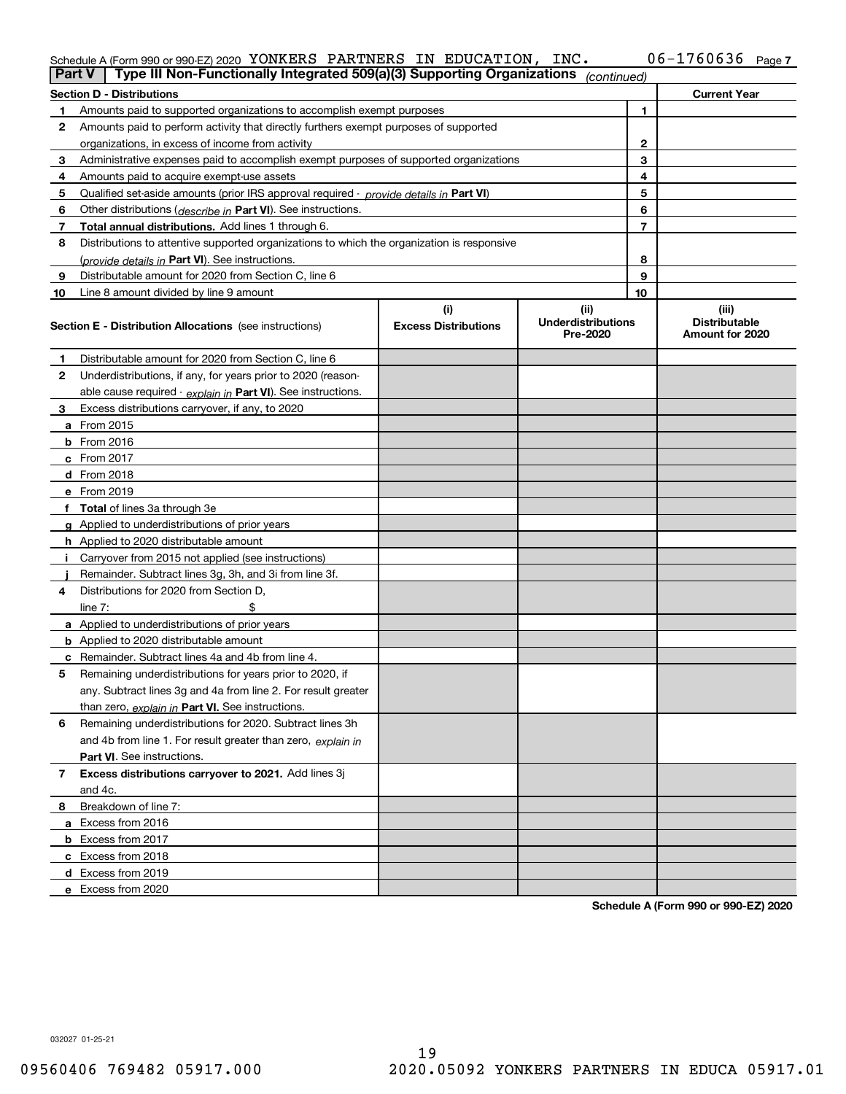#### Schedule A (Form 990 or 990-EZ) 2020 YONKERS PAR'I'NERS IN EDUCA'I'LON, INC。 U6-I76U636 Page YONKERS PARTNERS IN EDUCATION, INC. 06-1760636

| <b>Part V</b>  | Type III Non-Functionally Integrated 509(a)(3) Supporting Organizations                    |                             | (continued)                           |              |                                         |
|----------------|--------------------------------------------------------------------------------------------|-----------------------------|---------------------------------------|--------------|-----------------------------------------|
|                | <b>Section D - Distributions</b>                                                           |                             |                                       |              | <b>Current Year</b>                     |
| 1.             | Amounts paid to supported organizations to accomplish exempt purposes                      |                             |                                       | 1            |                                         |
| 2              | Amounts paid to perform activity that directly furthers exempt purposes of supported       |                             |                                       |              |                                         |
|                | organizations, in excess of income from activity                                           |                             |                                       | $\mathbf{2}$ |                                         |
| 3              | Administrative expenses paid to accomplish exempt purposes of supported organizations      |                             |                                       | 3            |                                         |
| 4              | Amounts paid to acquire exempt-use assets                                                  |                             |                                       | 4            |                                         |
| 5              | Qualified set-aside amounts (prior IRS approval required - provide details in Part VI)     |                             |                                       | 5            |                                         |
| 6              | Other distributions ( <i>describe in</i> Part VI). See instructions.                       |                             |                                       | 6            |                                         |
| 7              | Total annual distributions. Add lines 1 through 6.                                         |                             |                                       | 7            |                                         |
| 8              | Distributions to attentive supported organizations to which the organization is responsive |                             |                                       |              |                                         |
|                | (provide details in Part VI). See instructions.                                            |                             |                                       | 8            |                                         |
| 9              | Distributable amount for 2020 from Section C, line 6                                       |                             |                                       | 9            |                                         |
| 10             | Line 8 amount divided by line 9 amount                                                     |                             |                                       | 10           |                                         |
|                |                                                                                            | (i)                         | (ii)                                  |              | (iii)                                   |
|                | <b>Section E - Distribution Allocations</b> (see instructions)                             | <b>Excess Distributions</b> | <b>Underdistributions</b><br>Pre-2020 |              | <b>Distributable</b><br>Amount for 2020 |
| 1              | Distributable amount for 2020 from Section C, line 6                                       |                             |                                       |              |                                         |
| 2              | Underdistributions, if any, for years prior to 2020 (reason-                               |                             |                                       |              |                                         |
|                | able cause required - explain in Part VI). See instructions.                               |                             |                                       |              |                                         |
| 3              | Excess distributions carryover, if any, to 2020                                            |                             |                                       |              |                                         |
|                | a From 2015                                                                                |                             |                                       |              |                                         |
|                | <b>b</b> From 2016                                                                         |                             |                                       |              |                                         |
|                | c From 2017                                                                                |                             |                                       |              |                                         |
|                | d From 2018                                                                                |                             |                                       |              |                                         |
|                | e From 2019                                                                                |                             |                                       |              |                                         |
|                | f Total of lines 3a through 3e                                                             |                             |                                       |              |                                         |
|                | g Applied to underdistributions of prior years                                             |                             |                                       |              |                                         |
|                | <b>h</b> Applied to 2020 distributable amount                                              |                             |                                       |              |                                         |
|                | Carryover from 2015 not applied (see instructions)                                         |                             |                                       |              |                                         |
|                | Remainder. Subtract lines 3g, 3h, and 3i from line 3f.                                     |                             |                                       |              |                                         |
| 4              | Distributions for 2020 from Section D.                                                     |                             |                                       |              |                                         |
|                | line $7:$                                                                                  |                             |                                       |              |                                         |
|                | a Applied to underdistributions of prior years                                             |                             |                                       |              |                                         |
|                | <b>b</b> Applied to 2020 distributable amount                                              |                             |                                       |              |                                         |
|                | c Remainder. Subtract lines 4a and 4b from line 4.                                         |                             |                                       |              |                                         |
| 5              | Remaining underdistributions for years prior to 2020, if                                   |                             |                                       |              |                                         |
|                | any. Subtract lines 3g and 4a from line 2. For result greater                              |                             |                                       |              |                                         |
|                | than zero, explain in Part VI. See instructions.                                           |                             |                                       |              |                                         |
| 6              | Remaining underdistributions for 2020. Subtract lines 3h                                   |                             |                                       |              |                                         |
|                | and 4b from line 1. For result greater than zero, explain in                               |                             |                                       |              |                                         |
|                | Part VI. See instructions.                                                                 |                             |                                       |              |                                         |
| $\overline{7}$ | Excess distributions carryover to 2021. Add lines 3j                                       |                             |                                       |              |                                         |
|                | and 4c.                                                                                    |                             |                                       |              |                                         |
| 8              | Breakdown of line 7:                                                                       |                             |                                       |              |                                         |
|                | a Excess from 2016                                                                         |                             |                                       |              |                                         |
|                | <b>b</b> Excess from 2017                                                                  |                             |                                       |              |                                         |
|                | c Excess from 2018                                                                         |                             |                                       |              |                                         |
|                | d Excess from 2019                                                                         |                             |                                       |              |                                         |
|                | e Excess from 2020                                                                         |                             |                                       |              |                                         |
|                |                                                                                            |                             |                                       |              |                                         |

**Schedule A (Form 990 or 990-EZ) 2020**

032027 01-25-21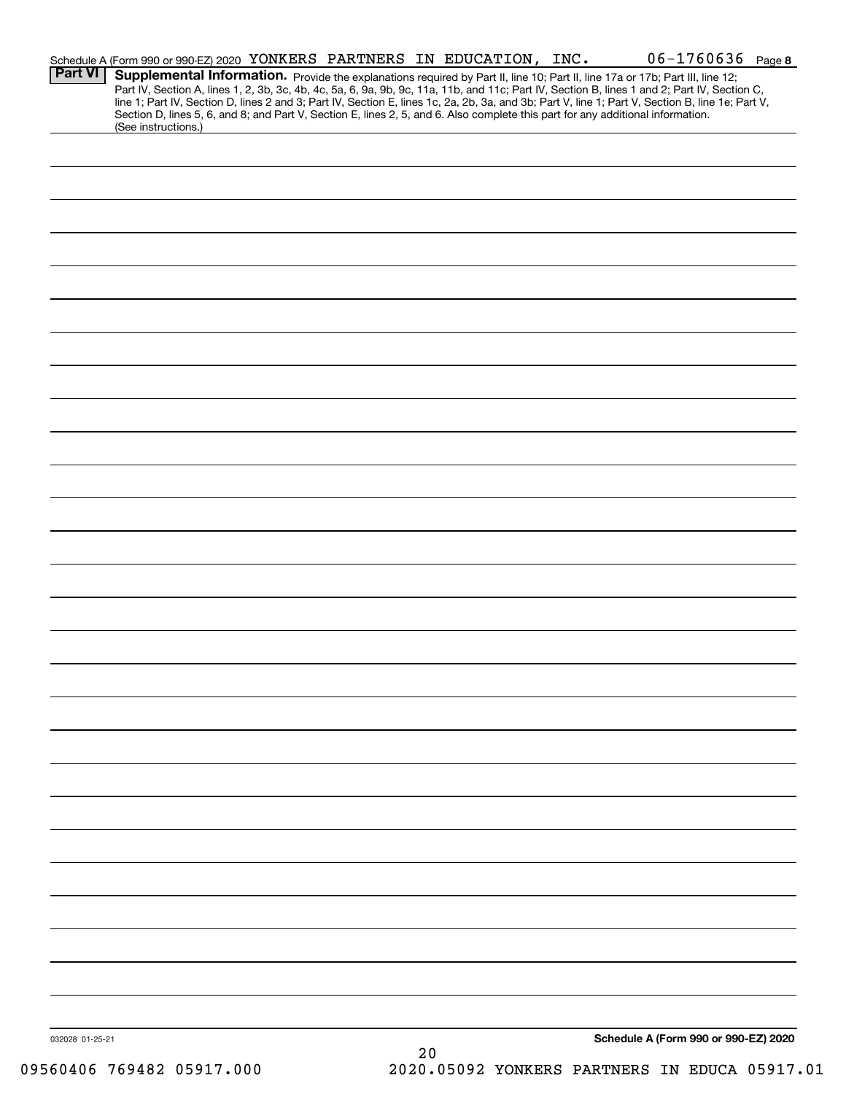| Supplemental Information. Provide the explanations required by Part II, line 10; Part II, line 17a or 17b; Part III, line 12;<br>Part IV, Section A, lines 1, 2, 3b, 3c, 4b, 4c, 5a, 6, 9a, 9b, 9c, 11a, 11b, and 11c; Part IV, Section B, lines 1 and 2; Part IV, Section C,<br>line 1; Part IV, Section D, lines 2 and 3; Part IV, Section E, lines 1c, 2a, 2b, 3a, and 3b; Part V, line 1; Part V, Section B, line 1e; Part V,<br>Section D, lines 5, 6, and 8; and Part V, Section E, lines 2, 5, and 6. Also complete this part for any additional information.<br>(See instructions.)<br>Schedule A (Form 990 or 990-EZ) 2020<br>032028 01-25-21<br>20 |                | Schedule A (Form 990 or 990-EZ) 2020 YONKERS PARTNERS IN EDUCATION, INC. |  |  | $06 - 1760636$ Page 8 |  |
|--------------------------------------------------------------------------------------------------------------------------------------------------------------------------------------------------------------------------------------------------------------------------------------------------------------------------------------------------------------------------------------------------------------------------------------------------------------------------------------------------------------------------------------------------------------------------------------------------------------------------------------------------------------|----------------|--------------------------------------------------------------------------|--|--|-----------------------|--|
|                                                                                                                                                                                                                                                                                                                                                                                                                                                                                                                                                                                                                                                              | <b>Part VI</b> |                                                                          |  |  |                       |  |
|                                                                                                                                                                                                                                                                                                                                                                                                                                                                                                                                                                                                                                                              |                |                                                                          |  |  |                       |  |
|                                                                                                                                                                                                                                                                                                                                                                                                                                                                                                                                                                                                                                                              |                |                                                                          |  |  |                       |  |
|                                                                                                                                                                                                                                                                                                                                                                                                                                                                                                                                                                                                                                                              |                |                                                                          |  |  |                       |  |
|                                                                                                                                                                                                                                                                                                                                                                                                                                                                                                                                                                                                                                                              |                |                                                                          |  |  |                       |  |
|                                                                                                                                                                                                                                                                                                                                                                                                                                                                                                                                                                                                                                                              |                |                                                                          |  |  |                       |  |
|                                                                                                                                                                                                                                                                                                                                                                                                                                                                                                                                                                                                                                                              |                |                                                                          |  |  |                       |  |
|                                                                                                                                                                                                                                                                                                                                                                                                                                                                                                                                                                                                                                                              |                |                                                                          |  |  |                       |  |
|                                                                                                                                                                                                                                                                                                                                                                                                                                                                                                                                                                                                                                                              |                |                                                                          |  |  |                       |  |
|                                                                                                                                                                                                                                                                                                                                                                                                                                                                                                                                                                                                                                                              |                |                                                                          |  |  |                       |  |
|                                                                                                                                                                                                                                                                                                                                                                                                                                                                                                                                                                                                                                                              |                |                                                                          |  |  |                       |  |
|                                                                                                                                                                                                                                                                                                                                                                                                                                                                                                                                                                                                                                                              |                |                                                                          |  |  |                       |  |
|                                                                                                                                                                                                                                                                                                                                                                                                                                                                                                                                                                                                                                                              |                |                                                                          |  |  |                       |  |
|                                                                                                                                                                                                                                                                                                                                                                                                                                                                                                                                                                                                                                                              |                |                                                                          |  |  |                       |  |
|                                                                                                                                                                                                                                                                                                                                                                                                                                                                                                                                                                                                                                                              |                |                                                                          |  |  |                       |  |
|                                                                                                                                                                                                                                                                                                                                                                                                                                                                                                                                                                                                                                                              |                |                                                                          |  |  |                       |  |
|                                                                                                                                                                                                                                                                                                                                                                                                                                                                                                                                                                                                                                                              |                |                                                                          |  |  |                       |  |
|                                                                                                                                                                                                                                                                                                                                                                                                                                                                                                                                                                                                                                                              |                |                                                                          |  |  |                       |  |
|                                                                                                                                                                                                                                                                                                                                                                                                                                                                                                                                                                                                                                                              |                |                                                                          |  |  |                       |  |
|                                                                                                                                                                                                                                                                                                                                                                                                                                                                                                                                                                                                                                                              |                |                                                                          |  |  |                       |  |
|                                                                                                                                                                                                                                                                                                                                                                                                                                                                                                                                                                                                                                                              |                |                                                                          |  |  |                       |  |
|                                                                                                                                                                                                                                                                                                                                                                                                                                                                                                                                                                                                                                                              |                |                                                                          |  |  |                       |  |
|                                                                                                                                                                                                                                                                                                                                                                                                                                                                                                                                                                                                                                                              |                |                                                                          |  |  |                       |  |
|                                                                                                                                                                                                                                                                                                                                                                                                                                                                                                                                                                                                                                                              |                |                                                                          |  |  |                       |  |
|                                                                                                                                                                                                                                                                                                                                                                                                                                                                                                                                                                                                                                                              |                |                                                                          |  |  |                       |  |
|                                                                                                                                                                                                                                                                                                                                                                                                                                                                                                                                                                                                                                                              |                |                                                                          |  |  |                       |  |
|                                                                                                                                                                                                                                                                                                                                                                                                                                                                                                                                                                                                                                                              |                |                                                                          |  |  |                       |  |
|                                                                                                                                                                                                                                                                                                                                                                                                                                                                                                                                                                                                                                                              |                |                                                                          |  |  |                       |  |
|                                                                                                                                                                                                                                                                                                                                                                                                                                                                                                                                                                                                                                                              |                |                                                                          |  |  |                       |  |
|                                                                                                                                                                                                                                                                                                                                                                                                                                                                                                                                                                                                                                                              |                |                                                                          |  |  |                       |  |
|                                                                                                                                                                                                                                                                                                                                                                                                                                                                                                                                                                                                                                                              |                |                                                                          |  |  |                       |  |
|                                                                                                                                                                                                                                                                                                                                                                                                                                                                                                                                                                                                                                                              |                |                                                                          |  |  |                       |  |
|                                                                                                                                                                                                                                                                                                                                                                                                                                                                                                                                                                                                                                                              |                |                                                                          |  |  |                       |  |
|                                                                                                                                                                                                                                                                                                                                                                                                                                                                                                                                                                                                                                                              |                |                                                                          |  |  |                       |  |
|                                                                                                                                                                                                                                                                                                                                                                                                                                                                                                                                                                                                                                                              |                |                                                                          |  |  |                       |  |
|                                                                                                                                                                                                                                                                                                                                                                                                                                                                                                                                                                                                                                                              |                |                                                                          |  |  |                       |  |
|                                                                                                                                                                                                                                                                                                                                                                                                                                                                                                                                                                                                                                                              |                |                                                                          |  |  |                       |  |
|                                                                                                                                                                                                                                                                                                                                                                                                                                                                                                                                                                                                                                                              |                |                                                                          |  |  |                       |  |
|                                                                                                                                                                                                                                                                                                                                                                                                                                                                                                                                                                                                                                                              |                |                                                                          |  |  |                       |  |
|                                                                                                                                                                                                                                                                                                                                                                                                                                                                                                                                                                                                                                                              |                |                                                                          |  |  |                       |  |
|                                                                                                                                                                                                                                                                                                                                                                                                                                                                                                                                                                                                                                                              |                |                                                                          |  |  |                       |  |
|                                                                                                                                                                                                                                                                                                                                                                                                                                                                                                                                                                                                                                                              |                |                                                                          |  |  |                       |  |
|                                                                                                                                                                                                                                                                                                                                                                                                                                                                                                                                                                                                                                                              |                |                                                                          |  |  |                       |  |
|                                                                                                                                                                                                                                                                                                                                                                                                                                                                                                                                                                                                                                                              |                |                                                                          |  |  |                       |  |
|                                                                                                                                                                                                                                                                                                                                                                                                                                                                                                                                                                                                                                                              |                |                                                                          |  |  |                       |  |
|                                                                                                                                                                                                                                                                                                                                                                                                                                                                                                                                                                                                                                                              |                |                                                                          |  |  |                       |  |
|                                                                                                                                                                                                                                                                                                                                                                                                                                                                                                                                                                                                                                                              |                |                                                                          |  |  |                       |  |
|                                                                                                                                                                                                                                                                                                                                                                                                                                                                                                                                                                                                                                                              |                |                                                                          |  |  |                       |  |
|                                                                                                                                                                                                                                                                                                                                                                                                                                                                                                                                                                                                                                                              |                |                                                                          |  |  |                       |  |
|                                                                                                                                                                                                                                                                                                                                                                                                                                                                                                                                                                                                                                                              |                |                                                                          |  |  |                       |  |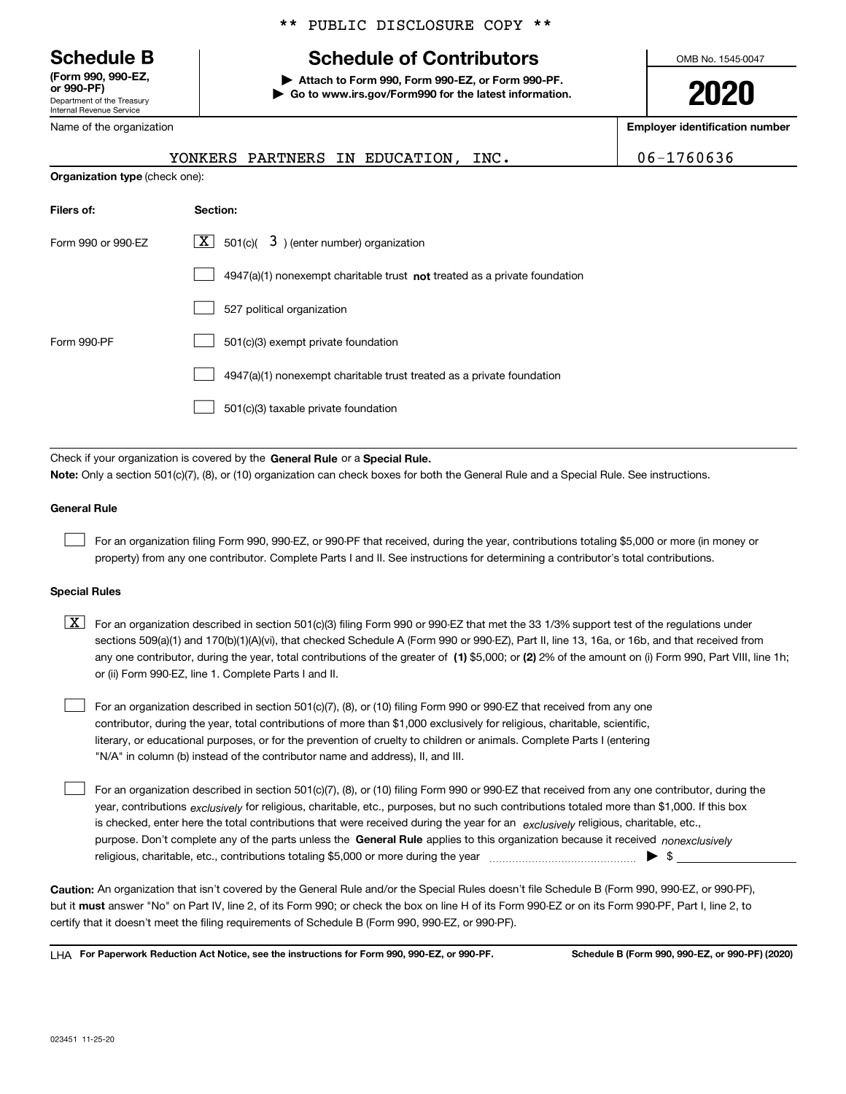Department of the Treasury Internal Revenue Service **(Form 990, 990-EZ, or 990-PF)**

Name of the organization

#### \*\* PUBLIC DISCLOSURE COPY \*\*

# **Schedule B Schedule of Contributors**

**| Attach to Form 990, Form 990-EZ, or Form 990-PF. | Go to www.irs.gov/Form990 for the latest information.** OMB No. 1545-0047

**2020**

**Employer identification number**

|                                       | YONKERS PARTNERS IN EDUCATION, INC.                                                | 06-1760636 |
|---------------------------------------|------------------------------------------------------------------------------------|------------|
| <b>Organization type</b> (check one): |                                                                                    |            |
| Filers of:                            | Section:                                                                           |            |
| Form 990 or 990-EZ                    | $X \mid$<br>$3$ ) (enter number) organization<br>501(c)(                           |            |
|                                       | $4947(a)(1)$ nonexempt charitable trust <b>not</b> treated as a private foundation |            |
|                                       | 527 political organization                                                         |            |
| Form 990-PF                           | 501(c)(3) exempt private foundation                                                |            |

4947(a)(1) nonexempt charitable trust treated as a private foundation  $\mathcal{L}^{\text{max}}$ 

501(c)(3) taxable private foundation  $\mathcal{L}^{\text{max}}$ 

Check if your organization is covered by the **General Rule** or a **Special Rule. Note:**  Only a section 501(c)(7), (8), or (10) organization can check boxes for both the General Rule and a Special Rule. See instructions.

#### **General Rule**

 $\mathcal{L}^{\text{max}}$ 

For an organization filing Form 990, 990-EZ, or 990-PF that received, during the year, contributions totaling \$5,000 or more (in money or property) from any one contributor. Complete Parts I and II. See instructions for determining a contributor's total contributions.

#### **Special Rules**

any one contributor, during the year, total contributions of the greater of  $\,$  (1) \$5,000; or **(2)** 2% of the amount on (i) Form 990, Part VIII, line 1h;  $\boxed{\textbf{X}}$  For an organization described in section 501(c)(3) filing Form 990 or 990-EZ that met the 33 1/3% support test of the regulations under sections 509(a)(1) and 170(b)(1)(A)(vi), that checked Schedule A (Form 990 or 990-EZ), Part II, line 13, 16a, or 16b, and that received from or (ii) Form 990-EZ, line 1. Complete Parts I and II.

For an organization described in section 501(c)(7), (8), or (10) filing Form 990 or 990-EZ that received from any one contributor, during the year, total contributions of more than \$1,000 exclusively for religious, charitable, scientific, literary, or educational purposes, or for the prevention of cruelty to children or animals. Complete Parts I (entering "N/A" in column (b) instead of the contributor name and address), II, and III.  $\mathcal{L}^{\text{max}}$ 

purpose. Don't complete any of the parts unless the **General Rule** applies to this organization because it received *nonexclusively* year, contributions <sub>exclusively</sub> for religious, charitable, etc., purposes, but no such contributions totaled more than \$1,000. If this box is checked, enter here the total contributions that were received during the year for an  $\;$ exclusively religious, charitable, etc., For an organization described in section 501(c)(7), (8), or (10) filing Form 990 or 990-EZ that received from any one contributor, during the religious, charitable, etc., contributions totaling \$5,000 or more during the year  $\Box$ — $\Box$   $\Box$  $\mathcal{L}^{\text{max}}$ 

**Caution:**  An organization that isn't covered by the General Rule and/or the Special Rules doesn't file Schedule B (Form 990, 990-EZ, or 990-PF),  **must** but it answer "No" on Part IV, line 2, of its Form 990; or check the box on line H of its Form 990-EZ or on its Form 990-PF, Part I, line 2, to certify that it doesn't meet the filing requirements of Schedule B (Form 990, 990-EZ, or 990-PF).

**For Paperwork Reduction Act Notice, see the instructions for Form 990, 990-EZ, or 990-PF. Schedule B (Form 990, 990-EZ, or 990-PF) (2020)** LHA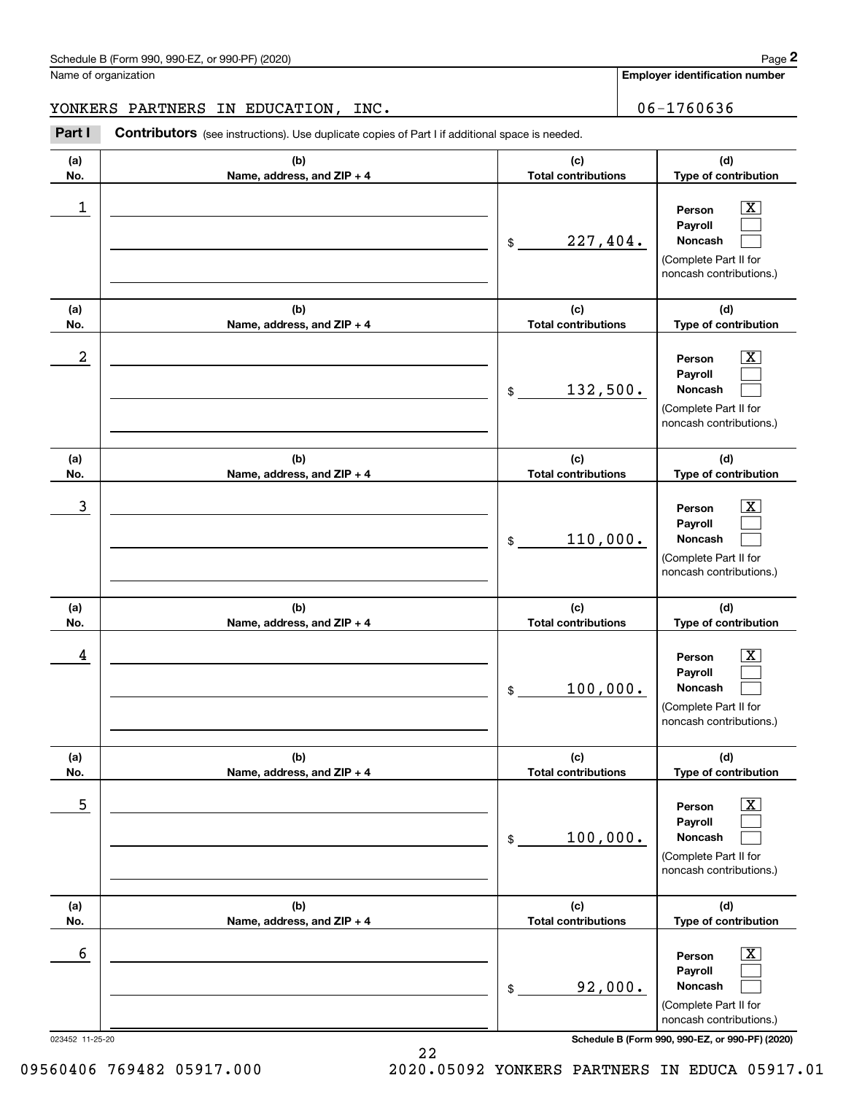**Employer identification number**

## YONKERS PARTNERS IN EDUCATION, INC. 06-1760636

Chedule B (Form 990, 990-EZ, or 990-PF) (2020)<br>
lame of organization<br> **2008 CONKERS PARTNERS IN EDUCATION, INC.**<br> **2008 Part I Contributors** (see instructions). Use duplicate copies of Part I if additional space is neede

| (d)<br>(b)<br>(c)<br>(a)<br>No.<br><b>Total contributions</b><br>Name, address, and ZIP + 4<br>$\overline{\mathbf{X}}$<br>1<br>Person<br>Payroll<br>227,404.<br>Noncash<br>\$<br>(Complete Part II for<br>(d)<br>(b)<br>(c)<br>(a)<br>No.<br>Name, address, and ZIP + 4<br><b>Total contributions</b><br>2<br>$\overline{\text{X}}$<br>Person<br>Payroll<br>132,500.<br>Noncash<br>\$<br>(Complete Part II for<br>(c)<br>(d)<br>(b)<br>(a)<br>No.<br>Name, address, and ZIP + 4<br><b>Total contributions</b><br>3<br>$\overline{\text{X}}$<br>Person<br>Payroll<br>110,000.<br><b>Noncash</b><br>\$<br>(Complete Part II for<br>(c)<br>(d)<br>(b)<br>(a)<br>No.<br>Name, address, and ZIP + 4<br><b>Total contributions</b><br>Type of contribution<br>4<br>$\overline{\text{X}}$<br>Person<br>Payroll<br>100,000.<br><b>Noncash</b><br>\$<br>(Complete Part II for<br>(b)<br>(d)<br>(a)<br>(c)<br>No.<br>Name, address, and ZIP + 4<br><b>Total contributions</b><br>Type of contribution<br>5<br>$\overline{\mathbf{X}}$<br>Person<br>Payroll<br>100,000.<br>Noncash<br>$\$$<br>(Complete Part II for<br>(c)<br>(d)<br>(a)<br>(b)<br>No.<br>Name, address, and ZIP + 4<br><b>Total contributions</b><br>Type of contribution<br>6<br>$\overline{\mathbf{X}}$<br>Person<br>Payroll<br>92,000.<br>Noncash<br>\$<br>(Complete Part II for |  |                         |
|-------------------------------------------------------------------------------------------------------------------------------------------------------------------------------------------------------------------------------------------------------------------------------------------------------------------------------------------------------------------------------------------------------------------------------------------------------------------------------------------------------------------------------------------------------------------------------------------------------------------------------------------------------------------------------------------------------------------------------------------------------------------------------------------------------------------------------------------------------------------------------------------------------------------------------------------------------------------------------------------------------------------------------------------------------------------------------------------------------------------------------------------------------------------------------------------------------------------------------------------------------------------------------------------------------------------------------------------|--|-------------------------|
|                                                                                                                                                                                                                                                                                                                                                                                                                                                                                                                                                                                                                                                                                                                                                                                                                                                                                                                                                                                                                                                                                                                                                                                                                                                                                                                                           |  | Type of contribution    |
|                                                                                                                                                                                                                                                                                                                                                                                                                                                                                                                                                                                                                                                                                                                                                                                                                                                                                                                                                                                                                                                                                                                                                                                                                                                                                                                                           |  | noncash contributions.) |
|                                                                                                                                                                                                                                                                                                                                                                                                                                                                                                                                                                                                                                                                                                                                                                                                                                                                                                                                                                                                                                                                                                                                                                                                                                                                                                                                           |  | Type of contribution    |
|                                                                                                                                                                                                                                                                                                                                                                                                                                                                                                                                                                                                                                                                                                                                                                                                                                                                                                                                                                                                                                                                                                                                                                                                                                                                                                                                           |  | noncash contributions.) |
|                                                                                                                                                                                                                                                                                                                                                                                                                                                                                                                                                                                                                                                                                                                                                                                                                                                                                                                                                                                                                                                                                                                                                                                                                                                                                                                                           |  | Type of contribution    |
|                                                                                                                                                                                                                                                                                                                                                                                                                                                                                                                                                                                                                                                                                                                                                                                                                                                                                                                                                                                                                                                                                                                                                                                                                                                                                                                                           |  | noncash contributions.) |
|                                                                                                                                                                                                                                                                                                                                                                                                                                                                                                                                                                                                                                                                                                                                                                                                                                                                                                                                                                                                                                                                                                                                                                                                                                                                                                                                           |  |                         |
|                                                                                                                                                                                                                                                                                                                                                                                                                                                                                                                                                                                                                                                                                                                                                                                                                                                                                                                                                                                                                                                                                                                                                                                                                                                                                                                                           |  | noncash contributions.) |
|                                                                                                                                                                                                                                                                                                                                                                                                                                                                                                                                                                                                                                                                                                                                                                                                                                                                                                                                                                                                                                                                                                                                                                                                                                                                                                                                           |  |                         |
|                                                                                                                                                                                                                                                                                                                                                                                                                                                                                                                                                                                                                                                                                                                                                                                                                                                                                                                                                                                                                                                                                                                                                                                                                                                                                                                                           |  | noncash contributions.) |
|                                                                                                                                                                                                                                                                                                                                                                                                                                                                                                                                                                                                                                                                                                                                                                                                                                                                                                                                                                                                                                                                                                                                                                                                                                                                                                                                           |  |                         |
| Schedule B (Form 990, 990-EZ, or 990-PF) (2020)<br>023452 11-25-20                                                                                                                                                                                                                                                                                                                                                                                                                                                                                                                                                                                                                                                                                                                                                                                                                                                                                                                                                                                                                                                                                                                                                                                                                                                                        |  | noncash contributions.) |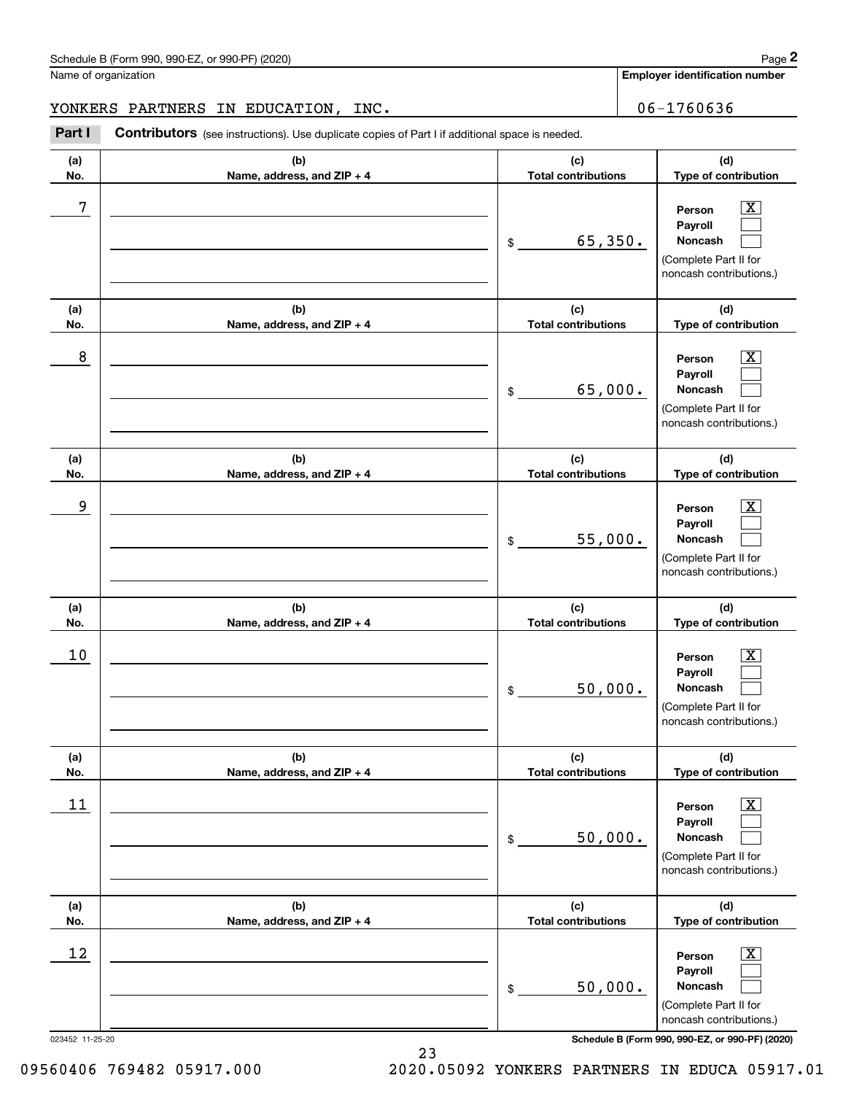**Employer identification number**

### YONKERS PARTNERS IN EDUCATION, INC. 106-1760636

Chedule B (Form 990, 990-EZ, or 990-PF) (2020)<br>
lame of organization<br> **2008 CONKERS PARTNERS IN EDUCATION, INC.**<br> **2008 Part I Contributors** (see instructions). Use duplicate copies of Part I if additional space is neede

| (c)<br><b>Total contributions</b><br>65,350.<br>\$ | (d)<br>Type of contribution<br>$\overline{\texttt{X}}$<br>Person<br>Payroll<br>Noncash                      |
|----------------------------------------------------|-------------------------------------------------------------------------------------------------------------|
|                                                    |                                                                                                             |
|                                                    | (Complete Part II for<br>noncash contributions.)                                                            |
| (c)<br><b>Total contributions</b>                  | (d)<br>Type of contribution                                                                                 |
| 65,000.<br>\$                                      | $\overline{\texttt{x}}$<br>Person<br>Payroll<br>Noncash<br>(Complete Part II for<br>noncash contributions.) |
| (c)<br><b>Total contributions</b>                  | (d)<br>Type of contribution                                                                                 |
| 55,000.<br>\$                                      | $\overline{\text{X}}$<br>Person<br>Payroll<br>Noncash<br>(Complete Part II for<br>noncash contributions.)   |
| (c)<br><b>Total contributions</b>                  | (d)<br>Type of contribution                                                                                 |
| 50,000.<br>\$                                      | X<br>Person<br>Payroll<br>Noncash<br>(Complete Part II for<br>noncash contributions.)                       |
| (c)                                                | (d)<br>Type of contribution                                                                                 |
| 50,000.<br>\$                                      | $\overline{\text{X}}$<br>Person<br>Payroll<br>Noncash<br>(Complete Part II for<br>noncash contributions.)   |
| (c)                                                | (d)<br>Type of contribution                                                                                 |
| 50,000.<br>\$                                      | Х,<br>Person<br>Payroll<br>Noncash<br>(Complete Part II for<br>noncash contributions.)                      |
|                                                    | <b>Total contributions</b><br><b>Total contributions</b><br>Schedule B (Form 990, 990-EZ, or 990-PF) (2020) |

09560406 769482 05917.000 2020.05092 YONKERS PARTNERS IN EDUCA 05917.01

23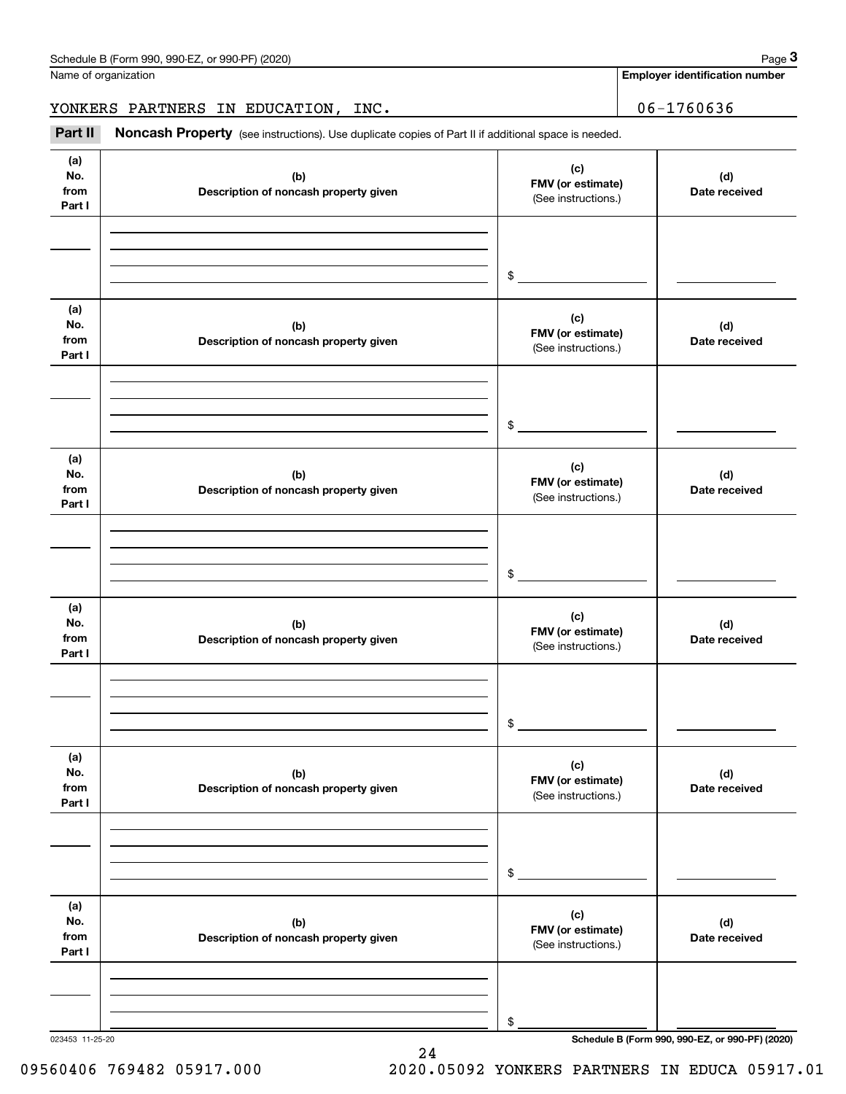**Employer identification number**

YONKERS PARTNERS IN EDUCATION, INC. 06-1760636

Chedule B (Form 990, 990-EZ, or 990-PF) (2020)<br>
lame of organization<br> **3Part II Noncash Property** (see instructions). Use duplicate copies of Part II if additional space is needed.<br> **3Part II Noncash Property** (see ins

| (a)<br>No.<br>from<br>Part I | (b)<br>Description of noncash property given | (c)<br>FMV (or estimate)<br>(See instructions.) | (d)<br>Date received |
|------------------------------|----------------------------------------------|-------------------------------------------------|----------------------|
|                              |                                              |                                                 |                      |
|                              |                                              | $\frac{1}{2}$                                   |                      |
|                              |                                              |                                                 |                      |
| (a)<br>No.<br>from           | (b)<br>Description of noncash property given | (c)<br>FMV (or estimate)<br>(See instructions.) | (d)<br>Date received |
| Part I                       |                                              |                                                 |                      |
|                              |                                              |                                                 |                      |
|                              |                                              | $\frac{1}{2}$                                   |                      |
| (a)                          |                                              |                                                 |                      |
| No.<br>from<br>Part I        | (b)<br>Description of noncash property given | (c)<br>FMV (or estimate)<br>(See instructions.) | (d)<br>Date received |
|                              |                                              |                                                 |                      |
|                              |                                              |                                                 |                      |
|                              |                                              | $\mathfrak s$                                   |                      |
| (a)<br>No.<br>from<br>Part I | (b)<br>Description of noncash property given | (c)<br>FMV (or estimate)<br>(See instructions.) | (d)<br>Date received |
|                              |                                              |                                                 |                      |
|                              |                                              |                                                 |                      |
|                              |                                              | \$                                              |                      |
| (a)<br>No.<br>from<br>Part I | (b)<br>Description of noncash property given | (c)<br>FMV (or estimate)<br>(See instructions.) | (d)<br>Date received |
|                              |                                              |                                                 |                      |
|                              |                                              |                                                 |                      |
|                              |                                              | \$                                              |                      |
| (a)<br>No.<br>from<br>Part I | (b)<br>Description of noncash property given | (c)<br>FMV (or estimate)<br>(See instructions.) | (d)<br>Date received |
|                              |                                              |                                                 |                      |
|                              |                                              |                                                 |                      |
|                              |                                              | \$                                              |                      |

24

023453 11-25-20 **Schedule B (Form 990, 990-EZ, or 990-PF) (2020)**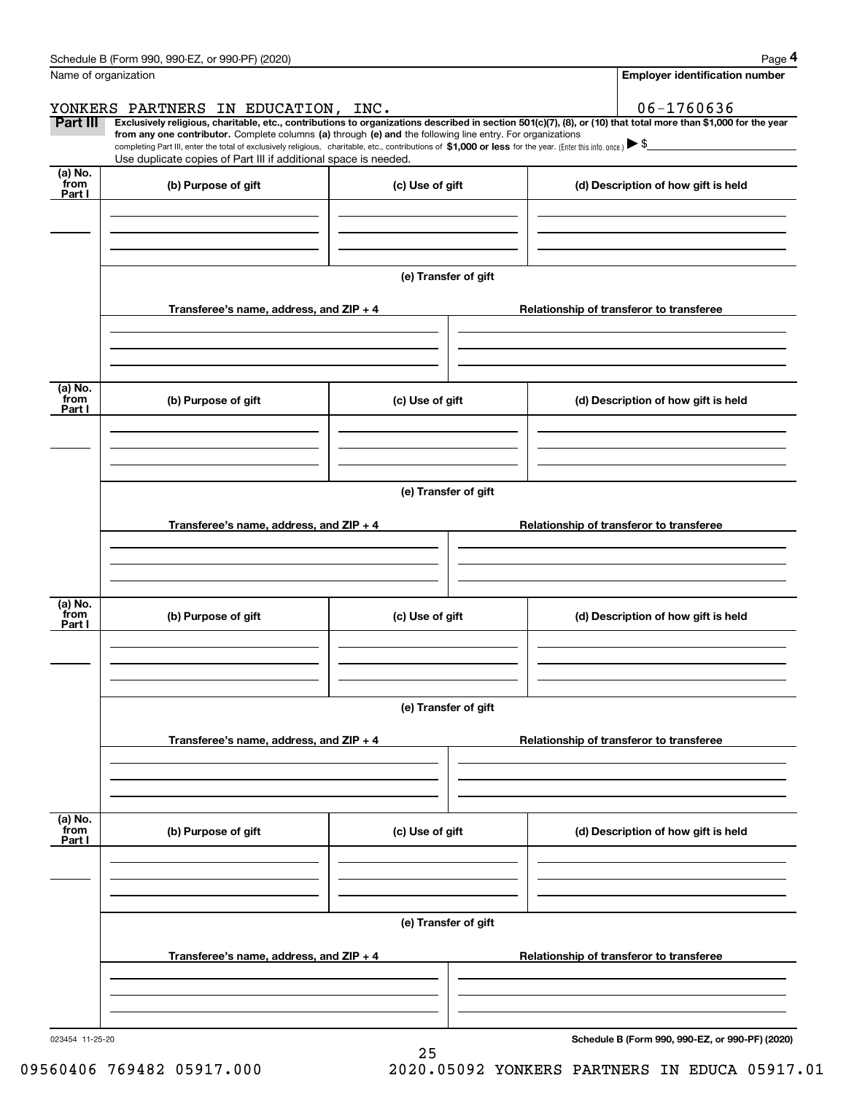|                           | Schedule B (Form 990, 990-EZ, or 990-PF) (2020)                                                                                                                                                                                                                              |                      |  | Page 4                                          |  |  |  |  |  |
|---------------------------|------------------------------------------------------------------------------------------------------------------------------------------------------------------------------------------------------------------------------------------------------------------------------|----------------------|--|-------------------------------------------------|--|--|--|--|--|
|                           | Name of organization                                                                                                                                                                                                                                                         |                      |  | <b>Employer identification number</b>           |  |  |  |  |  |
|                           | YONKERS PARTNERS IN EDUCATION, INC.                                                                                                                                                                                                                                          |                      |  | 06-1760636                                      |  |  |  |  |  |
| Part III                  | Exclusively religious, charitable, etc., contributions to organizations described in section 501(c)(7), (8), or (10) that total more than \$1,000 for the year<br>from any one contributor. Complete columns (a) through (e) and the following line entry. For organizations |                      |  |                                                 |  |  |  |  |  |
|                           | completing Part III, enter the total of exclusively religious, charitable, etc., contributions of \$1,000 or less for the year. (Enter this info. once.) $\blacktriangleright$ \$                                                                                            |                      |  |                                                 |  |  |  |  |  |
| (a) No.                   | Use duplicate copies of Part III if additional space is needed.                                                                                                                                                                                                              |                      |  |                                                 |  |  |  |  |  |
| from<br>Part I            | (b) Purpose of gift                                                                                                                                                                                                                                                          | (c) Use of gift      |  | (d) Description of how gift is held             |  |  |  |  |  |
|                           |                                                                                                                                                                                                                                                                              |                      |  |                                                 |  |  |  |  |  |
|                           |                                                                                                                                                                                                                                                                              |                      |  |                                                 |  |  |  |  |  |
|                           |                                                                                                                                                                                                                                                                              |                      |  |                                                 |  |  |  |  |  |
|                           |                                                                                                                                                                                                                                                                              | (e) Transfer of gift |  |                                                 |  |  |  |  |  |
|                           | Transferee's name, address, and ZIP + 4                                                                                                                                                                                                                                      |                      |  | Relationship of transferor to transferee        |  |  |  |  |  |
|                           |                                                                                                                                                                                                                                                                              |                      |  |                                                 |  |  |  |  |  |
|                           |                                                                                                                                                                                                                                                                              |                      |  |                                                 |  |  |  |  |  |
|                           |                                                                                                                                                                                                                                                                              |                      |  |                                                 |  |  |  |  |  |
| (a) No.<br>from<br>Part I | (b) Purpose of gift                                                                                                                                                                                                                                                          | (c) Use of gift      |  | (d) Description of how gift is held             |  |  |  |  |  |
|                           |                                                                                                                                                                                                                                                                              |                      |  |                                                 |  |  |  |  |  |
|                           |                                                                                                                                                                                                                                                                              |                      |  |                                                 |  |  |  |  |  |
|                           |                                                                                                                                                                                                                                                                              |                      |  |                                                 |  |  |  |  |  |
|                           | (e) Transfer of gift                                                                                                                                                                                                                                                         |                      |  |                                                 |  |  |  |  |  |
|                           | Transferee's name, address, and ZIP + 4                                                                                                                                                                                                                                      |                      |  | Relationship of transferor to transferee        |  |  |  |  |  |
|                           |                                                                                                                                                                                                                                                                              |                      |  |                                                 |  |  |  |  |  |
|                           |                                                                                                                                                                                                                                                                              |                      |  |                                                 |  |  |  |  |  |
|                           |                                                                                                                                                                                                                                                                              |                      |  |                                                 |  |  |  |  |  |
| (a) No.<br>from<br>Part I | (b) Purpose of gift                                                                                                                                                                                                                                                          | (c) Use of gift      |  | (d) Description of how gift is held             |  |  |  |  |  |
|                           |                                                                                                                                                                                                                                                                              |                      |  |                                                 |  |  |  |  |  |
|                           |                                                                                                                                                                                                                                                                              |                      |  |                                                 |  |  |  |  |  |
|                           |                                                                                                                                                                                                                                                                              |                      |  |                                                 |  |  |  |  |  |
|                           | (e) Transfer of gift                                                                                                                                                                                                                                                         |                      |  |                                                 |  |  |  |  |  |
|                           | Transferee's name, address, and $ZIP + 4$                                                                                                                                                                                                                                    |                      |  | Relationship of transferor to transferee        |  |  |  |  |  |
|                           |                                                                                                                                                                                                                                                                              |                      |  |                                                 |  |  |  |  |  |
|                           |                                                                                                                                                                                                                                                                              |                      |  |                                                 |  |  |  |  |  |
|                           |                                                                                                                                                                                                                                                                              |                      |  |                                                 |  |  |  |  |  |
| (a) No.<br>from<br>Part I | (b) Purpose of gift                                                                                                                                                                                                                                                          | (c) Use of gift      |  | (d) Description of how gift is held             |  |  |  |  |  |
|                           |                                                                                                                                                                                                                                                                              |                      |  |                                                 |  |  |  |  |  |
|                           |                                                                                                                                                                                                                                                                              |                      |  |                                                 |  |  |  |  |  |
|                           |                                                                                                                                                                                                                                                                              |                      |  |                                                 |  |  |  |  |  |
|                           | (e) Transfer of gift                                                                                                                                                                                                                                                         |                      |  |                                                 |  |  |  |  |  |
|                           | Transferee's name, address, and $ZIP + 4$                                                                                                                                                                                                                                    |                      |  | Relationship of transferor to transferee        |  |  |  |  |  |
|                           |                                                                                                                                                                                                                                                                              |                      |  |                                                 |  |  |  |  |  |
|                           |                                                                                                                                                                                                                                                                              |                      |  |                                                 |  |  |  |  |  |
|                           |                                                                                                                                                                                                                                                                              |                      |  |                                                 |  |  |  |  |  |
| 023454 11-25-20           |                                                                                                                                                                                                                                                                              |                      |  | Schedule B (Form 990, 990-EZ, or 990-PF) (2020) |  |  |  |  |  |
|                           |                                                                                                                                                                                                                                                                              | 25                   |  |                                                 |  |  |  |  |  |

 <sup>09560406 769482 05917.000 2020.05092</sup> YONKERS PARTNERS IN EDUCA 05917.01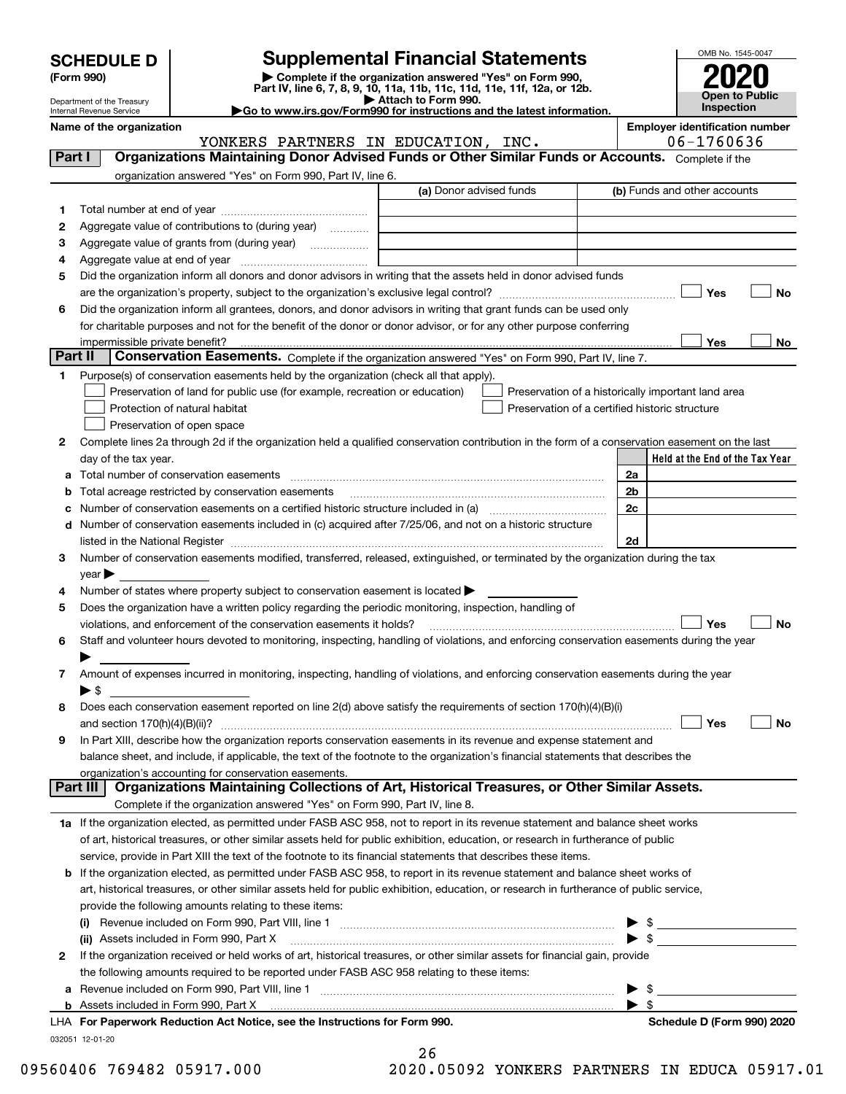| <b>SCHEDULE D</b> |  |
|-------------------|--|
|-------------------|--|

| (Form 990) |  |
|------------|--|
|------------|--|

# **Supplemental Financial Statements**

(Form 990)<br>
Pepartment of the Treasury<br>
Department of the Treasury<br>
Department of the Treasury<br>
Department of the Treasury<br> **Co to www.irs.gov/Form990 for instructions and the latest information.**<br> **Co to www.irs.gov/Form9** 



(b) Funds and other accounts

Department of the Treasury Internal Revenue Service

**Name of the organization Employer identification number** (a) Donor advised funds **1**<code>Part I</code>  $|$   $|$  Organizations Maintaining Donor Advised Funds or Other Similar Funds or Accounts.  $\,$  <code>Complete</code> if the organization answered "Yes" on Form 990, Part IV, line 6. Total number at end of year YONKERS PARTNERS IN EDUCATION, INC. | 06-1760636

| 1            |                                                                                                                                                                   |                                                    |                |                                 |     |    |
|--------------|-------------------------------------------------------------------------------------------------------------------------------------------------------------------|----------------------------------------------------|----------------|---------------------------------|-----|----|
| 2            | Aggregate value of contributions to (during year)                                                                                                                 |                                                    |                |                                 |     |    |
| з            | Aggregate value of grants from (during year)<br>.                                                                                                                 |                                                    |                |                                 |     |    |
| 4            |                                                                                                                                                                   |                                                    |                |                                 |     |    |
| 5            | Did the organization inform all donors and donor advisors in writing that the assets held in donor advised funds                                                  |                                                    |                |                                 |     |    |
|              |                                                                                                                                                                   |                                                    |                |                                 | Yes | No |
| 6            | Did the organization inform all grantees, donors, and donor advisors in writing that grant funds can be used only                                                 |                                                    |                |                                 |     |    |
|              | for charitable purposes and not for the benefit of the donor or donor advisor, or for any other purpose conferring                                                |                                                    |                |                                 |     |    |
|              | impermissible private benefit?                                                                                                                                    |                                                    |                |                                 | Yes | No |
| Part II      | Conservation Easements. Complete if the organization answered "Yes" on Form 990, Part IV, line 7.                                                                 |                                                    |                |                                 |     |    |
| 1            | Purpose(s) of conservation easements held by the organization (check all that apply).                                                                             |                                                    |                |                                 |     |    |
|              | Preservation of land for public use (for example, recreation or education)                                                                                        | Preservation of a historically important land area |                |                                 |     |    |
|              | Protection of natural habitat                                                                                                                                     | Preservation of a certified historic structure     |                |                                 |     |    |
|              | Preservation of open space                                                                                                                                        |                                                    |                |                                 |     |    |
| 2            | Complete lines 2a through 2d if the organization held a qualified conservation contribution in the form of a conservation easement on the last                    |                                                    |                |                                 |     |    |
|              | day of the tax year.                                                                                                                                              |                                                    |                | Held at the End of the Tax Year |     |    |
| а            | Total number of conservation easements                                                                                                                            |                                                    | 2a             |                                 |     |    |
|              | Total acreage restricted by conservation easements                                                                                                                |                                                    | 2 <sub>b</sub> |                                 |     |    |
|              | Number of conservation easements on a certified historic structure included in (a) manufacture included in (a)                                                    |                                                    | 2c             |                                 |     |    |
| d            | Number of conservation easements included in (c) acquired after 7/25/06, and not on a historic structure                                                          |                                                    |                |                                 |     |    |
|              |                                                                                                                                                                   |                                                    | 2d             |                                 |     |    |
| 3            | Number of conservation easements modified, transferred, released, extinguished, or terminated by the organization during the tax                                  |                                                    |                |                                 |     |    |
|              | year                                                                                                                                                              |                                                    |                |                                 |     |    |
| 4            | Number of states where property subject to conservation easement is located >                                                                                     |                                                    |                |                                 |     |    |
| 5            | Does the organization have a written policy regarding the periodic monitoring, inspection, handling of                                                            |                                                    |                |                                 |     |    |
|              | violations, and enforcement of the conservation easements it holds?                                                                                               |                                                    |                |                                 | Yes | No |
| 6            | Staff and volunteer hours devoted to monitoring, inspecting, handling of violations, and enforcing conservation easements during the year                         |                                                    |                |                                 |     |    |
|              |                                                                                                                                                                   |                                                    |                |                                 |     |    |
| 7            | Amount of expenses incurred in monitoring, inspecting, handling of violations, and enforcing conservation easements during the year                               |                                                    |                |                                 |     |    |
|              | ► \$                                                                                                                                                              |                                                    |                |                                 |     |    |
| 8            | Does each conservation easement reported on line 2(d) above satisfy the requirements of section 170(h)(4)(B)(i)                                                   |                                                    |                |                                 |     |    |
|              | and section $170(h)(4)(B)(ii)?$                                                                                                                                   |                                                    |                |                                 | Yes | N٥ |
| 9            | In Part XIII, describe how the organization reports conservation easements in its revenue and expense statement and                                               |                                                    |                |                                 |     |    |
|              | balance sheet, and include, if applicable, the text of the footnote to the organization's financial statements that describes the                                 |                                                    |                |                                 |     |    |
|              | organization's accounting for conservation easements.<br>Organizations Maintaining Collections of Art, Historical Treasures, or Other Similar Assets.<br>Part III |                                                    |                |                                 |     |    |
|              | Complete if the organization answered "Yes" on Form 990, Part IV, line 8.                                                                                         |                                                    |                |                                 |     |    |
|              |                                                                                                                                                                   |                                                    |                |                                 |     |    |
|              | 1a If the organization elected, as permitted under FASB ASC 958, not to report in its revenue statement and balance sheet works                                   |                                                    |                |                                 |     |    |
|              | of art, historical treasures, or other similar assets held for public exhibition, education, or research in furtherance of public                                 |                                                    |                |                                 |     |    |
|              | service, provide in Part XIII the text of the footnote to its financial statements that describes these items.                                                    |                                                    |                |                                 |     |    |
|              | <b>b</b> If the organization elected, as permitted under FASB ASC 958, to report in its revenue statement and balance sheet works of                              |                                                    |                |                                 |     |    |
|              | art, historical treasures, or other similar assets held for public exhibition, education, or research in furtherance of public service,                           |                                                    |                |                                 |     |    |
|              | provide the following amounts relating to these items:                                                                                                            |                                                    |                |                                 |     |    |
|              |                                                                                                                                                                   |                                                    |                |                                 |     |    |
|              | (ii) Assets included in Form 990, Part X                                                                                                                          |                                                    |                |                                 |     |    |
| $\mathbf{2}$ | If the organization received or held works of art, historical treasures, or other similar assets for financial gain, provide                                      |                                                    |                |                                 |     |    |
|              | the following amounts required to be reported under FASB ASC 958 relating to these items:                                                                         |                                                    |                |                                 |     |    |
|              |                                                                                                                                                                   |                                                    |                |                                 |     |    |
|              |                                                                                                                                                                   |                                                    |                |                                 |     |    |

032051 12-01-20

| 26 |   |  |                      |  |
|----|---|--|----------------------|--|
| ∼  | ~ |  | $\sim$ $\sim$ $\sim$ |  |

**For Paperwork Reduction Act Notice, see the Instructions for Form 990. Schedule D (Form 990) 2020** LHA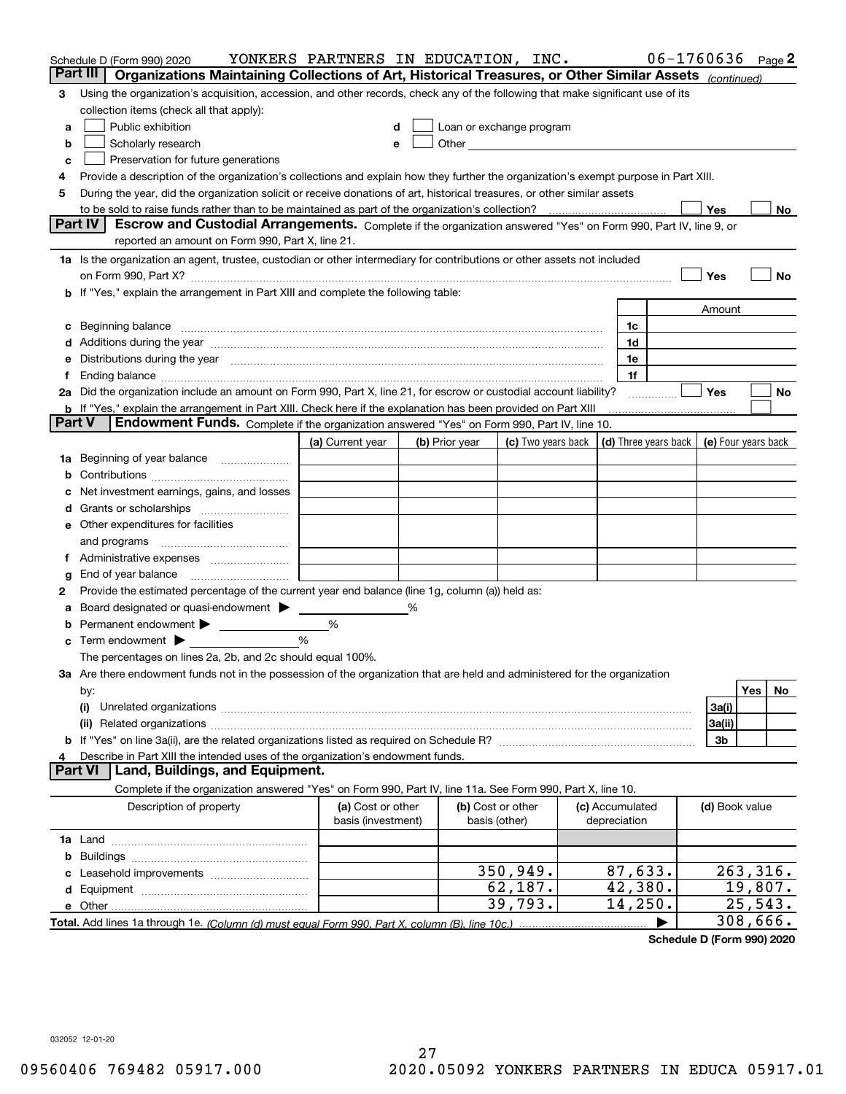|        | Schedule D (Form 990) 2020                                                                                                                                                                                                         | YONKERS PARTNERS IN EDUCATION, INC. |   |                |                                                                                                               |                 | $06 - 1760636$ Page 2 |          |    |
|--------|------------------------------------------------------------------------------------------------------------------------------------------------------------------------------------------------------------------------------------|-------------------------------------|---|----------------|---------------------------------------------------------------------------------------------------------------|-----------------|-----------------------|----------|----|
|        | Part III<br>Organizations Maintaining Collections of Art, Historical Treasures, or Other Similar Assets (continued)                                                                                                                |                                     |   |                |                                                                                                               |                 |                       |          |    |
| з      | Using the organization's acquisition, accession, and other records, check any of the following that make significant use of its                                                                                                    |                                     |   |                |                                                                                                               |                 |                       |          |    |
|        | collection items (check all that apply):                                                                                                                                                                                           |                                     |   |                |                                                                                                               |                 |                       |          |    |
| a      | Public exhibition                                                                                                                                                                                                                  |                                     |   |                | Loan or exchange program                                                                                      |                 |                       |          |    |
| b      | Scholarly research                                                                                                                                                                                                                 |                                     |   |                | Other and the contract of the contract of the contract of the contract of the contract of the contract of the |                 |                       |          |    |
| с      | Preservation for future generations                                                                                                                                                                                                |                                     |   |                |                                                                                                               |                 |                       |          |    |
| 4      | Provide a description of the organization's collections and explain how they further the organization's exempt purpose in Part XIII.                                                                                               |                                     |   |                |                                                                                                               |                 |                       |          |    |
| 5      | During the year, did the organization solicit or receive donations of art, historical treasures, or other similar assets                                                                                                           |                                     |   |                |                                                                                                               |                 |                       |          |    |
|        |                                                                                                                                                                                                                                    |                                     |   |                |                                                                                                               |                 | Yes                   |          | No |
|        | Part IV<br>Escrow and Custodial Arrangements. Complete if the organization answered "Yes" on Form 990, Part IV, line 9, or<br>reported an amount on Form 990, Part X, line 21.                                                     |                                     |   |                |                                                                                                               |                 |                       |          |    |
|        |                                                                                                                                                                                                                                    |                                     |   |                |                                                                                                               |                 |                       |          |    |
|        | 1a Is the organization an agent, trustee, custodian or other intermediary for contributions or other assets not included                                                                                                           |                                     |   |                |                                                                                                               |                 |                       |          |    |
|        | on Form 990, Part X? [11] matter contracts and contracts and contracts are contracted as a form 990, Part X?<br>b If "Yes," explain the arrangement in Part XIII and complete the following table:                                 |                                     |   |                |                                                                                                               |                 | Yes                   |          | No |
|        |                                                                                                                                                                                                                                    |                                     |   |                |                                                                                                               |                 | Amount                |          |    |
| c      |                                                                                                                                                                                                                                    |                                     |   |                |                                                                                                               | 1c              |                       |          |    |
|        | Beginning balance <u>manual membershare communication</u> and the set of the set of the set of the set of the set of the set of the set of the set of the set of the set of the set of the set of the set of the set of the set of |                                     |   |                |                                                                                                               | 1d              |                       |          |    |
|        | e Distributions during the year manufactured and continuum control of the control of the control of the state of the control of the control of the control of the control of the control of the control of the control of the      |                                     |   |                |                                                                                                               | 1e              |                       |          |    |
| f.     | Ending balance manufactured and contact the contract of the contract of the contract of the contract of the contract of the contract of the contract of the contract of the contract of the contract of the contract of the co     |                                     |   |                |                                                                                                               | 1f              |                       |          |    |
|        | 2a Did the organization include an amount on Form 990, Part X, line 21, for escrow or custodial account liability?                                                                                                                 |                                     |   |                |                                                                                                               |                 | <b>Yes</b>            |          | No |
|        | <b>b</b> If "Yes," explain the arrangement in Part XIII. Check here if the explanation has been provided on Part XIII                                                                                                              |                                     |   |                |                                                                                                               |                 |                       |          |    |
| Part V | Endowment Funds. Complete if the organization answered "Yes" on Form 990, Part IV, line 10.                                                                                                                                        |                                     |   |                |                                                                                                               |                 |                       |          |    |
|        |                                                                                                                                                                                                                                    | (a) Current year                    |   | (b) Prior year | (c) Two years back $\vert$ (d) Three years back $\vert$ (e) Four years back                                   |                 |                       |          |    |
|        | 1a Beginning of year balance                                                                                                                                                                                                       |                                     |   |                |                                                                                                               |                 |                       |          |    |
| b      |                                                                                                                                                                                                                                    |                                     |   |                |                                                                                                               |                 |                       |          |    |
|        | Net investment earnings, gains, and losses                                                                                                                                                                                         |                                     |   |                |                                                                                                               |                 |                       |          |    |
|        |                                                                                                                                                                                                                                    |                                     |   |                |                                                                                                               |                 |                       |          |    |
|        | e Other expenditures for facilities                                                                                                                                                                                                |                                     |   |                |                                                                                                               |                 |                       |          |    |
|        |                                                                                                                                                                                                                                    |                                     |   |                |                                                                                                               |                 |                       |          |    |
|        |                                                                                                                                                                                                                                    |                                     |   |                |                                                                                                               |                 |                       |          |    |
| g      | End of year balance <i>manually contained</i>                                                                                                                                                                                      |                                     |   |                |                                                                                                               |                 |                       |          |    |
| 2      | Provide the estimated percentage of the current year end balance (line 1g, column (a)) held as:                                                                                                                                    |                                     |   |                |                                                                                                               |                 |                       |          |    |
| а      | Board designated or quasi-endowment >                                                                                                                                                                                              |                                     | % |                |                                                                                                               |                 |                       |          |    |
| b      | Permanent endowment >                                                                                                                                                                                                              | %                                   |   |                |                                                                                                               |                 |                       |          |    |
| c      | Term endowment $\blacktriangleright$                                                                                                                                                                                               | %                                   |   |                |                                                                                                               |                 |                       |          |    |
|        | The percentages on lines 2a, 2b, and 2c should equal 100%.                                                                                                                                                                         |                                     |   |                |                                                                                                               |                 |                       |          |    |
|        | 3a Are there endowment funds not in the possession of the organization that are held and administered for the organization                                                                                                         |                                     |   |                |                                                                                                               |                 |                       |          |    |
|        | by:                                                                                                                                                                                                                                |                                     |   |                |                                                                                                               |                 |                       | Yes      | No |
|        | (i)                                                                                                                                                                                                                                |                                     |   |                |                                                                                                               |                 | 3a(i)                 |          |    |
|        |                                                                                                                                                                                                                                    |                                     |   |                |                                                                                                               |                 | 3a(ii)                |          |    |
| 4      | Describe in Part XIII the intended uses of the organization's endowment funds.                                                                                                                                                     |                                     |   |                |                                                                                                               |                 | 3b                    |          |    |
|        | Land, Buildings, and Equipment.<br>Part VI                                                                                                                                                                                         |                                     |   |                |                                                                                                               |                 |                       |          |    |
|        | Complete if the organization answered "Yes" on Form 990, Part IV, line 11a. See Form 990, Part X, line 10.                                                                                                                         |                                     |   |                |                                                                                                               |                 |                       |          |    |
|        | Description of property                                                                                                                                                                                                            | (a) Cost or other                   |   |                | (b) Cost or other                                                                                             | (c) Accumulated | (d) Book value        |          |    |
|        |                                                                                                                                                                                                                                    | basis (investment)                  |   |                | basis (other)                                                                                                 | depreciation    |                       |          |    |
|        |                                                                                                                                                                                                                                    |                                     |   |                |                                                                                                               |                 |                       |          |    |
| b      |                                                                                                                                                                                                                                    |                                     |   |                |                                                                                                               |                 |                       |          |    |
| с      |                                                                                                                                                                                                                                    |                                     |   |                | 350, 949.                                                                                                     | 87,633.         | 263, 316.             |          |    |
|        |                                                                                                                                                                                                                                    |                                     |   |                | 62,187.                                                                                                       | 42,380.         |                       | 19,807.  |    |
|        |                                                                                                                                                                                                                                    |                                     |   |                | 39,793.                                                                                                       | 14,250.         |                       | 25,543.  |    |
|        |                                                                                                                                                                                                                                    |                                     |   |                |                                                                                                               |                 |                       | 308,666. |    |

**Schedule D (Form 990) 2020**

032052 12-01-20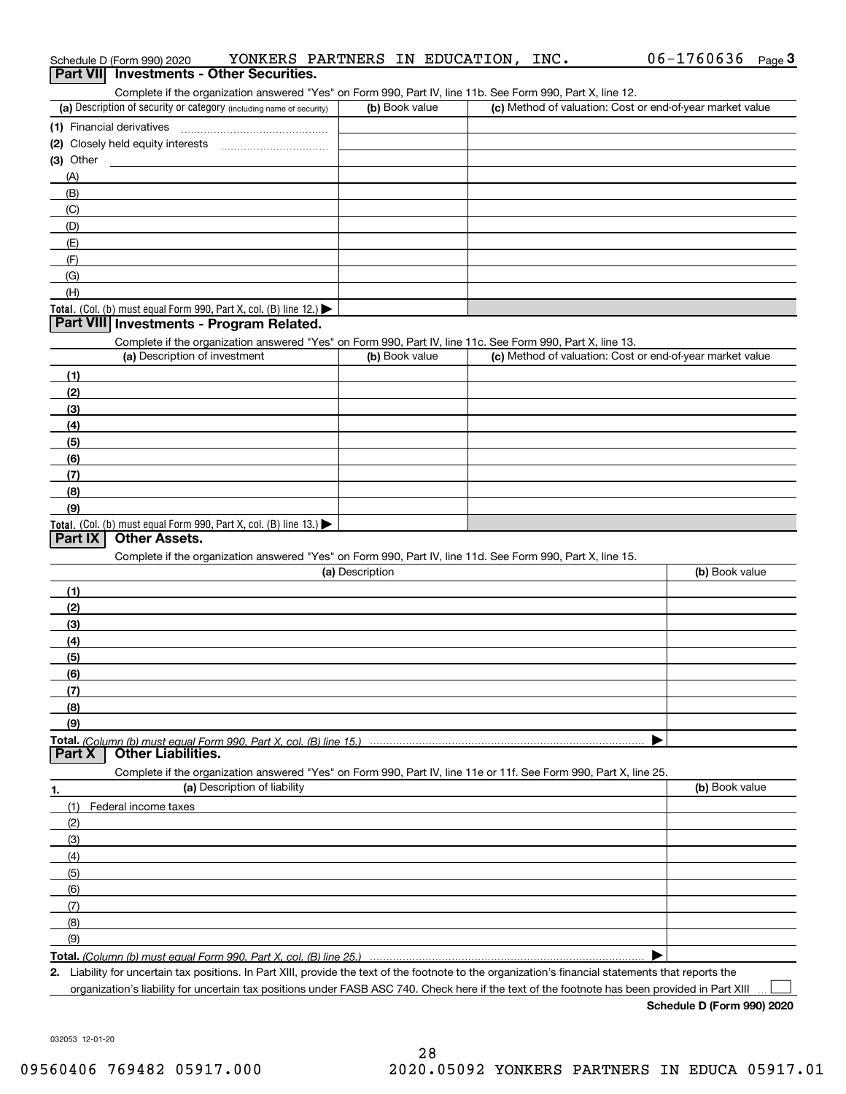| Schedule D (Form 990) 2020<br>Part VII Investments - Other Securities.                                                                                                             | YONKERS PARTNERS IN EDUCATION, INC. | $06 - 1760636$ Page 3                                     |
|------------------------------------------------------------------------------------------------------------------------------------------------------------------------------------|-------------------------------------|-----------------------------------------------------------|
| Complete if the organization answered "Yes" on Form 990, Part IV, line 11b. See Form 990, Part X, line 12.<br>(a) Description of security or category (including name of security) | (b) Book value                      | (c) Method of valuation: Cost or end-of-year market value |
| (1) Financial derivatives                                                                                                                                                          |                                     |                                                           |
|                                                                                                                                                                                    |                                     |                                                           |
| (3) Other                                                                                                                                                                          |                                     |                                                           |
| (A)                                                                                                                                                                                |                                     |                                                           |
| (B)                                                                                                                                                                                |                                     |                                                           |
| (C)                                                                                                                                                                                |                                     |                                                           |
| (D)                                                                                                                                                                                |                                     |                                                           |
| (E)                                                                                                                                                                                |                                     |                                                           |
| (F)                                                                                                                                                                                |                                     |                                                           |
| (G)                                                                                                                                                                                |                                     |                                                           |
| (H)                                                                                                                                                                                |                                     |                                                           |
| Total. (Col. (b) must equal Form 990, Part X, col. (B) line 12.)                                                                                                                   |                                     |                                                           |
| Part VIII Investments - Program Related.                                                                                                                                           |                                     |                                                           |
| Complete if the organization answered "Yes" on Form 990, Part IV, line 11c. See Form 990, Part X, line 13.<br>(a) Description of investment                                        | (b) Book value                      | (c) Method of valuation: Cost or end-of-year market value |
|                                                                                                                                                                                    |                                     |                                                           |
| (1)                                                                                                                                                                                |                                     |                                                           |
| (2)<br>(3)                                                                                                                                                                         |                                     |                                                           |
| (4)                                                                                                                                                                                |                                     |                                                           |
| (5)                                                                                                                                                                                |                                     |                                                           |
| (6)                                                                                                                                                                                |                                     |                                                           |
| (7)                                                                                                                                                                                |                                     |                                                           |
| (8)                                                                                                                                                                                |                                     |                                                           |
| (9)                                                                                                                                                                                |                                     |                                                           |
| Total. (Col. (b) must equal Form 990, Part X, col. (B) line 13.)                                                                                                                   |                                     |                                                           |
| Part IX<br><b>Other Assets.</b>                                                                                                                                                    |                                     |                                                           |
| Complete if the organization answered "Yes" on Form 990, Part IV, line 11d. See Form 990, Part X, line 15.                                                                         |                                     |                                                           |
|                                                                                                                                                                                    | (a) Description                     | (b) Book value                                            |
| (1)                                                                                                                                                                                |                                     |                                                           |
| (2)                                                                                                                                                                                |                                     |                                                           |
| (3)                                                                                                                                                                                |                                     |                                                           |
| (4)                                                                                                                                                                                |                                     |                                                           |
| (5)                                                                                                                                                                                |                                     |                                                           |
| (6)                                                                                                                                                                                |                                     |                                                           |
| (7)                                                                                                                                                                                |                                     |                                                           |
| (8)<br>(9)                                                                                                                                                                         |                                     |                                                           |
| Total. (Column (b) must equal Form 990. Part X, col. (B) line 15.)                                                                                                                 |                                     |                                                           |
| <b>Other Liabilities.</b><br>Part X                                                                                                                                                |                                     |                                                           |
| Complete if the organization answered "Yes" on Form 990, Part IV, line 11e or 11f. See Form 990, Part X, line 25.                                                                  |                                     |                                                           |
| (a) Description of liability<br>1.                                                                                                                                                 |                                     | (b) Book value                                            |
| (1)<br>Federal income taxes                                                                                                                                                        |                                     |                                                           |
|                                                                                                                                                                                    |                                     |                                                           |
| (2)                                                                                                                                                                                |                                     |                                                           |
| (3)                                                                                                                                                                                |                                     |                                                           |
| (4)                                                                                                                                                                                |                                     |                                                           |
| (5)                                                                                                                                                                                |                                     |                                                           |
| (6)                                                                                                                                                                                |                                     |                                                           |
| (7)                                                                                                                                                                                |                                     |                                                           |
| (8)                                                                                                                                                                                |                                     |                                                           |
| (9)                                                                                                                                                                                |                                     |                                                           |

organization's liability for uncertain tax positions under FASB ASC 740. Check here if the text of the footnote has been provided in Part XIII

032053 12-01-20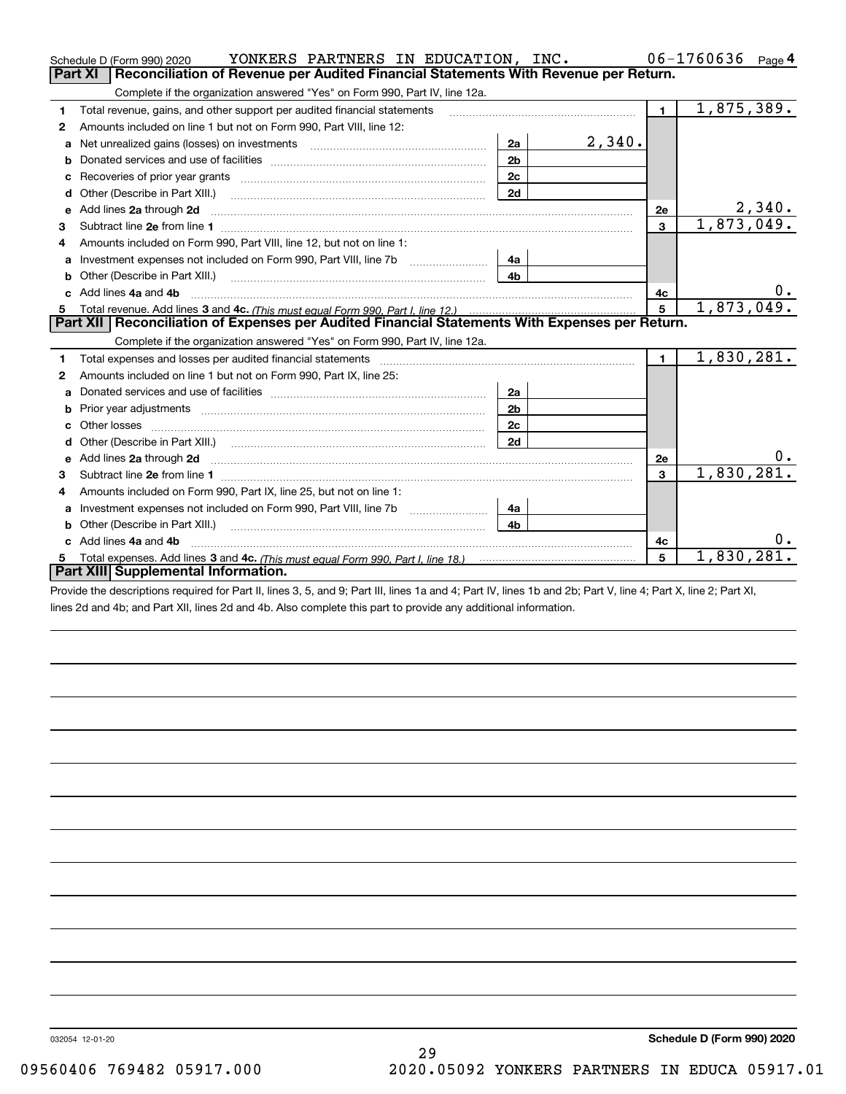|    | YONKERS PARTNERS IN EDUCATION, INC.<br>Schedule D (Form 990) 2020                                                                                                                                                                                  |                |        |                         | $06 - 1760636$ Page 4 |
|----|----------------------------------------------------------------------------------------------------------------------------------------------------------------------------------------------------------------------------------------------------|----------------|--------|-------------------------|-----------------------|
|    | Part XI<br>Reconciliation of Revenue per Audited Financial Statements With Revenue per Return.                                                                                                                                                     |                |        |                         |                       |
|    | Complete if the organization answered "Yes" on Form 990, Part IV, line 12a.                                                                                                                                                                        |                |        |                         |                       |
| 1  | Total revenue, gains, and other support per audited financial statements                                                                                                                                                                           |                |        | $\blacksquare$          | 1,875,389.            |
| 2  | Amounts included on line 1 but not on Form 990, Part VIII, line 12:                                                                                                                                                                                |                |        |                         |                       |
| a  | Net unrealized gains (losses) on investments [11] matter contracts and the unrealized gains (losses) on investments                                                                                                                                | 2a             | 2,340. |                         |                       |
| b  |                                                                                                                                                                                                                                                    | 2 <sub>b</sub> |        |                         |                       |
|    | Recoveries of prior year grants [11] matter contracts and prior year grants [11] matter contracts and prior year grants and all the contracts and all the contracts of prior year grants and all the contracts of the contract                     | 2c             |        |                         |                       |
| d  | Other (Describe in Part XIII.) <b>Construction Contract Construction</b> Chern Construction Construction Construction                                                                                                                              | 2d             |        |                         |                       |
| е  | Add lines 2a through 2d                                                                                                                                                                                                                            |                |        | 2e                      | 2,340.                |
| з  |                                                                                                                                                                                                                                                    |                |        | $\overline{\mathbf{3}}$ | 1,873,049.            |
| 4  | Amounts included on Form 990, Part VIII, line 12, but not on line 1:                                                                                                                                                                               |                |        |                         |                       |
| a  |                                                                                                                                                                                                                                                    | 4a             |        |                         |                       |
|    |                                                                                                                                                                                                                                                    | 4 <sub>h</sub> |        |                         |                       |
|    | c Add lines 4a and 4b                                                                                                                                                                                                                              |                |        | 4c                      | 0.                    |
| 5  |                                                                                                                                                                                                                                                    |                |        | 5                       | 1,873,049.            |
|    | Part XII   Reconciliation of Expenses per Audited Financial Statements With Expenses per Return.                                                                                                                                                   |                |        |                         |                       |
|    | Complete if the organization answered "Yes" on Form 990, Part IV, line 12a.                                                                                                                                                                        |                |        |                         |                       |
| 1  | Total expenses and losses per audited financial statements [11] [12] manuscription and contract the statements [13] manuscription and the statements [13] manuscription and the statements and the statements and the statemen                     |                |        | $\mathbf 1$             | 1,830,281.            |
| 2  | Amounts included on line 1 but not on Form 990, Part IX, line 25:                                                                                                                                                                                  |                |        |                         |                       |
|    |                                                                                                                                                                                                                                                    | 2a             |        |                         |                       |
| b  |                                                                                                                                                                                                                                                    | 2 <sub>b</sub> |        |                         |                       |
|    |                                                                                                                                                                                                                                                    | 2c             |        |                         |                       |
|    |                                                                                                                                                                                                                                                    | 2d             |        |                         |                       |
|    | e Add lines 2a through 2d <b>[10]</b> [10] <b>All the Contract of Add lines 2a</b> through 2d <b>[10] All the Contract of Add lines</b> 2a through 2d <b>[10] All the Contract of Add lines</b> 2a through 2d <b>[10] All the Contract of Addi</b> |                |        | 2e                      |                       |
| з  |                                                                                                                                                                                                                                                    |                |        | 3                       | 1,830,281.            |
|    | Amounts included on Form 990, Part IX, line 25, but not on line 1:                                                                                                                                                                                 |                |        |                         |                       |
| a  | Investment expenses not included on Form 990, Part VIII, line 7b [11, 111, 111, 111]                                                                                                                                                               | 4a             |        |                         |                       |
| b  | Other (Describe in Part XIII.)                                                                                                                                                                                                                     | 4 <sub>b</sub> |        |                         |                       |
| c. | Add lines 4a and 4b                                                                                                                                                                                                                                |                |        | 4c                      | Ο.                    |
| 5  |                                                                                                                                                                                                                                                    |                |        | 5                       | 1,830,281.            |
|    | Part XIII Supplemental Information.                                                                                                                                                                                                                |                |        |                         |                       |
|    | THE REPORT OF THE REPORT OF THE REPORT OF THE CHARGE AND THE REPORT OF THE CHARGE OF THE CHARGE OF THE CHARGE OF THE CHARGE OF THE CHARGE OF THE CHARGE OF THE CHARGE OF THE CHARGE OF THE CHARGE OF THE CHARGE OF THE CHARGE                      |                |        |                         |                       |

Provide the descriptions required for Part II, lines 3, 5, and 9; Part III, lines 1a and 4; Part IV, lines 1b and 2b; Part V, line 4; Part X, line 2; Part XI, lines 2d and 4b; and Part XII, lines 2d and 4b. Also complete this part to provide any additional information.

032054 12-01-20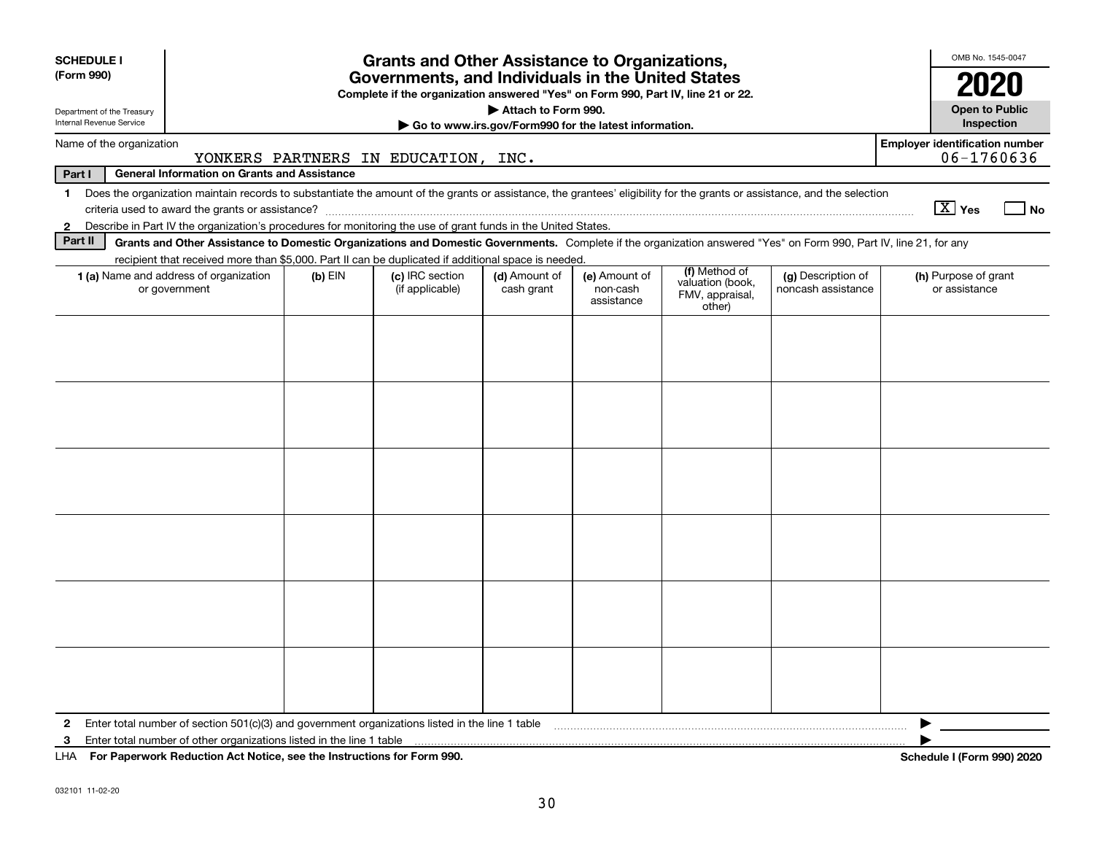| <b>SCHEDULE I</b><br>(Form 990)                                                                                                                                                                                                                                                      | <b>Grants and Other Assistance to Organizations,</b><br>Governments, and Individuals in the United States<br>Complete if the organization answered "Yes" on Form 990, Part IV, line 21 or 22. |           |                                    |                             |                                         |                                               |                                          |                                       |  |  |  |  |
|--------------------------------------------------------------------------------------------------------------------------------------------------------------------------------------------------------------------------------------------------------------------------------------|-----------------------------------------------------------------------------------------------------------------------------------------------------------------------------------------------|-----------|------------------------------------|-----------------------------|-----------------------------------------|-----------------------------------------------|------------------------------------------|---------------------------------------|--|--|--|--|
| Department of the Treasury<br>Internal Revenue Service                                                                                                                                                                                                                               | Attach to Form 990.<br>Go to www.irs.gov/Form990 for the latest information.                                                                                                                  |           |                                    |                             |                                         |                                               |                                          |                                       |  |  |  |  |
| <b>Employer identification number</b><br>Name of the organization<br>06-1760636<br>YONKERS PARTNERS IN EDUCATION, INC.                                                                                                                                                               |                                                                                                                                                                                               |           |                                    |                             |                                         |                                               |                                          |                                       |  |  |  |  |
| Part I                                                                                                                                                                                                                                                                               | <b>General Information on Grants and Assistance</b>                                                                                                                                           |           |                                    |                             |                                         |                                               |                                          |                                       |  |  |  |  |
| Does the organization maintain records to substantiate the amount of the grants or assistance, the grantees' eligibility for the grants or assistance, and the selection<br>$\mathbf{1}$<br>$\boxed{\text{X}}$ Yes<br><b>No</b>                                                      |                                                                                                                                                                                               |           |                                    |                             |                                         |                                               |                                          |                                       |  |  |  |  |
| Describe in Part IV the organization's procedures for monitoring the use of grant funds in the United States.<br>2                                                                                                                                                                   |                                                                                                                                                                                               |           |                                    |                             |                                         |                                               |                                          |                                       |  |  |  |  |
| Part II<br>Grants and Other Assistance to Domestic Organizations and Domestic Governments. Complete if the organization answered "Yes" on Form 990, Part IV, line 21, for any<br>recipient that received more than \$5,000. Part II can be duplicated if additional space is needed. |                                                                                                                                                                                               |           |                                    |                             |                                         |                                               |                                          |                                       |  |  |  |  |
|                                                                                                                                                                                                                                                                                      |                                                                                                                                                                                               |           |                                    |                             |                                         | (f) Method of                                 |                                          |                                       |  |  |  |  |
|                                                                                                                                                                                                                                                                                      | 1 (a) Name and address of organization<br>or government                                                                                                                                       | $(b)$ EIN | (c) IRC section<br>(if applicable) | (d) Amount of<br>cash grant | (e) Amount of<br>non-cash<br>assistance | valuation (book,<br>FMV, appraisal,<br>other) | (g) Description of<br>noncash assistance | (h) Purpose of grant<br>or assistance |  |  |  |  |
|                                                                                                                                                                                                                                                                                      |                                                                                                                                                                                               |           |                                    |                             |                                         |                                               |                                          |                                       |  |  |  |  |
|                                                                                                                                                                                                                                                                                      |                                                                                                                                                                                               |           |                                    |                             |                                         |                                               |                                          |                                       |  |  |  |  |
|                                                                                                                                                                                                                                                                                      |                                                                                                                                                                                               |           |                                    |                             |                                         |                                               |                                          |                                       |  |  |  |  |
|                                                                                                                                                                                                                                                                                      |                                                                                                                                                                                               |           |                                    |                             |                                         |                                               |                                          |                                       |  |  |  |  |
|                                                                                                                                                                                                                                                                                      |                                                                                                                                                                                               |           |                                    |                             |                                         |                                               |                                          |                                       |  |  |  |  |
|                                                                                                                                                                                                                                                                                      |                                                                                                                                                                                               |           |                                    |                             |                                         |                                               |                                          |                                       |  |  |  |  |
|                                                                                                                                                                                                                                                                                      |                                                                                                                                                                                               |           |                                    |                             |                                         |                                               |                                          |                                       |  |  |  |  |
|                                                                                                                                                                                                                                                                                      |                                                                                                                                                                                               |           |                                    |                             |                                         |                                               |                                          |                                       |  |  |  |  |
|                                                                                                                                                                                                                                                                                      |                                                                                                                                                                                               |           |                                    |                             |                                         |                                               |                                          |                                       |  |  |  |  |
|                                                                                                                                                                                                                                                                                      |                                                                                                                                                                                               |           |                                    |                             |                                         |                                               |                                          |                                       |  |  |  |  |
|                                                                                                                                                                                                                                                                                      |                                                                                                                                                                                               |           |                                    |                             |                                         |                                               |                                          |                                       |  |  |  |  |
|                                                                                                                                                                                                                                                                                      |                                                                                                                                                                                               |           |                                    |                             |                                         |                                               |                                          |                                       |  |  |  |  |
| $\mathbf{2}$                                                                                                                                                                                                                                                                         | Enter total number of section 501(c)(3) and government organizations listed in the line 1 table                                                                                               |           |                                    |                             |                                         |                                               |                                          |                                       |  |  |  |  |
| 3                                                                                                                                                                                                                                                                                    | Enter total number of other organizations listed in the line 1 table                                                                                                                          |           |                                    |                             |                                         |                                               |                                          |                                       |  |  |  |  |
|                                                                                                                                                                                                                                                                                      | LHA For Paperwork Reduction Act Notice, see the Instructions for Form 990.                                                                                                                    |           |                                    |                             |                                         |                                               |                                          | Schedule I (Form 990) 2020            |  |  |  |  |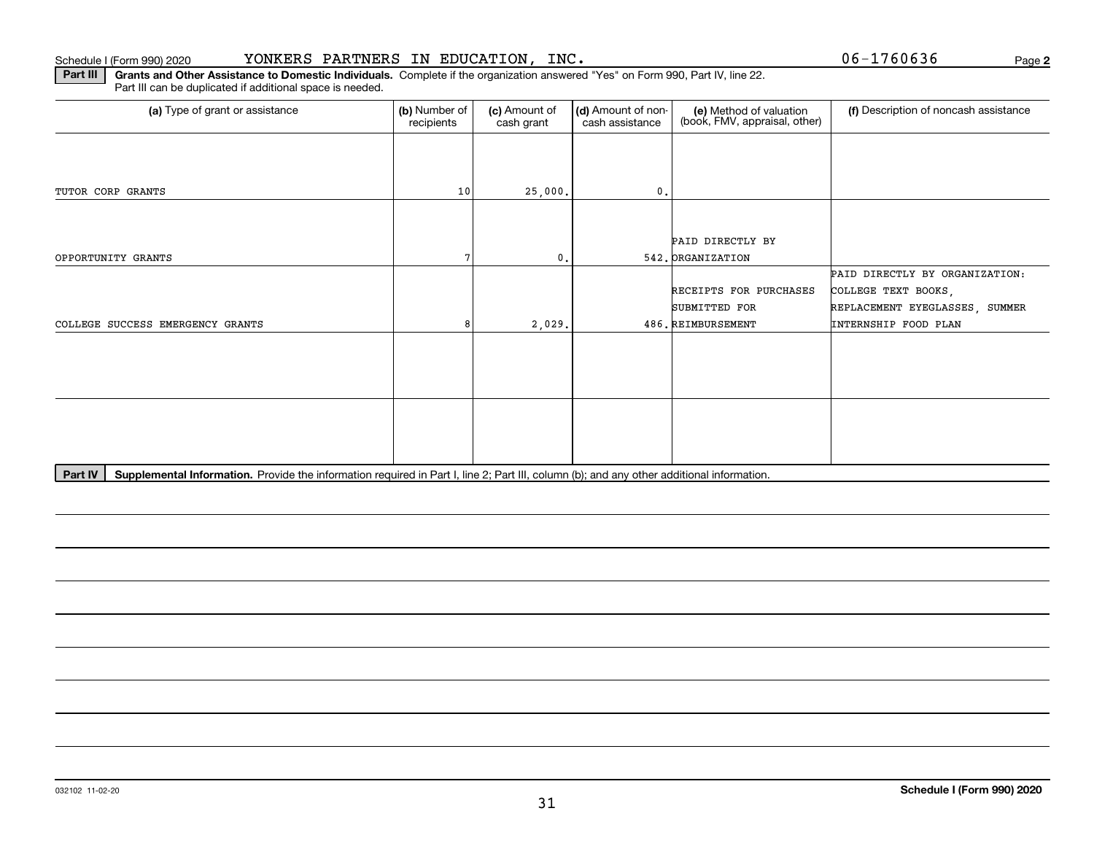#### Schedule I (Form 990) 2020 YONKERS PARTNERS IN EDUCATION, INC. Page

Part III can be duplicated if additional space is needed.

**Part III | Grants and Other Assistance to Domestic Individuals. Complete if the organization answered "Yes" on Form 990, Part IV, line 22.** 

(a) Type of grant or assistance **(b)** Number of **(c)** Amount of **(d)** Amount of non-**(e)** Method of valuation (f)<br>cash are continuous cash are cash assistance (book, FMV, appraisal, other) (a) Type of grant or assistance (b) Number of recipients(c) Amount of cash grant (d) Amount of noncash assistance (f) Description of noncash assistance TUTOR CORP GRANTS 10 78OPPORTUNITY GRANTS 25,000. 0.COLLEGE SUCCESS EMERGENCY GRANTS 2,029. 0.542. ORGANIZATION 486.REIMBURSEMENTPAID DIRECTLY BY ORGANIZATION: PAID DIRECTLY BY COLLEGE TEXT BOOKS, RECEIPTS FOR PURCHASES SUBMITTED FOR REPLACEMENT EYEGLASSES, SUMMER INTERNSHIP FOOD PLAN

Part IV | Supplemental Information. Provide the information required in Part I, line 2; Part III, column (b); and any other additional information.

**2**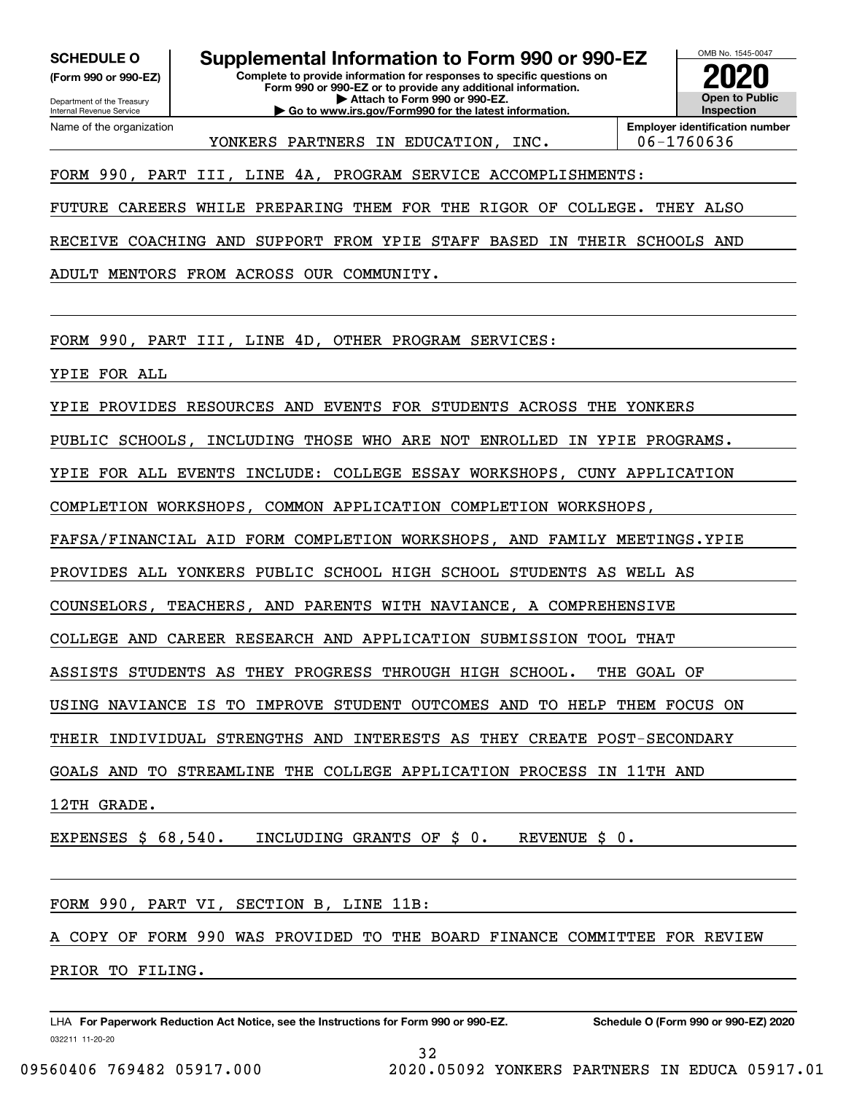**(Form 990 or 990-EZ)**

Department of the Treasury Internal Revenue Service Name of the organization

**SCHEDULE O Supplemental Information to Form 990 or 990-EZ**

**Complete to provide information for responses to specific questions on Form 990 or 990-EZ or to provide any additional information. | Attach to Form 990 or 990-EZ. | Go to www.irs.gov/Form990 for the latest information.**

**Open to Public InspectionEmployer identification number 2020**

OMB No. 1545-0047

YONKERS PARTNERS IN EDUCATION, INC. | 06-1760636

### FORM 990, PART III, LINE 4A, PROGRAM SERVICE ACCOMPLISHMENTS:

FUTURE CAREERS WHILE PREPARING THEM FOR THE RIGOR OF COLLEGE. THEY ALSO

RECEIVE COACHING AND SUPPORT FROM YPIE STAFF BASED IN THEIR SCHOOLS AND

ADULT MENTORS FROM ACROSS OUR COMMUNITY.

FORM 990, PART III, LINE 4D, OTHER PROGRAM SERVICES:

YPIE FOR ALL

YPIE PROVIDES RESOURCES AND EVENTS FOR STUDENTS ACROSS THE YONKERS

PUBLIC SCHOOLS, INCLUDING THOSE WHO ARE NOT ENROLLED IN YPIE PROGRAMS.

YPIE FOR ALL EVENTS INCLUDE: COLLEGE ESSAY WORKSHOPS, CUNY APPLICATION

COMPLETION WORKSHOPS, COMMON APPLICATION COMPLETION WORKSHOPS,

FAFSA/FINANCIAL AID FORM COMPLETION WORKSHOPS, AND FAMILY MEETINGS.YPIE

PROVIDES ALL YONKERS PUBLIC SCHOOL HIGH SCHOOL STUDENTS AS WELL AS

COUNSELORS, TEACHERS, AND PARENTS WITH NAVIANCE, A COMPREHENSIVE

COLLEGE AND CAREER RESEARCH AND APPLICATION SUBMISSION TOOL THAT

ASSISTS STUDENTS AS THEY PROGRESS THROUGH HIGH SCHOOL. THE GOAL OF

USING NAVIANCE IS TO IMPROVE STUDENT OUTCOMES AND TO HELP THEM FOCUS ON

THEIR INDIVIDUAL STRENGTHS AND INTERESTS AS THEY CREATE POST-SECONDARY

GOALS AND TO STREAMLINE THE COLLEGE APPLICATION PROCESS IN 11TH AND

12TH GRADE.

EXPENSES \$ 68,540. INCLUDING GRANTS OF \$ 0. REVENUE \$ 0.

FORM 990, PART VI, SECTION B, LINE 11B:

COPY OF FORM 990 WAS PROVIDED TO THE BOARD FINANCE COMMITTEE FOR REVIEW PRIOR TO FILING.

032211 11-20-20 LHA For Paperwork Reduction Act Notice, see the Instructions for Form 990 or 990-EZ. Schedule O (Form 990 or 990-EZ) 2020

32